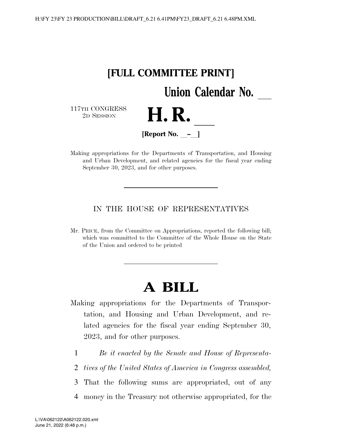

Making appropriations for the Departments of Transportation, and Housing and Urban Development, and related agencies for the fiscal year ending September 30, 2023, and for other purposes.

## IN THE HOUSE OF REPRESENTATIVES

Mr. PRICE, from the Committee on Appropriations, reported the following bill; which was committed to the Committee of the Whole House on the State of the Union and ordered to be printed

# **A BILL**

- Making appropriations for the Departments of Transportation, and Housing and Urban Development, and related agencies for the fiscal year ending September 30, 2023, and for other purposes.
	- 1 *Be it enacted by the Senate and House of Representa-*
	- 2 *tives of the United States of America in Congress assembled,*
	- 3 That the following sums are appropriated, out of any
	- 4 money in the Treasury not otherwise appropriated, for the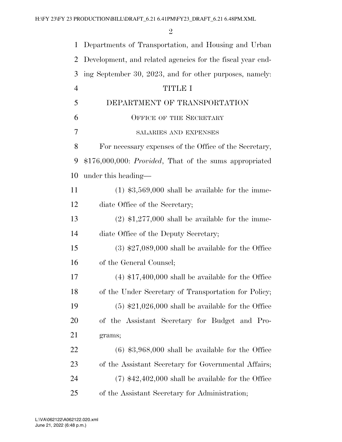| $\mathbf 1$    | Departments of Transportation, and Housing and Urban             |
|----------------|------------------------------------------------------------------|
| 2              | Development, and related agencies for the fiscal year end-       |
| 3              | ing September 30, 2023, and for other purposes, namely:          |
| $\overline{4}$ | <b>TITLE I</b>                                                   |
| 5              | DEPARTMENT OF TRANSPORTATION                                     |
| 6              | <b>OFFICE OF THE SECRETARY</b>                                   |
| 7              | SALARIES AND EXPENSES                                            |
| 8              | For necessary expenses of the Office of the Secretary,           |
| 9              | $$176,000,000$ : <i>Provided</i> , That of the sums appropriated |
| 10             | under this heading—                                              |
| 11             | $(1)$ \$3,569,000 shall be available for the imme-               |
| 12             | diate Office of the Secretary;                                   |
| 13             | $(2)$ \$1,277,000 shall be available for the imme-               |
| 14             | diate Office of the Deputy Secretary;                            |
| 15             | $(3)$ \$27,089,000 shall be available for the Office             |
| 16             | of the General Counsel;                                          |
| 17             | $(4)$ \$17,400,000 shall be available for the Office             |
| 18             | of the Under Secretary of Transportation for Policy;             |
| 19             | $(5)$ \$21,026,000 shall be available for the Office             |
| 20             | of the Assistant Secretary for Budget and Pro-                   |
| 21             | grams;                                                           |
| 22             | $(6)$ \$3,968,000 shall be available for the Office              |
| 23             | of the Assistant Secretary for Governmental Affairs;             |
| 24             | $(7)$ \$42,402,000 shall be available for the Office             |
| 25             | of the Assistant Secretary for Administration;                   |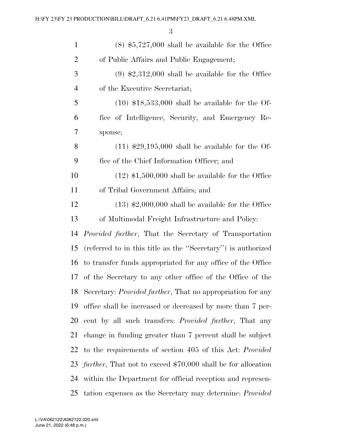| $\mathbf{1}$   | $(8)$ \$5,727,000 shall be available for the Office                     |
|----------------|-------------------------------------------------------------------------|
| $\overline{2}$ | of Public Affairs and Public Engagement;                                |
| 3              | $(9)$ \$2,312,000 shall be available for the Office                     |
| $\overline{4}$ | of the Executive Secretariat;                                           |
| 5              | $(10)$ \$18,533,000 shall be available for the Of-                      |
| 6              | fice of Intelligence, Security, and Emergency Re-                       |
| 7              | sponse;                                                                 |
| 8              | $(11)$ \$29,195,000 shall be available for the Of-                      |
| 9              | fice of the Chief Information Officer; and                              |
| 10             | $(12)$ \$1,500,000 shall be available for the Office                    |
| 11             | of Tribal Government Affairs; and                                       |
| 12             | $(13)$ \$2,000,000 shall be available for the Office                    |
| 13             | of Multimodal Freight Infrastructure and Policy:                        |
| 14             | <i>Provided further</i> , That the Secretary of Transportation          |
| 15             | (referred to in this title as the "Secretary") is authorized            |
| 16             | to transfer funds appropriated for any office of the Office             |
| 17             | of the Secretary to any other office of the Office of the               |
|                | 18 Secretary: <i>Provided further</i> , That no appropriation for any   |
| 19             | office shall be increased or decreased by more than 7 per-              |
| 20             | cent by all such transfers: <i>Provided further</i> , That any          |
| 21             | change in funding greater than 7 percent shall be subject               |
| 22             | to the requirements of section 405 of this Act: Provided                |
|                | 23 <i>further</i> , That not to exceed \$70,000 shall be for allocation |
| 24             | within the Department for official reception and represen-              |
| 25             | tation expenses as the Secretary may determine: <i>Provided</i>         |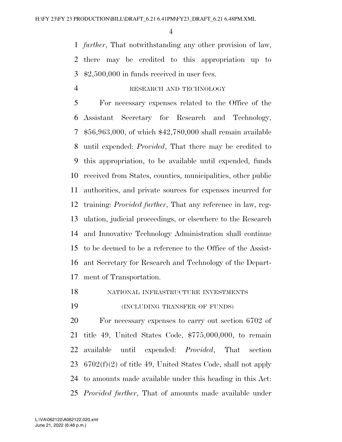*further*, That notwithstanding any other provision of law, there may be credited to this appropriation up to \$2,500,000 in funds received in user fees.

#### RESEARCH AND TECHNOLOGY

 For necessary expenses related to the Office of the Assistant Secretary for Research and Technology, \$56,963,000, of which \$42,780,000 shall remain available until expended: *Provided*, That there may be credited to this appropriation, to be available until expended, funds received from States, counties, municipalities, other public authorities, and private sources for expenses incurred for training: *Provided further*, That any reference in law, reg- ulation, judicial proceedings, or elsewhere to the Research and Innovative Technology Administration shall continue to be deemed to be a reference to the Office of the Assist- ant Secretary for Research and Technology of the Depart-ment of Transportation.

NATIONAL INFRASTRUCTURE INVESTMENTS

(INCLUDING TRANSFER OF FUNDS)

 For necessary expenses to carry out section 6702 of title 49, United States Code, \$775,000,000, to remain available until expended: *Provided*, That section 6702(f)(2) of title 49, United States Code, shall not apply to amounts made available under this heading in this Act: *Provided further*, That of amounts made available under

June 21, 2022 (6:48 p.m.) L:\VA\062122\A062122.020.xml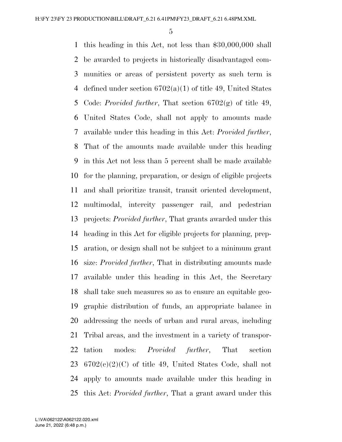this heading in this Act, not less than \$30,000,000 shall be awarded to projects in historically disadvantaged com- munities or areas of persistent poverty as such term is 4 defined under section  $6702(a)(1)$  of title 49, United States Code: *Provided further*, That section 6702(g) of title 49, United States Code, shall not apply to amounts made available under this heading in this Act: *Provided further*, That of the amounts made available under this heading in this Act not less than 5 percent shall be made available for the planning, preparation, or design of eligible projects and shall prioritize transit, transit oriented development, multimodal, intercity passenger rail, and pedestrian projects: *Provided further*, That grants awarded under this heading in this Act for eligible projects for planning, prep- aration, or design shall not be subject to a minimum grant size: *Provided further*, That in distributing amounts made available under this heading in this Act, the Secretary shall take such measures so as to ensure an equitable geo- graphic distribution of funds, an appropriate balance in addressing the needs of urban and rural areas, including Tribal areas, and the investment in a variety of transpor- tation modes: *Provided further*, That section  $6702(c)(2)(C)$  of title 49, United States Code, shall not apply to amounts made available under this heading in this Act: *Provided further*, That a grant award under this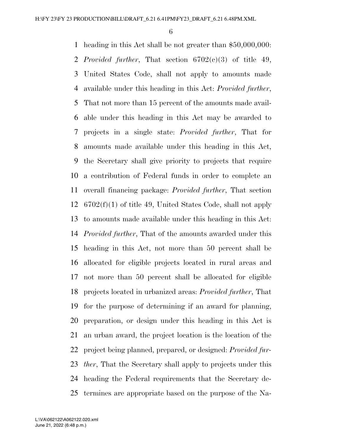heading in this Act shall be not greater than \$50,000,000: *Provided further*, That section 6702(c)(3) of title 49, United States Code, shall not apply to amounts made available under this heading in this Act: *Provided further*, That not more than 15 percent of the amounts made avail- able under this heading in this Act may be awarded to projects in a single state: *Provided further*, That for amounts made available under this heading in this Act, the Secretary shall give priority to projects that require a contribution of Federal funds in order to complete an overall financing package: *Provided further*, That section 6702(f)(1) of title 49, United States Code, shall not apply to amounts made available under this heading in this Act: *Provided further*, That of the amounts awarded under this heading in this Act, not more than 50 percent shall be allocated for eligible projects located in rural areas and not more than 50 percent shall be allocated for eligible projects located in urbanized areas: *Provided further*, That for the purpose of determining if an award for planning, preparation, or design under this heading in this Act is an urban award, the project location is the location of the project being planned, prepared, or designed: *Provided fur- ther*, That the Secretary shall apply to projects under this heading the Federal requirements that the Secretary de-termines are appropriate based on the purpose of the Na-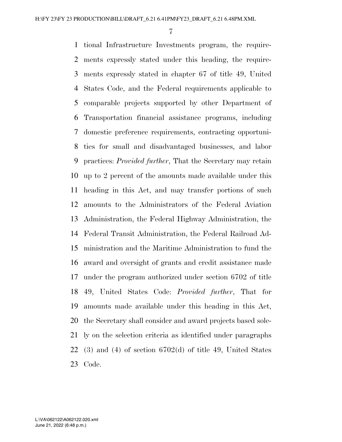tional Infrastructure Investments program, the require- ments expressly stated under this heading, the require- ments expressly stated in chapter 67 of title 49, United States Code, and the Federal requirements applicable to comparable projects supported by other Department of Transportation financial assistance programs, including domestic preference requirements, contracting opportuni- ties for small and disadvantaged businesses, and labor practices: *Provided further*, That the Secretary may retain up to 2 percent of the amounts made available under this heading in this Act, and may transfer portions of such amounts to the Administrators of the Federal Aviation Administration, the Federal Highway Administration, the Federal Transit Administration, the Federal Railroad Ad- ministration and the Maritime Administration to fund the award and oversight of grants and credit assistance made under the program authorized under section 6702 of title 49, United States Code: *Provided further*, That for amounts made available under this heading in this Act, the Secretary shall consider and award projects based sole- ly on the selection criteria as identified under paragraphs (3) and (4) of section 6702(d) of title 49, United States Code.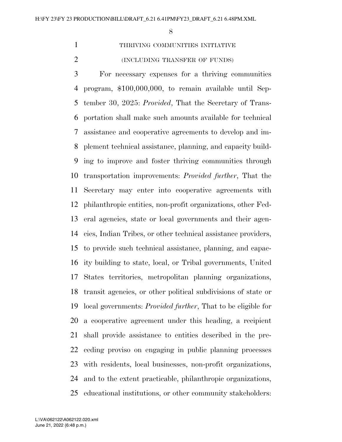THRIVING COMMUNITIES INITIATIVE

(INCLUDING TRANSFER OF FUNDS)

 For necessary expenses for a thriving communities program, \$100,000,000, to remain available until Sep- tember 30, 2025: *Provided*, That the Secretary of Trans- portation shall make such amounts available for technical assistance and cooperative agreements to develop and im- plement technical assistance, planning, and capacity build- ing to improve and foster thriving communities through transportation improvements: *Provided further*, That the Secretary may enter into cooperative agreements with philanthropic entities, non-profit organizations, other Fed- eral agencies, state or local governments and their agen- cies, Indian Tribes, or other technical assistance providers, to provide such technical assistance, planning, and capac- ity building to state, local, or Tribal governments, United States territories, metropolitan planning organizations, transit agencies, or other political subdivisions of state or local governments: *Provided further*, That to be eligible for a cooperative agreement under this heading, a recipient shall provide assistance to entities described in the pre- ceding proviso on engaging in public planning processes with residents, local businesses, non-profit organizations, and to the extent practicable, philanthropic organizations, educational institutions, or other community stakeholders: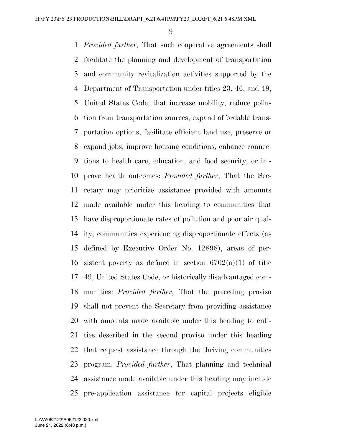*Provided further*, That such cooperative agreements shall facilitate the planning and development of transportation and community revitalization activities supported by the Department of Transportation under titles 23, 46, and 49, United States Code, that increase mobility, reduce pollu- tion from transportation sources, expand affordable trans- portation options, facilitate efficient land use, preserve or expand jobs, improve housing conditions, enhance connec- tions to health care, education, and food security, or im- prove health outcomes: *Provided further*, That the Sec- retary may prioritize assistance provided with amounts made available under this heading to communities that have disproportionate rates of pollution and poor air qual- ity, communities experiencing disproportionate effects (as defined by Executive Order No. 12898), areas of per-16 sistent poverty as defined in section  $6702(a)(1)$  of title 49, United States Code, or historically disadvantaged com- munities: *Provided further*, That the preceding proviso shall not prevent the Secretary from providing assistance with amounts made available under this heading to enti- ties described in the second proviso under this heading that request assistance through the thriving communities program: *Provided further*, That planning and technical assistance made available under this heading may include pre-application assistance for capital projects eligible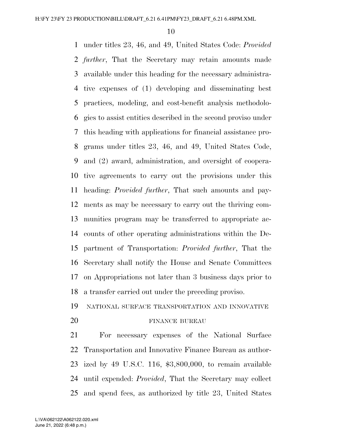under titles 23, 46, and 49, United States Code: *Provided further*, That the Secretary may retain amounts made available under this heading for the necessary administra- tive expenses of (1) developing and disseminating best practices, modeling, and cost-benefit analysis methodolo- gies to assist entities described in the second proviso under this heading with applications for financial assistance pro- grams under titles 23, 46, and 49, United States Code, and (2) award, administration, and oversight of coopera- tive agreements to carry out the provisions under this heading: *Provided further*, That such amounts and pay- ments as may be necessary to carry out the thriving com- munities program may be transferred to appropriate ac- counts of other operating administrations within the De- partment of Transportation: *Provided further*, That the Secretary shall notify the House and Senate Committees on Appropriations not later than 3 business days prior to a transfer carried out under the preceding proviso.

NATIONAL SURFACE TRANSPORTATION AND INNOVATIVE

#### 20 FINANCE BUREAU

 For necessary expenses of the National Surface Transportation and Innovative Finance Bureau as author- ized by 49 U.S.C. 116, \$3,800,000, to remain available until expended: *Provided*, That the Secretary may collect and spend fees, as authorized by title 23, United States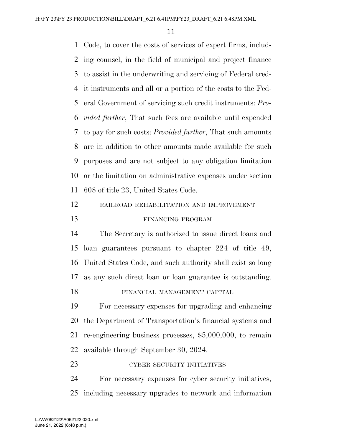Code, to cover the costs of services of expert firms, includ- ing counsel, in the field of municipal and project finance to assist in the underwriting and servicing of Federal cred- it instruments and all or a portion of the costs to the Fed- eral Government of servicing such credit instruments: *Pro- vided further*, That such fees are available until expended to pay for such costs: *Provided further*, That such amounts are in addition to other amounts made available for such purposes and are not subject to any obligation limitation or the limitation on administrative expenses under section 608 of title 23, United States Code. RAILROAD REHABILITATION AND IMPROVEMENT FINANCING PROGRAM

 The Secretary is authorized to issue direct loans and loan guarantees pursuant to chapter 224 of title 49, United States Code, and such authority shall exist so long as any such direct loan or loan guarantee is outstanding. FINANCIAL MANAGEMENT CAPITAL

 For necessary expenses for upgrading and enhancing the Department of Transportation's financial systems and re-engineering business processes, \$5,000,000, to remain available through September 30, 2024.

| 23 | CYBER SECURITY INITIATIVES |  |
|----|----------------------------|--|
|    |                            |  |

 For necessary expenses for cyber security initiatives, including necessary upgrades to network and information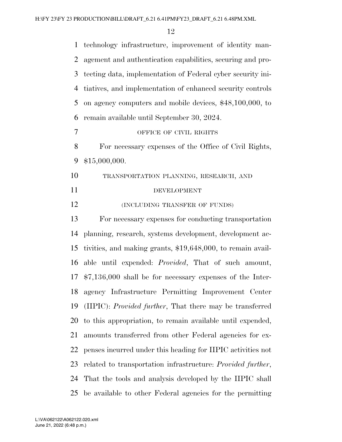| $\mathbf{1}$   | technology infrastructure, improvement of identity man-             |
|----------------|---------------------------------------------------------------------|
| $\overline{2}$ | agement and authentication capabilities, securing and pro-          |
| 3              | tecting data, implementation of Federal cyber security ini-         |
| $\overline{4}$ | tiatives, and implementation of enhanced security controls          |
| 5              | on agency computers and mobile devices, \$48,100,000, to            |
| 6              | remain available until September 30, 2024.                          |
| $\overline{7}$ | OFFICE OF CIVIL RIGHTS                                              |
| 8              | For necessary expenses of the Office of Civil Rights,               |
| 9              | \$15,000,000.                                                       |
| 10             | TRANSPORTATION PLANNING, RESEARCH, AND                              |
| 11             | <b>DEVELOPMENT</b>                                                  |
| 12             | (INCLUDING TRANSFER OF FUNDS)                                       |
| 13             | For necessary expenses for conducting transportation                |
| 14             | planning, research, systems development, development ac-            |
| 15             | tivities, and making grants, \$19,648,000, to remain avail-         |
| 16             | able until expended: <i>Provided</i> , That of such amount,         |
| 17             | $$7,136,000$ shall be for necessary expenses of the Inter-          |
| 18             | agency Infrastructure Permitting Improvement Center                 |
| 19             | (IIPIC): <i>Provided further</i> , That there may be transferred    |
| 20             | to this appropriation, to remain available until expended,          |
| 21             | amounts transferred from other Federal agencies for ex-             |
| 22             | penses incurred under this heading for IIPIC activities not         |
| 23             | related to transportation infrastructure: <i>Provided further</i> , |
| 24             | That the tools and analysis developed by the IIPIC shall            |
| 25             | be available to other Federal agencies for the permitting           |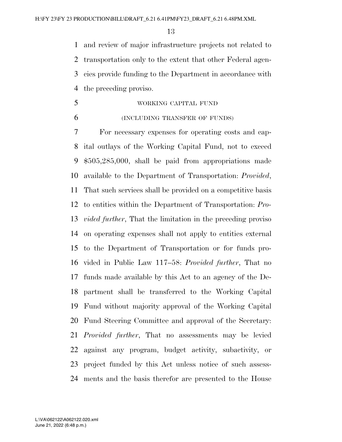and review of major infrastructure projects not related to transportation only to the extent that other Federal agen- cies provide funding to the Department in accordance with the preceding proviso.

- WORKING CAPITAL FUND
- 

#### (INCLUDING TRANSFER OF FUNDS)

 For necessary expenses for operating costs and cap- ital outlays of the Working Capital Fund, not to exceed \$505,285,000, shall be paid from appropriations made available to the Department of Transportation: *Provided*, That such services shall be provided on a competitive basis to entities within the Department of Transportation: *Pro- vided further*, That the limitation in the preceding proviso on operating expenses shall not apply to entities external to the Department of Transportation or for funds pro- vided in Public Law 117–58: *Provided further*, That no funds made available by this Act to an agency of the De- partment shall be transferred to the Working Capital Fund without majority approval of the Working Capital Fund Steering Committee and approval of the Secretary: *Provided further*, That no assessments may be levied against any program, budget activity, subactivity, or project funded by this Act unless notice of such assess-ments and the basis therefor are presented to the House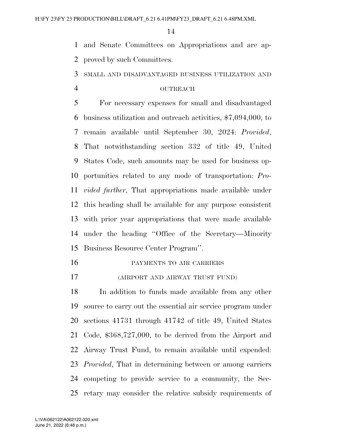and Senate Committees on Appropriations and are ap-proved by such Committees.

SMALL AND DISADVANTAGED BUSINESS UTILIZATION AND

#### OUTREACH

 For necessary expenses for small and disadvantaged business utilization and outreach activities, \$7,094,000, to remain available until September 30, 2024: *Provided*, That notwithstanding section 332 of title 49, United States Code, such amounts may be used for business op- portunities related to any mode of transportation: *Pro- vided further*, That appropriations made available under this heading shall be available for any purpose consistent with prior year appropriations that were made available under the heading ''Office of the Secretary—Minority Business Resource Center Program''.

- PAYMENTS TO AIR CARRIERS
- (AIRPORT AND AIRWAY TRUST FUND)

 In addition to funds made available from any other source to carry out the essential air service program under sections 41731 through 41742 of title 49, United States Code, \$368,727,000, to be derived from the Airport and Airway Trust Fund, to remain available until expended: *Provided*, That in determining between or among carriers competing to provide service to a community, the Sec-retary may consider the relative subsidy requirements of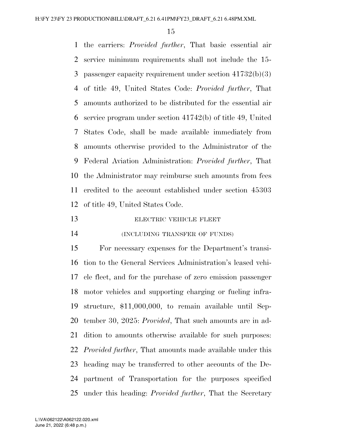the carriers: *Provided further*, That basic essential air service minimum requirements shall not include the 15- passenger capacity requirement under section 41732(b)(3) of title 49, United States Code: *Provided further*, That amounts authorized to be distributed for the essential air service program under section 41742(b) of title 49, United States Code, shall be made available immediately from amounts otherwise provided to the Administrator of the Federal Aviation Administration: *Provided further*, That the Administrator may reimburse such amounts from fees credited to the account established under section 45303 of title 49, United States Code.

- 13 ELECTRIC VEHICLE FLEET
- (INCLUDING TRANSFER OF FUNDS)

 For necessary expenses for the Department's transi- tion to the General Services Administration's leased vehi- cle fleet, and for the purchase of zero emission passenger motor vehicles and supporting charging or fueling infra- structure, \$11,000,000, to remain available until Sep- tember 30, 2025: *Provided*, That such amounts are in ad- dition to amounts otherwise available for such purposes: *Provided further*, That amounts made available under this heading may be transferred to other accounts of the De- partment of Transportation for the purposes specified under this heading: *Provided further*, That the Secretary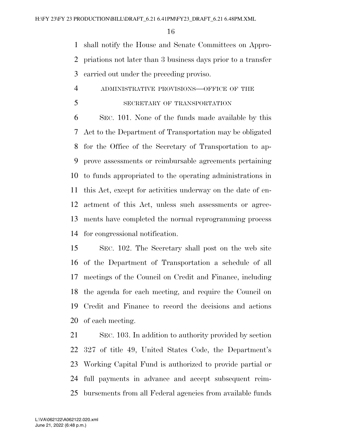shall notify the House and Senate Committees on Appro- priations not later than 3 business days prior to a transfer carried out under the preceding proviso.

- ADMINISTRATIVE PROVISIONS—OFFICE OF THE
- SECRETARY OF TRANSPORTATION

 SEC. 101. None of the funds made available by this Act to the Department of Transportation may be obligated for the Office of the Secretary of Transportation to ap- prove assessments or reimbursable agreements pertaining to funds appropriated to the operating administrations in this Act, except for activities underway on the date of en- actment of this Act, unless such assessments or agree- ments have completed the normal reprogramming process for congressional notification.

 SEC. 102. The Secretary shall post on the web site of the Department of Transportation a schedule of all meetings of the Council on Credit and Finance, including the agenda for each meeting, and require the Council on Credit and Finance to record the decisions and actions of each meeting.

 SEC. 103. In addition to authority provided by section 327 of title 49, United States Code, the Department's Working Capital Fund is authorized to provide partial or full payments in advance and accept subsequent reim-bursements from all Federal agencies from available funds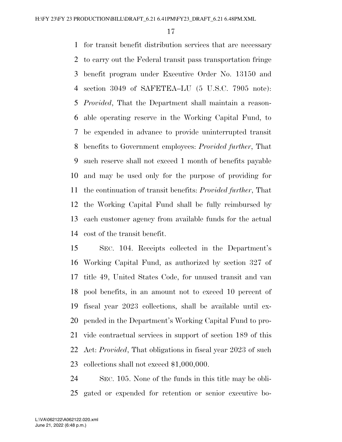for transit benefit distribution services that are necessary to carry out the Federal transit pass transportation fringe benefit program under Executive Order No. 13150 and section 3049 of SAFETEA–LU (5 U.S.C. 7905 note): *Provided*, That the Department shall maintain a reason- able operating reserve in the Working Capital Fund, to be expended in advance to provide uninterrupted transit benefits to Government employees: *Provided further*, That such reserve shall not exceed 1 month of benefits payable and may be used only for the purpose of providing for the continuation of transit benefits: *Provided further*, That the Working Capital Fund shall be fully reimbursed by each customer agency from available funds for the actual cost of the transit benefit.

 SEC. 104. Receipts collected in the Department's Working Capital Fund, as authorized by section 327 of title 49, United States Code, for unused transit and van pool benefits, in an amount not to exceed 10 percent of fiscal year 2023 collections, shall be available until ex- pended in the Department's Working Capital Fund to pro- vide contractual services in support of section 189 of this Act: *Provided*, That obligations in fiscal year 2023 of such collections shall not exceed \$1,000,000.

 SEC. 105. None of the funds in this title may be obli-gated or expended for retention or senior executive bo-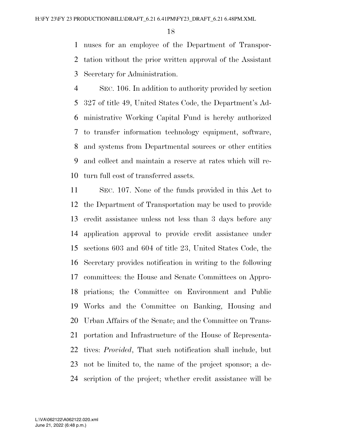nuses for an employee of the Department of Transpor- tation without the prior written approval of the Assistant Secretary for Administration.

 SEC. 106. In addition to authority provided by section 327 of title 49, United States Code, the Department's Ad- ministrative Working Capital Fund is hereby authorized to transfer information technology equipment, software, and systems from Departmental sources or other entities and collect and maintain a reserve at rates which will re-turn full cost of transferred assets.

 SEC. 107. None of the funds provided in this Act to the Department of Transportation may be used to provide credit assistance unless not less than 3 days before any application approval to provide credit assistance under sections 603 and 604 of title 23, United States Code, the Secretary provides notification in writing to the following committees: the House and Senate Committees on Appro- priations; the Committee on Environment and Public Works and the Committee on Banking, Housing and Urban Affairs of the Senate; and the Committee on Trans- portation and Infrastructure of the House of Representa- tives: *Provided*, That such notification shall include, but not be limited to, the name of the project sponsor; a de-scription of the project; whether credit assistance will be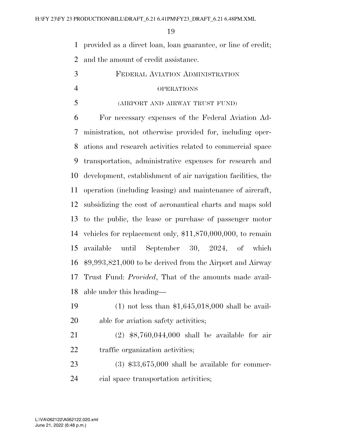provided as a direct loan, loan guarantee, or line of credit;

and the amount of credit assistance.

- FEDERAL AVIATION ADMINISTRATION OPERATIONS
- (AIRPORT AND AIRWAY TRUST FUND)

 For necessary expenses of the Federal Aviation Ad- ministration, not otherwise provided for, including oper- ations and research activities related to commercial space transportation, administrative expenses for research and development, establishment of air navigation facilities, the operation (including leasing) and maintenance of aircraft, subsidizing the cost of aeronautical charts and maps sold to the public, the lease or purchase of passenger motor vehicles for replacement only, \$11,870,000,000, to remain available until September 30, 2024, of which \$9,993,821,000 to be derived from the Airport and Airway Trust Fund: *Provided*, That of the amounts made avail-able under this heading—

- (1) not less than \$1,645,018,000 shall be avail-able for aviation safety activities;
- (2) \$8,760,044,000 shall be available for air 22 traffic organization activities;
- (3) \$33,675,000 shall be available for commer-cial space transportation activities;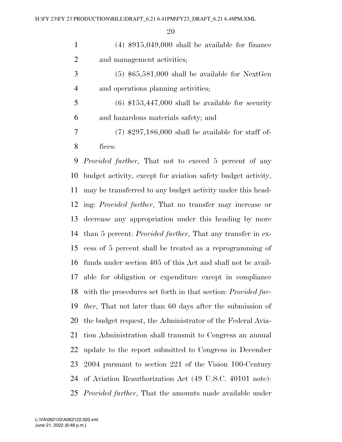(4) \$915,049,000 shall be available for finance and management activities;

 (5) \$65,581,000 shall be available for NextGen and operations planning activities;

5  $(6)$  \$153,447,000 shall be available for security and hazardous materials safety; and

 (7) \$297,186,000 shall be available for staff of-fices:

 *Provided further*, That not to exceed 5 percent of any budget activity, except for aviation safety budget activity, may be transferred to any budget activity under this head- ing: *Provided further*, That no transfer may increase or decrease any appropriation under this heading by more than 5 percent: *Provided further*, That any transfer in ex- cess of 5 percent shall be treated as a reprogramming of funds under section 405 of this Act and shall not be avail- able for obligation or expenditure except in compliance with the procedures set forth in that section: *Provided fur- ther*, That not later than 60 days after the submission of the budget request, the Administrator of the Federal Avia- tion Administration shall transmit to Congress an annual update to the report submitted to Congress in December 2004 pursuant to section 221 of the Vision 100-Century of Aviation Reauthorization Act (49 U.S.C. 40101 note): *Provided further*, That the amounts made available under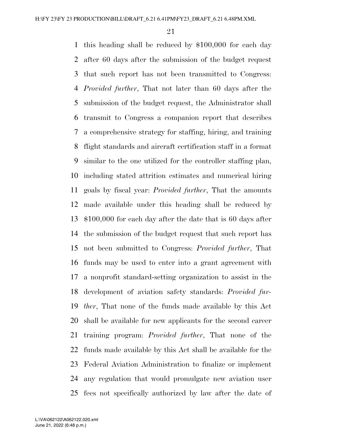this heading shall be reduced by \$100,000 for each day after 60 days after the submission of the budget request that such report has not been transmitted to Congress: *Provided further*, That not later than 60 days after the submission of the budget request, the Administrator shall transmit to Congress a companion report that describes a comprehensive strategy for staffing, hiring, and training flight standards and aircraft certification staff in a format similar to the one utilized for the controller staffing plan, including stated attrition estimates and numerical hiring goals by fiscal year: *Provided further*, That the amounts made available under this heading shall be reduced by \$100,000 for each day after the date that is 60 days after the submission of the budget request that such report has not been submitted to Congress: *Provided further*, That funds may be used to enter into a grant agreement with a nonprofit standard-setting organization to assist in the development of aviation safety standards: *Provided fur- ther*, That none of the funds made available by this Act shall be available for new applicants for the second career training program: *Provided further*, That none of the funds made available by this Act shall be available for the Federal Aviation Administration to finalize or implement any regulation that would promulgate new aviation user fees not specifically authorized by law after the date of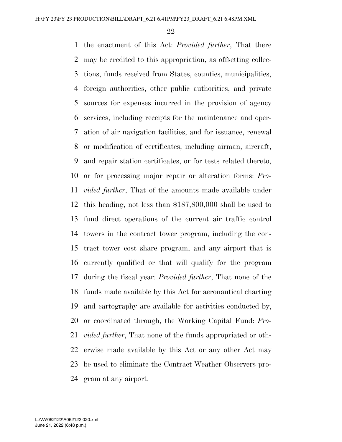the enactment of this Act: *Provided further*, That there may be credited to this appropriation, as offsetting collec- tions, funds received from States, counties, municipalities, foreign authorities, other public authorities, and private sources for expenses incurred in the provision of agency services, including receipts for the maintenance and oper- ation of air navigation facilities, and for issuance, renewal or modification of certificates, including airman, aircraft, and repair station certificates, or for tests related thereto, or for processing major repair or alteration forms: *Pro- vided further*, That of the amounts made available under this heading, not less than \$187,800,000 shall be used to fund direct operations of the current air traffic control towers in the contract tower program, including the con- tract tower cost share program, and any airport that is currently qualified or that will qualify for the program during the fiscal year: *Provided further*, That none of the funds made available by this Act for aeronautical charting and cartography are available for activities conducted by, or coordinated through, the Working Capital Fund: *Pro- vided further*, That none of the funds appropriated or oth- erwise made available by this Act or any other Act may be used to eliminate the Contract Weather Observers pro-gram at any airport.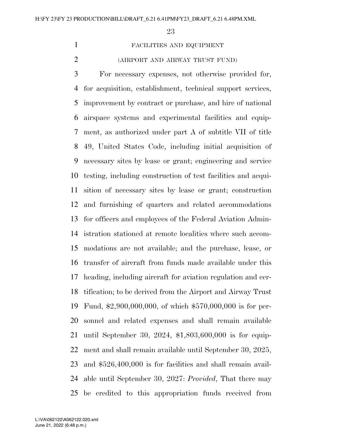### FACILITIES AND EQUIPMENT

#### (AIRPORT AND AIRWAY TRUST FUND)

 For necessary expenses, not otherwise provided for, for acquisition, establishment, technical support services, improvement by contract or purchase, and hire of national airspace systems and experimental facilities and equip- ment, as authorized under part A of subtitle VII of title 49, United States Code, including initial acquisition of necessary sites by lease or grant; engineering and service testing, including construction of test facilities and acqui- sition of necessary sites by lease or grant; construction and furnishing of quarters and related accommodations for officers and employees of the Federal Aviation Admin- istration stationed at remote localities where such accom- modations are not available; and the purchase, lease, or transfer of aircraft from funds made available under this heading, including aircraft for aviation regulation and cer- tification; to be derived from the Airport and Airway Trust Fund, \$2,900,000,000, of which \$570,000,000 is for per- sonnel and related expenses and shall remain available until September 30, 2024, \$1,803,600,000 is for equip- ment and shall remain available until September 30, 2025, and \$526,400,000 is for facilities and shall remain avail- able until September 30, 2027: *Provided*, That there may be credited to this appropriation funds received from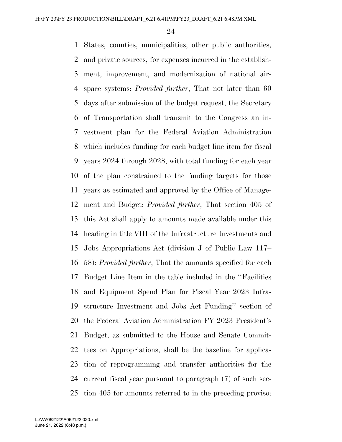States, counties, municipalities, other public authorities, and private sources, for expenses incurred in the establish- ment, improvement, and modernization of national air- space systems: *Provided further*, That not later than 60 days after submission of the budget request, the Secretary of Transportation shall transmit to the Congress an in- vestment plan for the Federal Aviation Administration which includes funding for each budget line item for fiscal years 2024 through 2028, with total funding for each year of the plan constrained to the funding targets for those years as estimated and approved by the Office of Manage- ment and Budget: *Provided further*, That section 405 of this Act shall apply to amounts made available under this heading in title VIII of the Infrastructure Investments and Jobs Appropriations Act (division J of Public Law 117– 58): *Provided further*, That the amounts specified for each Budget Line Item in the table included in the ''Facilities and Equipment Spend Plan for Fiscal Year 2023 Infra- structure Investment and Jobs Act Funding'' section of the Federal Aviation Administration FY 2023 President's Budget, as submitted to the House and Senate Commit- tees on Appropriations, shall be the baseline for applica- tion of reprogramming and transfer authorities for the current fiscal year pursuant to paragraph (7) of such sec-tion 405 for amounts referred to in the preceding proviso: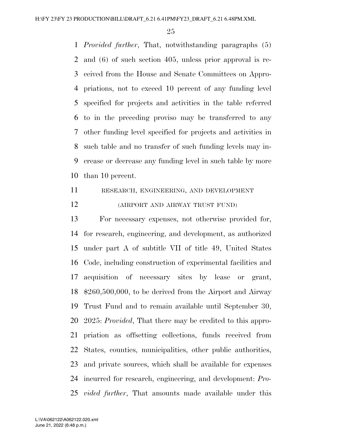*Provided further*, That, notwithstanding paragraphs (5) and (6) of such section 405, unless prior approval is re- ceived from the House and Senate Committees on Appro- priations, not to exceed 10 percent of any funding level specified for projects and activities in the table referred to in the preceding proviso may be transferred to any other funding level specified for projects and activities in such table and no transfer of such funding levels may in- crease or decrease any funding level in such table by more than 10 percent.

 RESEARCH, ENGINEERING, AND DEVELOPMENT (AIRPORT AND AIRWAY TRUST FUND)

 For necessary expenses, not otherwise provided for, for research, engineering, and development, as authorized under part A of subtitle VII of title 49, United States Code, including construction of experimental facilities and acquisition of necessary sites by lease or grant, \$260,500,000, to be derived from the Airport and Airway Trust Fund and to remain available until September 30, 2025: *Provided*, That there may be credited to this appro- priation as offsetting collections, funds received from States, counties, municipalities, other public authorities, and private sources, which shall be available for expenses incurred for research, engineering, and development: *Pro-vided further*, That amounts made available under this

June 21, 2022 (6:48 p.m.) L:\VA\062122\A062122.020.xml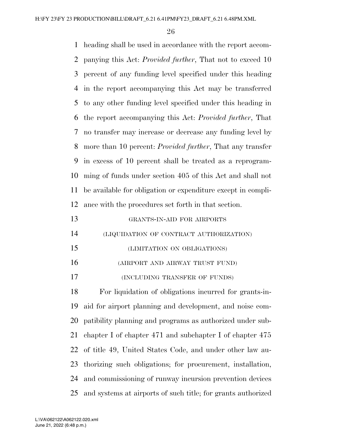heading shall be used in accordance with the report accom- panying this Act: *Provided further*, That not to exceed 10 percent of any funding level specified under this heading in the report accompanying this Act may be transferred to any other funding level specified under this heading in the report accompanying this Act: *Provided further*, That no transfer may increase or decrease any funding level by more than 10 percent: *Provided further*, That any transfer in excess of 10 percent shall be treated as a reprogram- ming of funds under section 405 of this Act and shall not be available for obligation or expenditure except in compli- ance with the procedures set forth in that section. GRANTS-IN-AID FOR AIRPORTS (LIQUIDATION OF CONTRACT AUTHORIZATION) (LIMITATION ON OBLIGATIONS) (AIRPORT AND AIRWAY TRUST FUND) (INCLUDING TRANSFER OF FUNDS) For liquidation of obligations incurred for grants-in- aid for airport planning and development, and noise com- patibility planning and programs as authorized under sub- chapter I of chapter 471 and subchapter I of chapter 475 of title 49, United States Code, and under other law au-thorizing such obligations; for procurement, installation,

 and commissioning of runway incursion prevention devices and systems at airports of such title; for grants authorized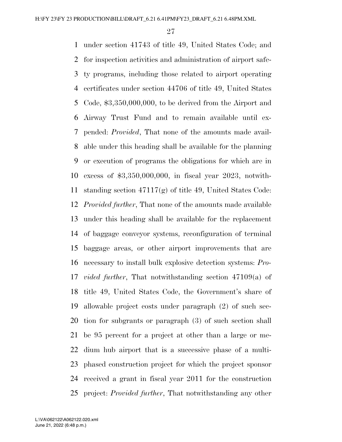under section 41743 of title 49, United States Code; and for inspection activities and administration of airport safe- ty programs, including those related to airport operating certificates under section 44706 of title 49, United States Code, \$3,350,000,000, to be derived from the Airport and Airway Trust Fund and to remain available until ex- pended: *Provided*, That none of the amounts made avail- able under this heading shall be available for the planning or execution of programs the obligations for which are in excess of \$3,350,000,000, in fiscal year 2023, notwith- standing section 47117(g) of title 49, United States Code: *Provided further*, That none of the amounts made available under this heading shall be available for the replacement of baggage conveyor systems, reconfiguration of terminal baggage areas, or other airport improvements that are necessary to install bulk explosive detection systems: *Pro- vided further*, That notwithstanding section 47109(a) of title 49, United States Code, the Government's share of allowable project costs under paragraph (2) of such sec- tion for subgrants or paragraph (3) of such section shall be 95 percent for a project at other than a large or me- dium hub airport that is a successive phase of a multi- phased construction project for which the project sponsor received a grant in fiscal year 2011 for the construction project: *Provided further*, That notwithstanding any other

June 21, 2022 (6:48 p.m.) L:\VA\062122\A062122.020.xml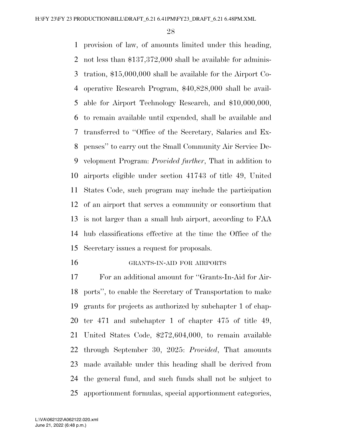provision of law, of amounts limited under this heading, not less than \$137,372,000 shall be available for adminis- tration, \$15,000,000 shall be available for the Airport Co- operative Research Program, \$40,828,000 shall be avail- able for Airport Technology Research, and \$10,000,000, to remain available until expended, shall be available and transferred to ''Office of the Secretary, Salaries and Ex- penses'' to carry out the Small Community Air Service De- velopment Program: *Provided further*, That in addition to airports eligible under section 41743 of title 49, United States Code, such program may include the participation of an airport that serves a community or consortium that is not larger than a small hub airport, according to FAA hub classifications effective at the time the Office of the Secretary issues a request for proposals.

GRANTS-IN-AID FOR AIRPORTS

 For an additional amount for ''Grants-In-Aid for Air- ports'', to enable the Secretary of Transportation to make grants for projects as authorized by subchapter 1 of chap- ter 471 and subchapter 1 of chapter 475 of title 49, United States Code, \$272,604,000, to remain available through September 30, 2025: *Provided*, That amounts made available under this heading shall be derived from the general fund, and such funds shall not be subject to apportionment formulas, special apportionment categories,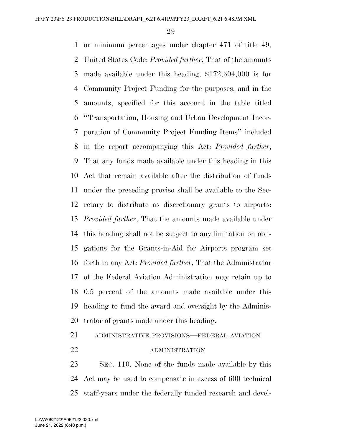or minimum percentages under chapter 471 of title 49, United States Code: *Provided further*, That of the amounts made available under this heading, \$172,604,000 is for Community Project Funding for the purposes, and in the amounts, specified for this account in the table titled ''Transportation, Housing and Urban Development Incor- poration of Community Project Funding Items'' included in the report accompanying this Act: *Provided further*, That any funds made available under this heading in this Act that remain available after the distribution of funds under the preceding proviso shall be available to the Sec- retary to distribute as discretionary grants to airports: *Provided further*, That the amounts made available under this heading shall not be subject to any limitation on obli- gations for the Grants-in-Aid for Airports program set forth in any Act: *Provided further*, That the Administrator of the Federal Aviation Administration may retain up to 0.5 percent of the amounts made available under this heading to fund the award and oversight by the Adminis-trator of grants made under this heading.

# ADMINISTRATIVE PROVISIONS—FEDERAL AVIATION

#### 22 ADMINISTRATION

 SEC. 110. None of the funds made available by this Act may be used to compensate in excess of 600 technical staff-years under the federally funded research and devel-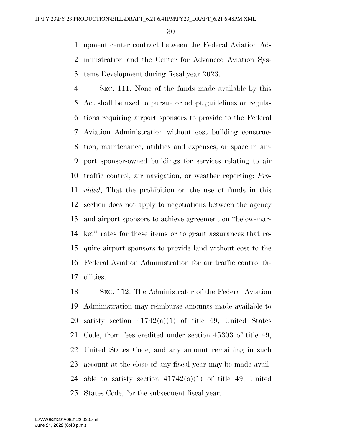opment center contract between the Federal Aviation Ad- ministration and the Center for Advanced Aviation Sys-tems Development during fiscal year 2023.

 SEC. 111. None of the funds made available by this Act shall be used to pursue or adopt guidelines or regula- tions requiring airport sponsors to provide to the Federal Aviation Administration without cost building construc- tion, maintenance, utilities and expenses, or space in air- port sponsor-owned buildings for services relating to air traffic control, air navigation, or weather reporting: *Pro- vided*, That the prohibition on the use of funds in this section does not apply to negotiations between the agency and airport sponsors to achieve agreement on ''below-mar- ket'' rates for these items or to grant assurances that re- quire airport sponsors to provide land without cost to the Federal Aviation Administration for air traffic control fa-cilities.

 SEC. 112. The Administrator of the Federal Aviation Administration may reimburse amounts made available to 20 satisfy section  $41742(a)(1)$  of title 49, United States Code, from fees credited under section 45303 of title 49, United States Code, and any amount remaining in such account at the close of any fiscal year may be made avail-24 able to satisfy section  $41742(a)(1)$  of title 49, United States Code, for the subsequent fiscal year.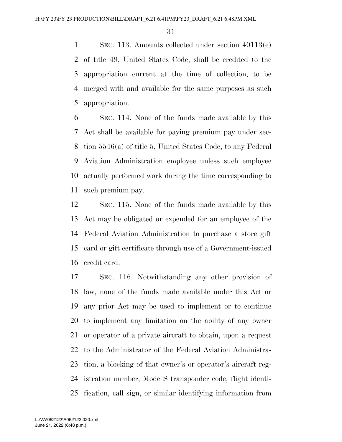SEC. 113. Amounts collected under section 40113(e) of title 49, United States Code, shall be credited to the appropriation current at the time of collection, to be merged with and available for the same purposes as such appropriation.

 SEC. 114. None of the funds made available by this Act shall be available for paying premium pay under sec- tion 5546(a) of title 5, United States Code, to any Federal Aviation Administration employee unless such employee actually performed work during the time corresponding to such premium pay.

 SEC. 115. None of the funds made available by this Act may be obligated or expended for an employee of the Federal Aviation Administration to purchase a store gift card or gift certificate through use of a Government-issued credit card.

 SEC. 116. Notwithstanding any other provision of law, none of the funds made available under this Act or any prior Act may be used to implement or to continue to implement any limitation on the ability of any owner or operator of a private aircraft to obtain, upon a request to the Administrator of the Federal Aviation Administra- tion, a blocking of that owner's or operator's aircraft reg- istration number, Mode S transponder code, flight identi-fication, call sign, or similar identifying information from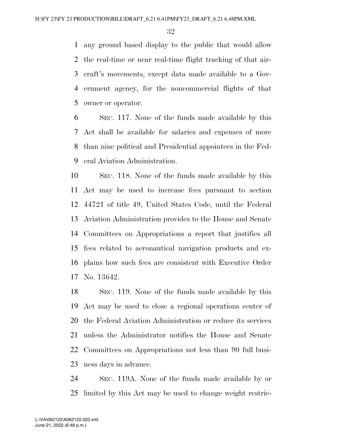any ground based display to the public that would allow the real-time or near real-time flight tracking of that air- craft's movements, except data made available to a Gov- ernment agency, for the noncommercial flights of that owner or operator.

 SEC. 117. None of the funds made available by this Act shall be available for salaries and expenses of more than nine political and Presidential appointees in the Fed-eral Aviation Administration.

 SEC. 118. None of the funds made available by this Act may be used to increase fees pursuant to section 44721 of title 49, United States Code, until the Federal Aviation Administration provides to the House and Senate Committees on Appropriations a report that justifies all fees related to aeronautical navigation products and ex- plains how such fees are consistent with Executive Order No. 13642.

 SEC. 119. None of the funds made available by this Act may be used to close a regional operations center of the Federal Aviation Administration or reduce its services unless the Administrator notifies the House and Senate Committees on Appropriations not less than 90 full busi-ness days in advance.

 SEC. 119A. None of the funds made available by or limited by this Act may be used to change weight restric-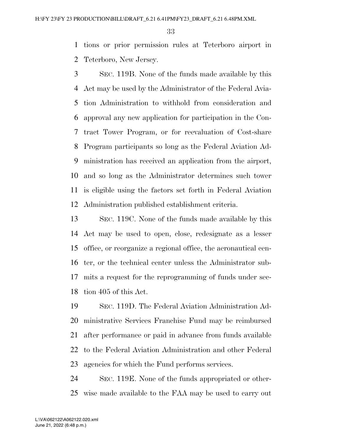tions or prior permission rules at Teterboro airport in Teterboro, New Jersey.

 SEC. 119B. None of the funds made available by this Act may be used by the Administrator of the Federal Avia- tion Administration to withhold from consideration and approval any new application for participation in the Con- tract Tower Program, or for reevaluation of Cost-share Program participants so long as the Federal Aviation Ad- ministration has received an application from the airport, and so long as the Administrator determines such tower is eligible using the factors set forth in Federal Aviation Administration published establishment criteria.

 SEC. 119C. None of the funds made available by this Act may be used to open, close, redesignate as a lesser office, or reorganize a regional office, the aeronautical cen- ter, or the technical center unless the Administrator sub- mits a request for the reprogramming of funds under sec-tion 405 of this Act.

 SEC. 119D. The Federal Aviation Administration Ad- ministrative Services Franchise Fund may be reimbursed after performance or paid in advance from funds available to the Federal Aviation Administration and other Federal agencies for which the Fund performs services.

 SEC. 119E. None of the funds appropriated or other-wise made available to the FAA may be used to carry out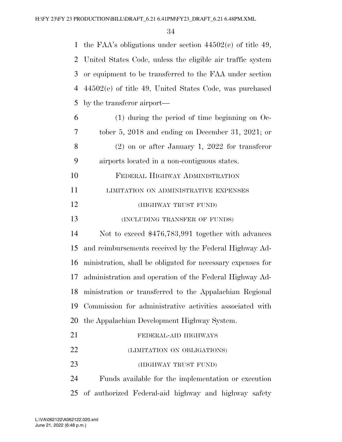the FAA's obligations under section 44502(e) of title 49, United States Code, unless the eligible air traffic system or equipment to be transferred to the FAA under section 44502(e) of title 49, United States Code, was purchased by the transferor airport—

| 6  | $(1)$ during the period of time beginning on Oc-            |
|----|-------------------------------------------------------------|
| 7  | tober 5, 2018 and ending on December 31, 2021; or           |
| 8  | $(2)$ on or after January 1, 2022 for transferor            |
| 9  | airports located in a non-contiguous states.                |
| 10 | FEDERAL HIGHWAY ADMINISTRATION                              |
| 11 | LIMITATION ON ADMINISTRATIVE EXPENSES                       |
| 12 | (HIGHWAY TRUST FUND)                                        |
| 13 | (INCLUDING TRANSFER OF FUNDS)                               |
| 14 | Not to exceed \$476,783,991 together with advances          |
| 15 | and reimbursements received by the Federal Highway Ad-      |
| 16 | ministration, shall be obligated for necessary expenses for |
| 17 | administration and operation of the Federal Highway Ad-     |
| 18 | ministration or transferred to the Appalachian Regional     |
| 19 | Commission for administrative activities associated with    |
| 20 | the Appalachian Development Highway System.                 |
| 21 | FEDERAL-AID HIGHWAYS                                        |
| 22 | (LIMITATION ON OBLIGATIONS)                                 |
| 23 | (HIGHWAY TRUST FUND)                                        |

 Funds available for the implementation or execution of authorized Federal-aid highway and highway safety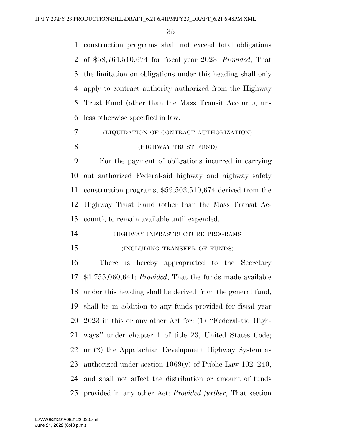construction programs shall not exceed total obligations of \$58,764,510,674 for fiscal year 2023: *Provided*, That the limitation on obligations under this heading shall only apply to contract authority authorized from the Highway Trust Fund (other than the Mass Transit Account), un-less otherwise specified in law.

 (LIQUIDATION OF CONTRACT AUTHORIZATION) (HIGHWAY TRUST FUND)

 For the payment of obligations incurred in carrying out authorized Federal-aid highway and highway safety construction programs, \$59,503,510,674 derived from the Highway Trust Fund (other than the Mass Transit Ac-count), to remain available until expended.

- HIGHWAY INFRASTRUCTURE PROGRAMS
- 

# (INCLUDING TRANSFER OF FUNDS)

 There is hereby appropriated to the Secretary \$1,755,060,641: *Provided*, That the funds made available under this heading shall be derived from the general fund, shall be in addition to any funds provided for fiscal year 2023 in this or any other Act for: (1) ''Federal-aid High- ways'' under chapter 1 of title 23, United States Code; or (2) the Appalachian Development Highway System as authorized under section 1069(y) of Public Law 102–240, and shall not affect the distribution or amount of funds provided in any other Act: *Provided further*, That section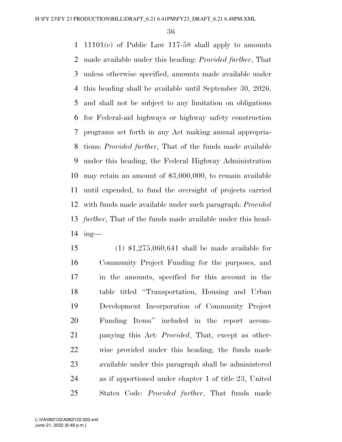11101(e) of Public Law 117-58 shall apply to amounts made available under this heading: *Provided further*, That unless otherwise specified, amounts made available under this heading shall be available until September 30, 2026, and shall not be subject to any limitation on obligations for Federal-aid highways or highway safety construction programs set forth in any Act making annual appropria- tions: *Provided further*, That of the funds made available under this heading, the Federal Highway Administration may retain an amount of \$3,000,000, to remain available until expended, to fund the oversight of projects carried with funds made available under such paragraph: *Provided further*, That of the funds made available under this head-ing—

 (1) \$1,275,060,641 shall be made available for Community Project Funding for the purposes, and in the amounts, specified for this account in the table titled ''Transportation, Housing and Urban Development Incorporation of Community Project Funding Items'' included in the report accom- panying this Act: *Provided*, That, except as other- wise provided under this heading, the funds made available under this paragraph shall be administered as if apportioned under chapter 1 of title 23, United States Code: *Provided further*, That funds made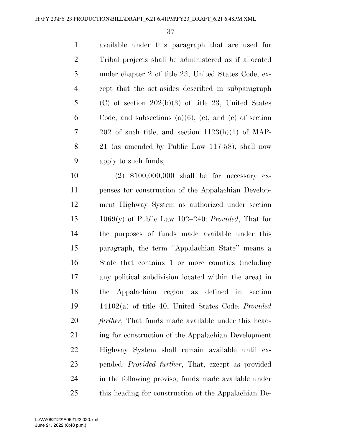available under this paragraph that are used for Tribal projects shall be administered as if allocated under chapter 2 of title 23, United States Code, ex- cept that the set-asides described in subparagraph (C) of section 202(b)(3) of title 23, United States 6 Code, and subsections  $(a)(6)$ ,  $(c)$ , and  $(e)$  of section 202 of such title, and section 1123(h)(1) of MAP- 21 (as amended by Public Law 117-58), shall now apply to such funds;

 (2) \$100,000,000 shall be for necessary ex- penses for construction of the Appalachian Develop- ment Highway System as authorized under section 1069(y) of Public Law 102–240: *Provided*, That for the purposes of funds made available under this paragraph, the term ''Appalachian State'' means a State that contains 1 or more counties (including any political subdivision located within the area) in the Appalachian region as defined in section 14102(a) of title 40, United States Code: *Provided further*, That funds made available under this head- ing for construction of the Appalachian Development Highway System shall remain available until ex- pended: *Provided further*, That, except as provided in the following proviso, funds made available under this heading for construction of the Appalachian De-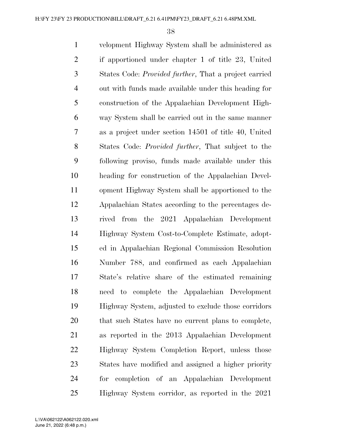velopment Highway System shall be administered as if apportioned under chapter 1 of title 23, United States Code: *Provided further*, That a project carried out with funds made available under this heading for construction of the Appalachian Development High- way System shall be carried out in the same manner as a project under section 14501 of title 40, United States Code: *Provided further*, That subject to the following proviso, funds made available under this heading for construction of the Appalachian Devel- opment Highway System shall be apportioned to the Appalachian States according to the percentages de- rived from the 2021 Appalachian Development Highway System Cost-to-Complete Estimate, adopt- ed in Appalachian Regional Commission Resolution Number 788, and confirmed as each Appalachian State's relative share of the estimated remaining need to complete the Appalachian Development Highway System, adjusted to exclude those corridors that such States have no current plans to complete, as reported in the 2013 Appalachian Development Highway System Completion Report, unless those States have modified and assigned a higher priority for completion of an Appalachian Development Highway System corridor, as reported in the 2021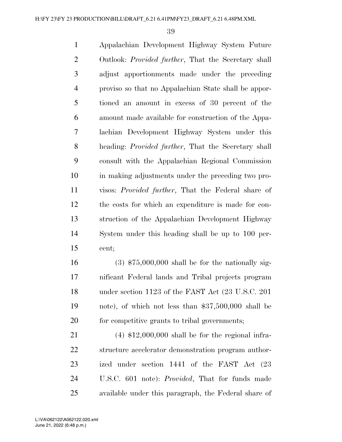Appalachian Development Highway System Future Outlook: *Provided further*, That the Secretary shall adjust apportionments made under the preceding proviso so that no Appalachian State shall be appor- tioned an amount in excess of 30 percent of the amount made available for construction of the Appa- lachian Development Highway System under this heading: *Provided further*, That the Secretary shall consult with the Appalachian Regional Commission in making adjustments under the preceding two pro- visos: *Provided further*, That the Federal share of the costs for which an expenditure is made for con- struction of the Appalachian Development Highway System under this heading shall be up to 100 per-cent;

 (3) \$75,000,000 shall be for the nationally sig- nificant Federal lands and Tribal projects program under section 1123 of the FAST Act (23 U.S.C. 201 note), of which not less than \$37,500,000 shall be for competitive grants to tribal governments;

 (4) \$12,000,000 shall be for the regional infra- structure accelerator demonstration program author- ized under section 1441 of the FAST Act (23 U.S.C. 601 note): *Provided*, That for funds made available under this paragraph, the Federal share of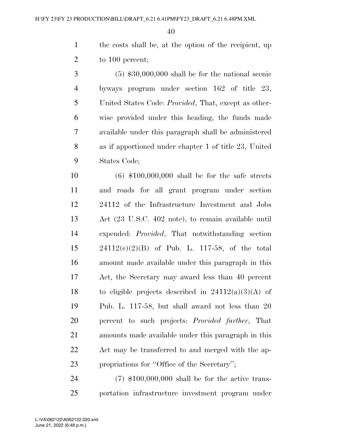the costs shall be, at the option of the recipient, up 2 to 100 percent;

 (5) \$30,000,000 shall be for the national scenic byways program under section 162 of title 23, United States Code: *Provided*, That, except as other- wise provided under this heading, the funds made available under this paragraph shall be administered as if apportioned under chapter 1 of title 23, United States Code;

 (6) \$100,000,000 shall be for the safe streets and roads for all grant program under section 24112 of the Infrastructure Investment and Jobs Act (23 U.S.C. 402 note), to remain available until expended: *Provided*, That notwithstanding section 24112(c)(2)(B) of Pub. L. 117-58, of the total amount made available under this paragraph in this Act, the Secretary may award less than 40 percent 18 to eligible projects described in  $24112(a)(3)(A)$  of Pub. L. 117-58, but shall award not less than 20 percent to such projects: *Provided further*, That amounts made available under this paragraph in this Act may be transferred to and merged with the ap-propriations for ''Office of the Secretary'';

 (7) \$100,000,000 shall be for the active trans-portation infrastructure investment program under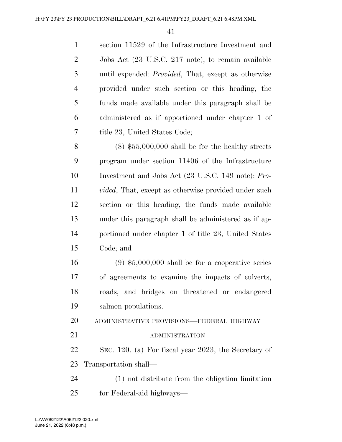section 11529 of the Infrastructure Investment and Jobs Act (23 U.S.C. 217 note), to remain available until expended: *Provided*, That, except as otherwise provided under such section or this heading, the funds made available under this paragraph shall be administered as if apportioned under chapter 1 of title 23, United States Code;

 (8) \$55,000,000 shall be for the healthy streets program under section 11406 of the Infrastructure Investment and Jobs Act (23 U.S.C. 149 note): *Pro- vided*, That, except as otherwise provided under such section or this heading, the funds made available under this paragraph shall be administered as if ap- portioned under chapter 1 of title 23, United States Code; and

 (9) \$5,000,000 shall be for a cooperative series of agreements to examine the impacts of culverts, roads, and bridges on threatened or endangered salmon populations.

ADMINISTRATIVE PROVISIONS—FEDERAL HIGHWAY

### 21 ADMINISTRATION

 SEC. 120. (a) For fiscal year 2023, the Secretary of Transportation shall—

 (1) not distribute from the obligation limitation for Federal-aid highways—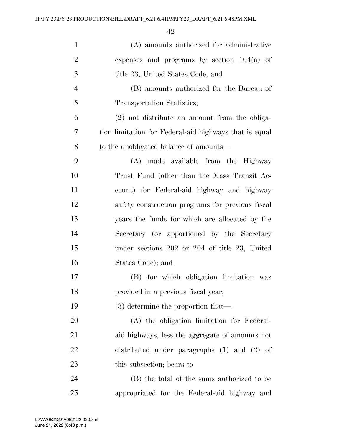| $\mathbf{1}$   | (A) amounts authorized for administrative              |
|----------------|--------------------------------------------------------|
| $\overline{2}$ | expenses and programs by section $104(a)$ of           |
| 3              | title 23, United States Code; and                      |
| $\overline{4}$ | (B) amounts authorized for the Bureau of               |
| 5              | Transportation Statistics;                             |
| 6              | (2) not distribute an amount from the obliga-          |
| $\tau$         | tion limitation for Federal-aid highways that is equal |
| 8              | to the unobligated balance of amounts—                 |
| 9              | made available from the Highway<br>(A)                 |
| 10             | Trust Fund (other than the Mass Transit Ac-            |
| 11             | count) for Federal-aid highway and highway             |
| 12             | safety construction programs for previous fiscal       |
| 13             | years the funds for which are allocated by the         |
| 14             | Secretary (or apportioned by the Secretary             |
| 15             | under sections $202$ or $204$ of title $23$ , United   |
| 16             | States Code); and                                      |
| 17             | (B) for which obligation limitation was                |
| 18             | provided in a previous fiscal year;                    |
| 19             | $(3)$ determine the proportion that—                   |
| 20             | (A) the obligation limitation for Federal-             |
| 21             | aid highways, less the aggregate of amounts not        |
| 22             | distributed under paragraphs $(1)$ and $(2)$ of        |
| 23             | this subsection; bears to                              |
| 24             | (B) the total of the sums authorized to be             |
| 25             | appropriated for the Federal-aid highway and           |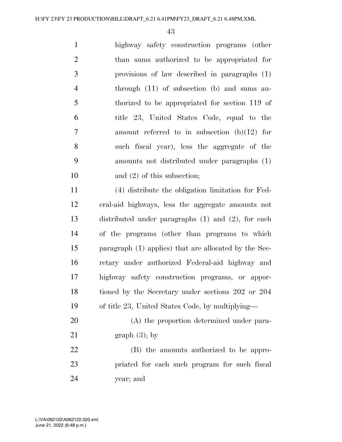highway safety construction programs (other than sums authorized to be appropriated for provisions of law described in paragraphs (1) through (11) of subsection (b) and sums au- thorized to be appropriated for section 119 of title 23, United States Code, equal to the amount referred to in subsection (b)(12) for such fiscal year), less the aggregate of the amounts not distributed under paragraphs (1) 10 and (2) of this subsection;

 (4) distribute the obligation limitation for Fed- eral-aid highways, less the aggregate amounts not distributed under paragraphs (1) and (2), for each of the programs (other than programs to which paragraph (1) applies) that are allocated by the Sec- retary under authorized Federal-aid highway and highway safety construction programs, or appor- tioned by the Secretary under sections 202 or 204 of title 23, United States Code, by multiplying—

 (A) the proportion determined under para-21 graph  $(3)$ ; by

 (B) the amounts authorized to be appro- priated for each such program for such fiscal year; and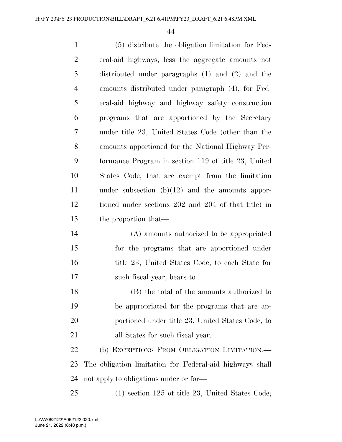| $\mathbf{1}$   | (5) distribute the obligation limitation for Fed-        |
|----------------|----------------------------------------------------------|
| $\overline{2}$ | eral-aid highways, less the aggregate amounts not        |
| 3              | distributed under paragraphs $(1)$ and $(2)$ and the     |
| $\overline{4}$ | amounts distributed under paragraph (4), for Fed-        |
| 5              | eral-aid highway and highway safety construction         |
| 6              | programs that are apportioned by the Secretary           |
| $\tau$         | under title 23, United States Code (other than the       |
| 8              | amounts apportioned for the National Highway Per-        |
| 9              | formance Program in section 119 of title 23, United      |
| 10             | States Code, that are exempt from the limitation         |
| 11             | under subsection $(b)(12)$ and the amounts appor-        |
| 12             | tioned under sections 202 and 204 of that title) in      |
| 13             | the proportion that—                                     |
| 14             | (A) amounts authorized to be appropriated                |
| 15             | for the programs that are apportioned under              |
| 16             | title 23, United States Code, to each State for          |
| 17             | such fiscal year; bears to                               |
| 18             | (B) the total of the amounts authorized to               |
| 19             | be appropriated for the programs that are ap-            |
| 20             | portioned under title 23, United States Code, to         |
| 21             | all States for such fiscal year.                         |
| 22             | (b) EXCEPTIONS FROM OBLIGATION LIMITATION.—              |
| 23             | The obligation limitation for Federal-aid highways shall |
| 24             | not apply to obligations under or for—                   |

(1) section 125 of title 23, United States Code;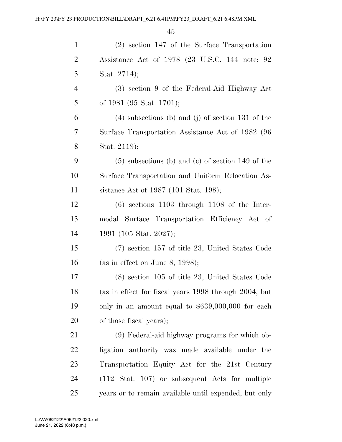| $\mathbf{1}$   | $(2)$ section 147 of the Surface Transportation            |
|----------------|------------------------------------------------------------|
| $\overline{2}$ | Assistance Act of 1978 (23 U.S.C. 144 note; 92             |
| 3              | Stat. 2714);                                               |
| $\overline{4}$ | (3) section 9 of the Federal-Aid Highway Act               |
| 5              | of 1981 (95 Stat. 1701);                                   |
| 6              | $(4)$ subsections (b) and (j) of section 131 of the        |
| 7              | Surface Transportation Assistance Act of 1982 (96          |
| 8              | Stat. 2119);                                               |
| 9              | $(5)$ subsections (b) and (c) of section 149 of the        |
| 10             | Surface Transportation and Uniform Relocation As-          |
| 11             | sistance Act of 1987 (101 Stat. 198);                      |
| 12             | $(6)$ sections 1103 through 1108 of the Inter-             |
| 13             | modal Surface Transportation Efficiency Act of             |
| 14             | 1991 (105 Stat. 2027);                                     |
| 15             | (7) section 157 of title 23, United States Code            |
| 16             | (as in effect on June 8, 1998);                            |
| 17             | $(8)$ section 105 of title 23, United States Code          |
| 18             | (as in effect for fiscal years 1998 through 2004, but      |
| 19             | only in an amount equal to \$639,000,000 for each          |
| 20             | of those fiscal years);                                    |
| 21             | (9) Federal-aid highway programs for which ob-             |
| 22             | ligation authority was made available under the            |
| 23             | Transportation Equity Act for the 21st Century             |
| 24             | $(112 \text{ Stat. } 107)$ or subsequent Acts for multiple |
| 25             | years or to remain available until expended, but only      |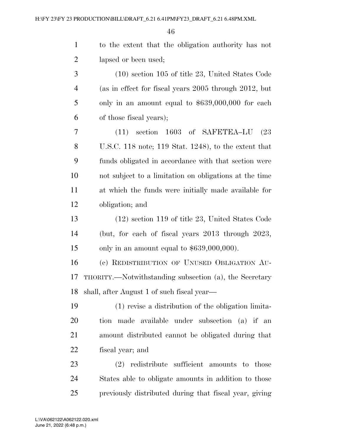| $\mathbf{1}$   | to the extent that the obligation authority has not    |
|----------------|--------------------------------------------------------|
| $\overline{c}$ | lapsed or been used;                                   |
| 3              | $(10)$ section 105 of title 23, United States Code     |
| 4              | (as in effect for fiscal years 2005 through 2012, but  |
| 5              | only in an amount equal to $$639,000,000$ for each     |
| 6              | of those fiscal years);                                |
| 7              | $(11)$ section 1603 of SAFETEA-LU<br>(23)              |
| 8              | U.S.C. 118 note; 119 Stat. 1248), to the extent that   |
| 9              | funds obligated in accordance with that section were   |
| 10             | not subject to a limitation on obligations at the time |
| 11             | at which the funds were initially made available for   |
| 12             | obligation; and                                        |
| 13             | $(12)$ section 119 of title 23, United States Code     |
| 14             | (but, for each of fiscal years $2013$ through $2023$ , |
| 15             | only in an amount equal to $$639,000,000$ .            |
| 16             | (c) REDISTRIBUTION OF UNUSED OBLIGATION AU-            |
| 17             | THORITY.—Notwithstanding subsection (a), the Secretary |
|                | 18 shall, after August 1 of such fiscal year—          |
| 19             | (1) revise a distribution of the obligation limita-    |
| 20             | tion made available under subsection (a) if an         |
| 21             | amount distributed cannot be obligated during that     |
| 22             | fiscal year; and                                       |
| 23             | (2) redistribute sufficient amounts to those           |
| 24             | States able to obligate amounts in addition to those   |
| 25             | previously distributed during that fiscal year, giving |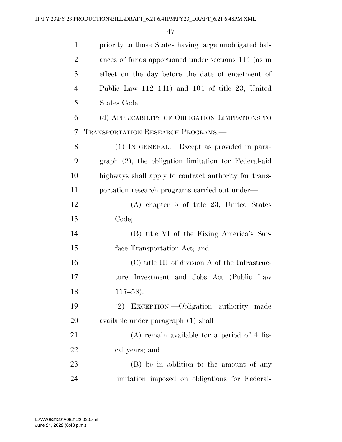| $\mathbf{1}$   | priority to those States having large unobligated bal- |
|----------------|--------------------------------------------------------|
| $\overline{2}$ | ances of funds apportioned under sections 144 (as in   |
| 3              | effect on the day before the date of enactment of      |
| $\overline{4}$ | Public Law $112-141$ ) and $104$ of title 23, United   |
| 5              | States Code.                                           |
| 6              | (d) APPLICABILITY OF OBLIGATION LIMITATIONS TO         |
| 7              | TRANSPORTATION RESEARCH PROGRAMS.                      |
| 8              | (1) IN GENERAL.—Except as provided in para-            |
| 9              | graph (2), the obligation limitation for Federal-aid   |
| 10             | highways shall apply to contract authority for trans-  |
| 11             | portation research programs carried out under—         |
| 12             | $(A)$ chapter 5 of title 23, United States             |
| 13             | Code;                                                  |
| 14             | (B) title VI of the Fixing America's Sur-              |
| 15             | face Transportation Act; and                           |
| 16             | (C) title III of division A of the Infrastruc-         |
| 17             | Investment and Jobs Act (Public Law<br>ture            |
| 18             | $117 - 58$ ).                                          |
| 19             | EXCEPTION.—Obligation authority made<br>(2)            |
| 20             | available under paragraph (1) shall—                   |
| 21             | $(A)$ remain available for a period of 4 fis-          |
| 22             | cal years; and                                         |
| 23             | (B) be in addition to the amount of any                |
| 24             | limitation imposed on obligations for Federal-         |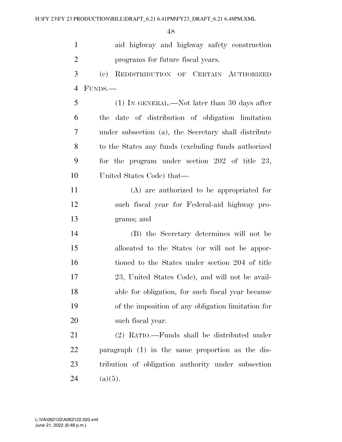| $\mathbf{1}$   | aid highway and highway safety construction          |
|----------------|------------------------------------------------------|
| $\overline{2}$ | programs for future fiscal years.                    |
| 3              | REDISTRIBUTION OF CERTAIN AUTHORIZED<br>(e)          |
| $\overline{4}$ | FUNDS.—                                              |
| 5              | $(1)$ In GENERAL.—Not later than 30 days after       |
| 6              | date of distribution of obligation limitation<br>the |
| $\tau$         | under subsection (a), the Secretary shall distribute |
| 8              | to the States any funds (excluding funds authorized) |
| 9              | for the program under section $202$ of title $23$ ,  |
| 10             | United States Code) that—                            |
| 11             | $(A)$ are authorized to be appropriated for          |
| 12             | such fiscal year for Federal-aid highway pro-        |
| 13             | grams; and                                           |
| 14             | (B) the Secretary determines will not be             |
| 15             | allocated to the States (or will not be appor-       |
| 16             | tioned to the States under section 204 of title      |
| 17             | 23, United States Code), and will not be avail-      |
| 18             | able for obligation, for such fiscal year because    |
| 19             | of the imposition of any obligation limitation for   |
| 20             | such fiscal year.                                    |
| 21             | (2) RATIO.—Funds shall be distributed under          |
| 22             | paragraph (1) in the same proportion as the dis-     |
| 23             | tribution of obligation authority under subsection   |
| 24             | $(a)(5)$ .                                           |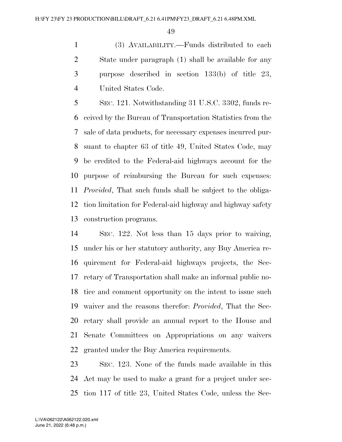(3) AVAILABILITY.—Funds distributed to each State under paragraph (1) shall be available for any purpose described in section 133(b) of title 23, United States Code.

 SEC. 121. Notwithstanding 31 U.S.C. 3302, funds re- ceived by the Bureau of Transportation Statistics from the sale of data products, for necessary expenses incurred pur- suant to chapter 63 of title 49, United States Code, may be credited to the Federal-aid highways account for the purpose of reimbursing the Bureau for such expenses: *Provided*, That such funds shall be subject to the obliga- tion limitation for Federal-aid highway and highway safety construction programs.

 SEC. 122. Not less than 15 days prior to waiving, under his or her statutory authority, any Buy America re- quirement for Federal-aid highways projects, the Sec- retary of Transportation shall make an informal public no- tice and comment opportunity on the intent to issue such waiver and the reasons therefor: *Provided*, That the Sec- retary shall provide an annual report to the House and Senate Committees on Appropriations on any waivers granted under the Buy America requirements.

 SEC. 123. None of the funds made available in this Act may be used to make a grant for a project under sec-tion 117 of title 23, United States Code, unless the Sec-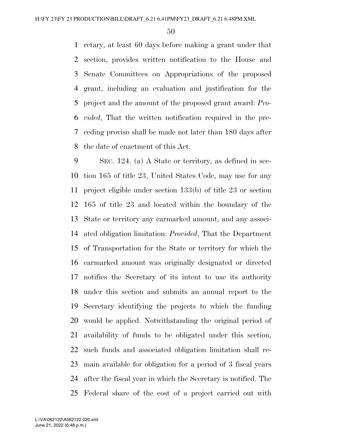retary, at least 60 days before making a grant under that section, provides written notification to the House and Senate Committees on Appropriations of the proposed grant, including an evaluation and justification for the project and the amount of the proposed grant award: *Pro- vided*, That the written notification required in the pre- ceding proviso shall be made not later than 180 days after the date of enactment of this Act.

 SEC. 124. (a) A State or territory, as defined in sec- tion 165 of title 23, United States Code, may use for any project eligible under section 133(b) of title 23 or section 165 of title 23 and located within the boundary of the State or territory any earmarked amount, and any associ- ated obligation limitation: *Provided*, That the Department of Transportation for the State or territory for which the earmarked amount was originally designated or directed notifies the Secretary of its intent to use its authority under this section and submits an annual report to the Secretary identifying the projects to which the funding would be applied. Notwithstanding the original period of availability of funds to be obligated under this section, such funds and associated obligation limitation shall re- main available for obligation for a period of 3 fiscal years after the fiscal year in which the Secretary is notified. The Federal share of the cost of a project carried out with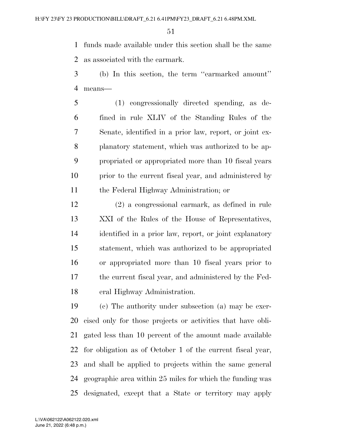funds made available under this section shall be the same as associated with the earmark.

- (b) In this section, the term ''earmarked amount'' means—
- (1) congressionally directed spending, as de- fined in rule XLIV of the Standing Rules of the Senate, identified in a prior law, report, or joint ex- planatory statement, which was authorized to be ap- propriated or appropriated more than 10 fiscal years prior to the current fiscal year, and administered by the Federal Highway Administration; or
- (2) a congressional earmark, as defined in rule XXI of the Rules of the House of Representatives, identified in a prior law, report, or joint explanatory statement, which was authorized to be appropriated or appropriated more than 10 fiscal years prior to the current fiscal year, and administered by the Fed-eral Highway Administration.

 (c) The authority under subsection (a) may be exer- cised only for those projects or activities that have obli- gated less than 10 percent of the amount made available for obligation as of October 1 of the current fiscal year, and shall be applied to projects within the same general geographic area within 25 miles for which the funding was designated, except that a State or territory may apply

June 21, 2022 (6:48 p.m.) L:\VA\062122\A062122.020.xml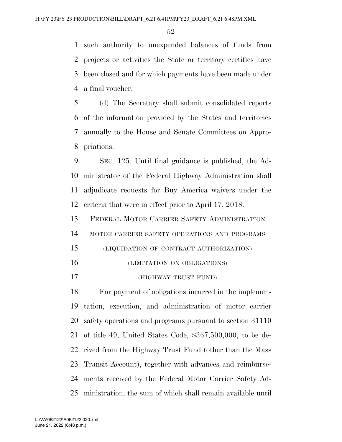such authority to unexpended balances of funds from projects or activities the State or territory certifies have been closed and for which payments have been made under a final voucher.

 (d) The Secretary shall submit consolidated reports of the information provided by the States and territories annually to the House and Senate Committees on Appro-priations.

 SEC. 125. Until final guidance is published, the Ad- ministrator of the Federal Highway Administration shall adjudicate requests for Buy America waivers under the criteria that were in effect prior to April 17, 2018.

 FEDERAL MOTOR CARRIER SAFETY ADMINISTRATION MOTOR CARRIER SAFETY OPERATIONS AND PROGRAMS (LIQUIDATION OF CONTRACT AUTHORIZATION)

- (LIMITATION ON OBLIGATIONS)
- (HIGHWAY TRUST FUND)

 For payment of obligations incurred in the implemen- tation, execution, and administration of motor carrier safety operations and programs pursuant to section 31110 of title 49, United States Code, \$367,500,000, to be de- rived from the Highway Trust Fund (other than the Mass Transit Account), together with advances and reimburse- ments received by the Federal Motor Carrier Safety Ad-ministration, the sum of which shall remain available until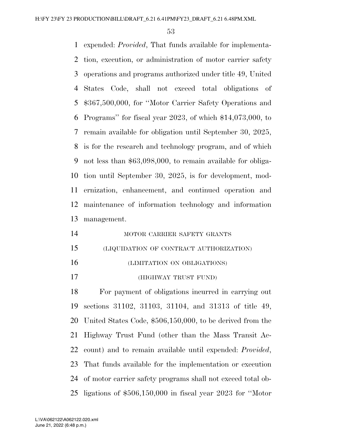expended: *Provided*, That funds available for implementa- tion, execution, or administration of motor carrier safety operations and programs authorized under title 49, United States Code, shall not exceed total obligations of \$367,500,000, for ''Motor Carrier Safety Operations and Programs'' for fiscal year 2023, of which \$14,073,000, to remain available for obligation until September 30, 2025, is for the research and technology program, and of which not less than \$63,098,000, to remain available for obliga- tion until September 30, 2025, is for development, mod- ernization, enhancement, and continued operation and maintenance of information technology and information management.

| 14 | MOTOR CARRIER SAFETY GRANTS             |
|----|-----------------------------------------|
| 15 | (LIQUIDATION OF CONTRACT AUTHORIZATION) |

- (LIMITATION ON OBLIGATIONS)
- (HIGHWAY TRUST FUND)

 For payment of obligations incurred in carrying out sections 31102, 31103, 31104, and 31313 of title 49, United States Code, \$506,150,000, to be derived from the Highway Trust Fund (other than the Mass Transit Ac- count) and to remain available until expended: *Provided*, That funds available for the implementation or execution of motor carrier safety programs shall not exceed total ob-ligations of \$506,150,000 in fiscal year 2023 for ''Motor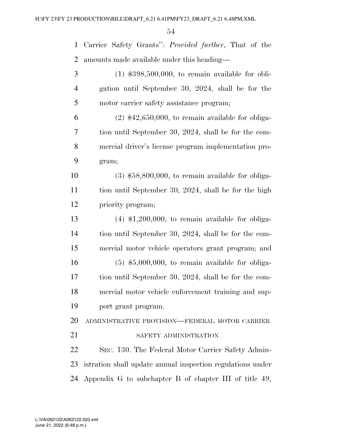Carrier Safety Grants'': *Provided further*, That of the amounts made available under this heading—

 (1) \$398,500,000, to remain available for obli- gation until September 30, 2024, shall be for the motor carrier safety assistance program;

 (2) \$42,650,000, to remain available for obliga- tion until September 30, 2024, shall be for the com- mercial driver's license program implementation pro-gram;

 (3) \$58,800,000, to remain available for obliga- tion until September 30, 2024, shall be for the high priority program;

 (4) \$1,200,000, to remain available for obliga- tion until September 30, 2024, shall be for the com- mercial motor vehicle operators grant program; and (5) \$5,000,000, to remain available for obliga- tion until September 30, 2024, shall be for the com- mercial motor vehicle enforcement training and sup-port grant program.

ADMINISTRATIVE PROVISION—FEDERAL MOTOR CARRIER

21 SAFETY ADMINISTRATION

 SEC. 130. The Federal Motor Carrier Safety Admin- istration shall update annual inspection regulations under Appendix G to subchapter B of chapter III of title 49,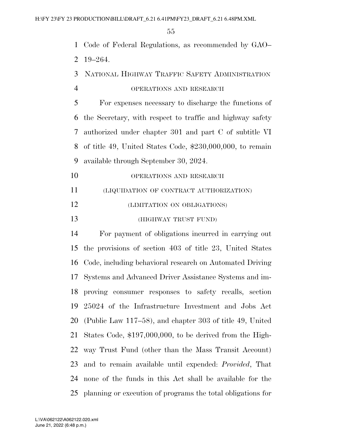Code of Federal Regulations, as recommended by GAO–

19–264.

- NATIONAL HIGHWAY TRAFFIC SAFETY ADMINISTRATION
- OPERATIONS AND RESEARCH

 For expenses necessary to discharge the functions of the Secretary, with respect to traffic and highway safety authorized under chapter 301 and part C of subtitle VI of title 49, United States Code, \$230,000,000, to remain available through September 30, 2024.

- 10 OPERATIONS AND RESEARCH
- (LIQUIDATION OF CONTRACT AUTHORIZATION)
- (LIMITATION ON OBLIGATIONS)
- (HIGHWAY TRUST FUND)

 For payment of obligations incurred in carrying out the provisions of section 403 of title 23, United States Code, including behavioral research on Automated Driving Systems and Advanced Driver Assistance Systems and im- proving consumer responses to safety recalls, section 25024 of the Infrastructure Investment and Jobs Act (Public Law 117–58), and chapter 303 of title 49, United States Code, \$197,000,000, to be derived from the High- way Trust Fund (other than the Mass Transit Account) and to remain available until expended: *Provided*, That none of the funds in this Act shall be available for the planning or execution of programs the total obligations for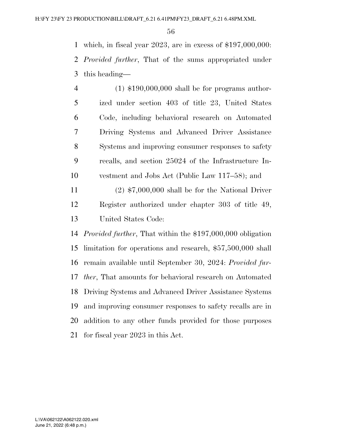which, in fiscal year 2023, are in excess of \$197,000,000: *Provided further*, That of the sums appropriated under this heading—

 (1) \$190,000,000 shall be for programs author- ized under section 403 of title 23, United States Code, including behavioral research on Automated Driving Systems and Advanced Driver Assistance Systems and improving consumer responses to safety recalls, and section 25024 of the Infrastructure In- vestment and Jobs Act (Public Law 117–58); and (2) \$7,000,000 shall be for the National Driver

 Register authorized under chapter 303 of title 49, United States Code:

 *Provided further*, That within the \$197,000,000 obligation limitation for operations and research, \$57,500,000 shall remain available until September 30, 2024: *Provided fur- ther*, That amounts for behavioral research on Automated Driving Systems and Advanced Driver Assistance Systems and improving consumer responses to safety recalls are in addition to any other funds provided for those purposes for fiscal year 2023 in this Act.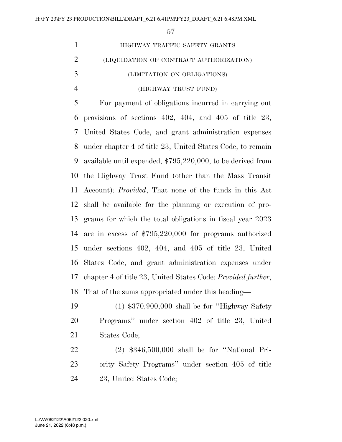| HIGHWAY TRAFFIC SAFETY GRANTS                       |
|-----------------------------------------------------|
| (LIQUIDATION OF CONTRACT AUTHORIZATION)             |
| (LIMITATION ON OBLIGATIONS)                         |
| (HIGHWAY TRUST FUND)                                |
| For payment of obligations incurred in carrying out |

 provisions of sections 402, 404, and 405 of title 23, United States Code, and grant administration expenses under chapter 4 of title 23, United States Code, to remain available until expended, \$795,220,000, to be derived from the Highway Trust Fund (other than the Mass Transit Account): *Provided*, That none of the funds in this Act shall be available for the planning or execution of pro- grams for which the total obligations in fiscal year 2023 are in excess of \$795,220,000 for programs authorized under sections 402, 404, and 405 of title 23, United States Code, and grant administration expenses under chapter 4 of title 23, United States Code: *Provided further*, That of the sums appropriated under this heading—

 (1) \$370,900,000 shall be for ''Highway Safety Programs'' under section 402 of title 23, United States Code;

 (2) \$346,500,000 shall be for ''National Pri- ority Safety Programs'' under section 405 of title 23, United States Code;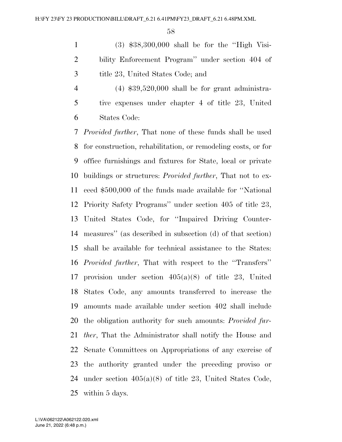(3) \$38,300,000 shall be for the ''High Visi- bility Enforcement Program'' under section 404 of title 23, United States Code; and

 (4) \$39,520,000 shall be for grant administra- tive expenses under chapter 4 of title 23, United States Code:

 *Provided further*, That none of these funds shall be used for construction, rehabilitation, or remodeling costs, or for office furnishings and fixtures for State, local or private buildings or structures: *Provided further*, That not to ex- ceed \$500,000 of the funds made available for ''National Priority Safety Programs'' under section 405 of title 23, United States Code, for ''Impaired Driving Counter- measures'' (as described in subsection (d) of that section) shall be available for technical assistance to the States: *Provided further*, That with respect to the ''Transfers'' provision under section 405(a)(8) of title 23, United States Code, any amounts transferred to increase the amounts made available under section 402 shall include the obligation authority for such amounts: *Provided fur- ther*, That the Administrator shall notify the House and Senate Committees on Appropriations of any exercise of the authority granted under the preceding proviso or under section 405(a)(8) of title 23, United States Code, within 5 days.

June 21, 2022 (6:48 p.m.) L:\VA\062122\A062122.020.xml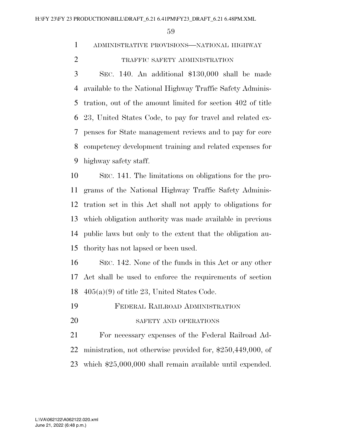ADMINISTRATIVE PROVISIONS—NATIONAL HIGHWAY

TRAFFIC SAFETY ADMINISTRATION

 SEC. 140. An additional \$130,000 shall be made available to the National Highway Traffic Safety Adminis- tration, out of the amount limited for section 402 of title 23, United States Code, to pay for travel and related ex- penses for State management reviews and to pay for core competency development training and related expenses for highway safety staff.

 SEC. 141. The limitations on obligations for the pro- grams of the National Highway Traffic Safety Adminis- tration set in this Act shall not apply to obligations for which obligation authority was made available in previous public laws but only to the extent that the obligation au-thority has not lapsed or been used.

 SEC. 142. None of the funds in this Act or any other Act shall be used to enforce the requirements of section 18  $405(a)(9)$  of title 23, United States Code.

- FEDERAL RAILROAD ADMINISTRATION
- 20 SAFETY AND OPERATIONS

 For necessary expenses of the Federal Railroad Ad- ministration, not otherwise provided for, \$250,449,000, of which \$25,000,000 shall remain available until expended.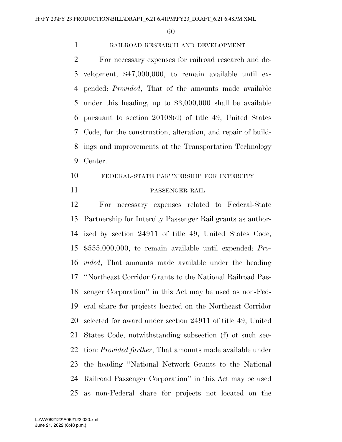# RAILROAD RESEARCH AND DEVELOPMENT

 For necessary expenses for railroad research and de- velopment, \$47,000,000, to remain available until ex- pended: *Provided*, That of the amounts made available under this heading, up to \$3,000,000 shall be available pursuant to section 20108(d) of title 49, United States Code, for the construction, alteration, and repair of build- ings and improvements at the Transportation Technology Center.

# FEDERAL-STATE PARTNERSHIP FOR INTERCITY PASSENGER RAIL

 For necessary expenses related to Federal-State Partnership for Intercity Passenger Rail grants as author- ized by section 24911 of title 49, United States Code, \$555,000,000, to remain available until expended: *Pro- vided*, That amounts made available under the heading ''Northeast Corridor Grants to the National Railroad Pas- senger Corporation'' in this Act may be used as non-Fed- eral share for projects located on the Northeast Corridor selected for award under section 24911 of title 49, United States Code, notwithstanding subsection (f) of such sec- tion: *Provided further*, That amounts made available under the heading ''National Network Grants to the National Railroad Passenger Corporation'' in this Act may be used as non-Federal share for projects not located on the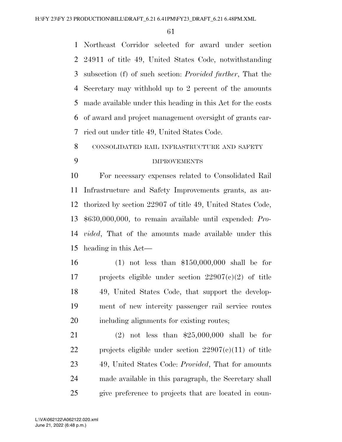Northeast Corridor selected for award under section 24911 of title 49, United States Code, notwithstanding subsection (f) of such section: *Provided further*, That the Secretary may withhold up to 2 percent of the amounts made available under this heading in this Act for the costs of award and project management oversight of grants car-ried out under title 49, United States Code.

CONSOLIDATED RAIL INFRASTRUCTURE AND SAFETY

# IMPROVEMENTS

 For necessary expenses related to Consolidated Rail Infrastructure and Safety Improvements grants, as au- thorized by section 22907 of title 49, United States Code, \$630,000,000, to remain available until expended: *Pro- vided*, That of the amounts made available under this heading in this Act—

 (1) not less than \$150,000,000 shall be for projects eligible under section 22907(c)(2) of title 49, United States Code, that support the develop- ment of new intercity passenger rail service routes including alignments for existing routes;

 (2) not less than \$25,000,000 shall be for projects eligible under section 22907(c)(11) of title 49, United States Code: *Provided*, That for amounts made available in this paragraph, the Secretary shall give preference to projects that are located in coun-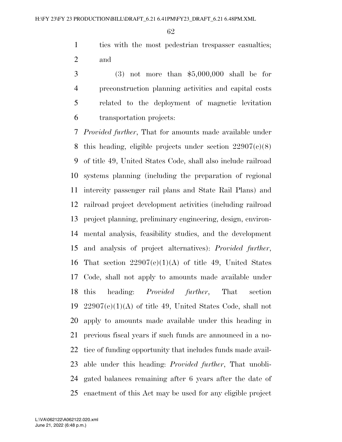ties with the most pedestrian trespasser casualties; and

 (3) not more than \$5,000,000 shall be for preconstruction planning activities and capital costs related to the deployment of magnetic levitation transportation projects:

 *Provided further*, That for amounts made available under this heading, eligible projects under section 22907(c)(8) of title 49, United States Code, shall also include railroad systems planning (including the preparation of regional intercity passenger rail plans and State Rail Plans) and railroad project development activities (including railroad project planning, preliminary engineering, design, environ- mental analysis, feasibility studies, and the development and analysis of project alternatives): *Provided further*, 16 That section  $22907(e)(1)(A)$  of title 49, United States Code, shall not apply to amounts made available under this heading: *Provided further*, That section  $22907(e)(1)(A)$  of title 49, United States Code, shall not apply to amounts made available under this heading in previous fiscal years if such funds are announced in a no- tice of funding opportunity that includes funds made avail- able under this heading: *Provided further*, That unobli- gated balances remaining after 6 years after the date of enactment of this Act may be used for any eligible project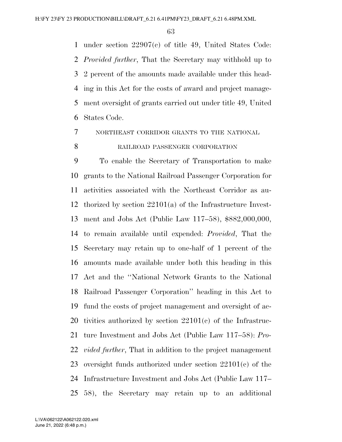under section 22907(c) of title 49, United States Code: *Provided further*, That the Secretary may withhold up to 2 percent of the amounts made available under this head- ing in this Act for the costs of award and project manage- ment oversight of grants carried out under title 49, United States Code.

NORTHEAST CORRIDOR GRANTS TO THE NATIONAL

# 8 RAILROAD PASSENGER CORPORATION

 To enable the Secretary of Transportation to make grants to the National Railroad Passenger Corporation for activities associated with the Northeast Corridor as au- thorized by section 22101(a) of the Infrastructure Invest- ment and Jobs Act (Public Law 117–58), \$882,000,000, to remain available until expended: *Provided*, That the Secretary may retain up to one-half of 1 percent of the amounts made available under both this heading in this Act and the ''National Network Grants to the National Railroad Passenger Corporation'' heading in this Act to fund the costs of project management and oversight of ac- tivities authorized by section 22101(c) of the Infrastruc- ture Investment and Jobs Act (Public Law 117–58): *Pro- vided further*, That in addition to the project management oversight funds authorized under section 22101(c) of the Infrastructure Investment and Jobs Act (Public Law 117– 58), the Secretary may retain up to an additional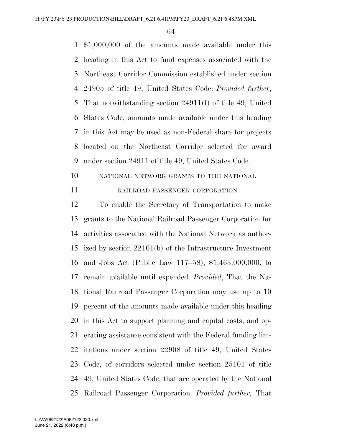\$1,000,000 of the amounts made available under this heading in this Act to fund expenses associated with the Northeast Corridor Commission established under section 24905 of title 49, United States Code: *Provided further*, That notwithstanding section 24911(f) of title 49, United States Code, amounts made available under this heading in this Act may be used as non-Federal share for projects located on the Northeast Corridor selected for award under section 24911 of title 49, United States Code.

NATIONAL NETWORK GRANTS TO THE NATIONAL

11 RAILROAD PASSENGER CORPORATION

 To enable the Secretary of Transportation to make grants to the National Railroad Passenger Corporation for activities associated with the National Network as author- ized by section 22101(b) of the Infrastructure Investment and Jobs Act (Public Law 117–58), \$1,463,000,000, to remain available until expended: *Provided*, That the Na- tional Railroad Passenger Corporation may use up to 10 percent of the amounts made available under this heading in this Act to support planning and capital costs, and op- erating assistance consistent with the Federal funding lim- itations under section 22908 of title 49, United States Code, of corridors selected under section 25101 of title 49, United States Code, that are operated by the National Railroad Passenger Corporation: *Provided further*, That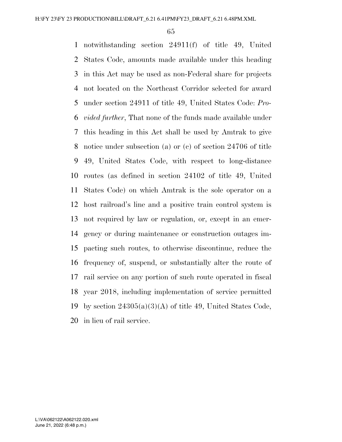notwithstanding section 24911(f) of title 49, United States Code, amounts made available under this heading in this Act may be used as non-Federal share for projects not located on the Northeast Corridor selected for award under section 24911 of title 49, United States Code: *Pro- vided further*, That none of the funds made available under this heading in this Act shall be used by Amtrak to give notice under subsection (a) or (c) of section 24706 of title 49, United States Code, with respect to long-distance routes (as defined in section 24102 of title 49, United States Code) on which Amtrak is the sole operator on a host railroad's line and a positive train control system is not required by law or regulation, or, except in an emer- gency or during maintenance or construction outages im- pacting such routes, to otherwise discontinue, reduce the frequency of, suspend, or substantially alter the route of rail service on any portion of such route operated in fiscal year 2018, including implementation of service permitted 19 by section  $24305(a)(3)(A)$  of title 49, United States Code, in lieu of rail service.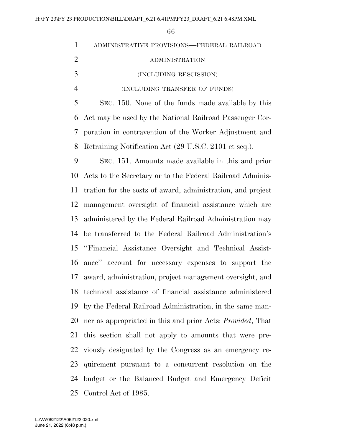| $\mathbf{1}$   | ADMINISTRATIVE PROVISIONS-FEDERAL RAILROAD                         |
|----------------|--------------------------------------------------------------------|
| $\overline{2}$ | <b>ADMINISTRATION</b>                                              |
| 3              | (INCLUDING RESCISSION)                                             |
| $\overline{4}$ | (INCLUDING TRANSFER OF FUNDS)                                      |
| 5              | SEC. 150. None of the funds made available by this                 |
| 6              | Act may be used by the National Railroad Passenger Cor-            |
| 7              | poration in contravention of the Worker Adjustment and             |
| 8              | Retraining Notification Act (29 U.S.C. 2101 et seq.).              |
| 9              | SEC. 151. Amounts made available in this and prior                 |
| 10             | Acts to the Secretary or to the Federal Railroad Adminis-          |
| 11             | tration for the costs of award, administration, and project        |
| 12             | management oversight of financial assistance which are             |
| 13             | administered by the Federal Railroad Administration may            |
| 14             | be transferred to the Federal Railroad Administration's            |
| 15             | "Financial Assistance Oversight and Technical Assist-              |
| 16             | ance" account for necessary expenses to support the                |
| 17             | award, administration, project management oversight, and           |
| 18             | technical assistance of financial assistance administered          |
| 19             | by the Federal Railroad Administration, in the same man-           |
| 20             | ner as appropriated in this and prior Acts: <i>Provided</i> , That |
| 21             | this section shall not apply to amounts that were pre-             |
| 22             | viously designated by the Congress as an emergency re-             |
| 23             | quirement pursuant to a concurrent resolution on the               |
| 24             | budget or the Balanced Budget and Emergency Deficit                |
|                | 25 Control Act of 1985.                                            |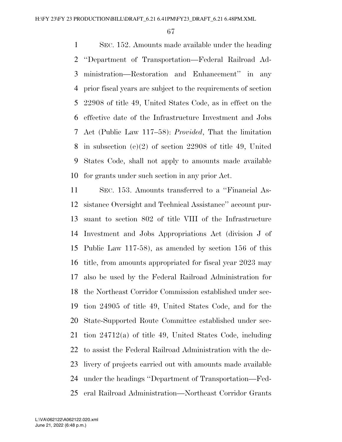SEC. 152. Amounts made available under the heading ''Department of Transportation—Federal Railroad Ad- ministration—Restoration and Enhancement'' in any prior fiscal years are subject to the requirements of section 22908 of title 49, United States Code, as in effect on the effective date of the Infrastructure Investment and Jobs Act (Public Law 117–58): *Provided*, That the limitation in subsection (e)(2) of section 22908 of title 49, United States Code, shall not apply to amounts made available for grants under such section in any prior Act.

 SEC. 153. Amounts transferred to a ''Financial As- sistance Oversight and Technical Assistance'' account pur- suant to section 802 of title VIII of the Infrastructure Investment and Jobs Appropriations Act (division J of Public Law 117-58), as amended by section 156 of this title, from amounts appropriated for fiscal year 2023 may also be used by the Federal Railroad Administration for the Northeast Corridor Commission established under sec- tion 24905 of title 49, United States Code, and for the State-Supported Route Committee established under sec- tion 24712(a) of title 49, United States Code, including to assist the Federal Railroad Administration with the de- livery of projects carried out with amounts made available under the headings ''Department of Transportation—Fed-eral Railroad Administration—Northeast Corridor Grants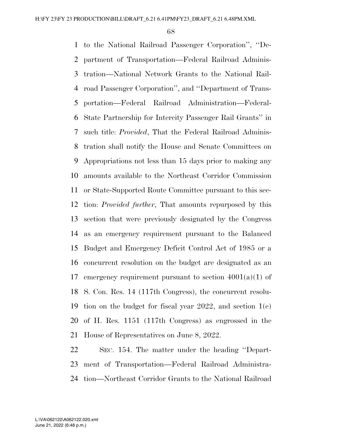to the National Railroad Passenger Corporation'', ''De- partment of Transportation—Federal Railroad Adminis- tration—National Network Grants to the National Rail- road Passenger Corporation'', and ''Department of Trans- portation—Federal Railroad Administration—Federal- State Partnership for Intercity Passenger Rail Grants'' in such title: *Provided*, That the Federal Railroad Adminis- tration shall notify the House and Senate Committees on Appropriations not less than 15 days prior to making any amounts available to the Northeast Corridor Commission or State-Supported Route Committee pursuant to this sec- tion: *Provided further*, That amounts repurposed by this section that were previously designated by the Congress as an emergency requirement pursuant to the Balanced Budget and Emergency Deficit Control Act of 1985 or a concurrent resolution on the budget are designated as an 17 emergency requirement pursuant to section  $4001(a)(1)$  of S. Con. Res. 14 (117th Congress), the concurrent resolu- tion on the budget for fiscal year 2022, and section 1(e) of H. Res. 1151 (117th Congress) as engrossed in the House of Representatives on June 8, 2022.

 SEC. 154. The matter under the heading ''Depart- ment of Transportation—Federal Railroad Administra-tion—Northeast Corridor Grants to the National Railroad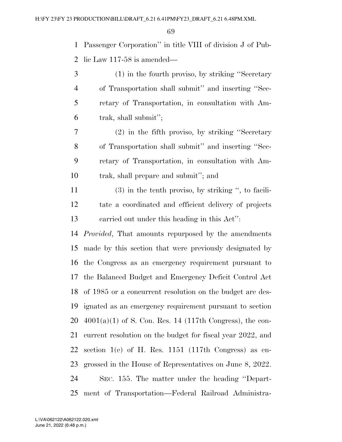Passenger Corporation'' in title VIII of division J of Pub-lic Law 117-58 is amended—

- (1) in the fourth proviso, by striking ''Secretary of Transportation shall submit'' and inserting ''Sec- retary of Transportation, in consultation with Am-trak, shall submit'';
- (2) in the fifth proviso, by striking ''Secretary of Transportation shall submit'' and inserting ''Sec- retary of Transportation, in consultation with Am-trak, shall prepare and submit''; and
- (3) in the tenth proviso, by striking '', to facili- tate a coordinated and efficient delivery of projects carried out under this heading in this Act'':
- *Provided*, That amounts repurposed by the amendments made by this section that were previously designated by the Congress as an emergency requirement pursuant to the Balanced Budget and Emergency Deficit Control Act of 1985 or a concurrent resolution on the budget are des- ignated as an emergency requirement pursuant to section  $20\quad 4001(a)(1)$  of S. Con. Res. 14 (117th Congress), the con- current resolution on the budget for fiscal year 2022, and section 1(e) of H. Res. 1151 (117th Congress) as en- grossed in the House of Representatives on June 8, 2022. SEC. 155. The matter under the heading ''Depart-ment of Transportation—Federal Railroad Administra-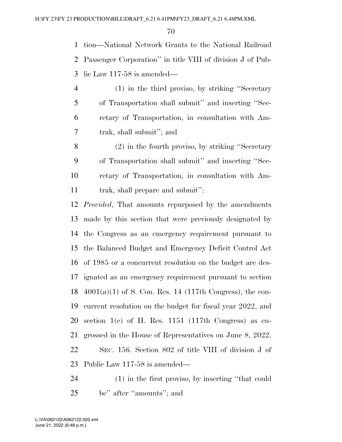tion—National Network Grants to the National Railroad Passenger Corporation'' in title VIII of division J of Pub-lic Law 117-58 is amended—

- (1) in the third proviso, by striking ''Secretary of Transportation shall submit'' and inserting ''Sec- retary of Transportation, in consultation with Am-trak, shall submit''; and
- (2) in the fourth proviso, by striking ''Secretary of Transportation shall submit'' and inserting ''Sec- retary of Transportation, in consultation with Am-trak, shall prepare and submit'':

 *Provided*, That amounts repurposed by the amendments made by this section that were previously designated by the Congress as an emergency requirement pursuant to the Balanced Budget and Emergency Deficit Control Act of 1985 or a concurrent resolution on the budget are des- ignated as an emergency requirement pursuant to section  $4001(a)(1)$  of S. Con. Res. 14 (117th Congress), the con- current resolution on the budget for fiscal year 2022, and section 1(e) of H. Res. 1151 (117th Congress) as en- grossed in the House of Representatives on June 8, 2022. SEC. 156. Section 802 of title VIII of division J of Public Law 117-58 is amended—

 (1) in the first proviso, by inserting ''that could be'' after ''amounts''; and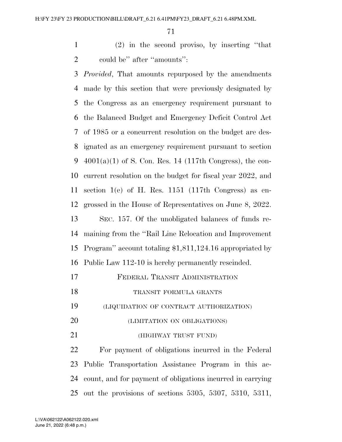(2) in the second proviso, by inserting ''that 2 could be" after "amounts":

 *Provided*, That amounts repurposed by the amendments made by this section that were previously designated by the Congress as an emergency requirement pursuant to the Balanced Budget and Emergency Deficit Control Act of 1985 or a concurrent resolution on the budget are des- ignated as an emergency requirement pursuant to section  $4001(a)(1)$  of S. Con. Res. 14 (117th Congress), the con- current resolution on the budget for fiscal year 2022, and section 1(e) of H. Res. 1151 (117th Congress) as en- grossed in the House of Representatives on June 8, 2022. SEC. 157. Of the unobligated balances of funds re- maining from the ''Rail Line Relocation and Improvement Program'' account totaling \$1,811,124.16 appropriated by Public Law 112-10 is hereby permanently rescinded. FEDERAL TRANSIT ADMINISTRATION TRANSIT FORMULA GRANTS (LIQUIDATION OF CONTRACT AUTHORIZATION) (LIMITATION ON OBLIGATIONS) (HIGHWAY TRUST FUND) For payment of obligations incurred in the Federal

 Public Transportation Assistance Program in this ac- count, and for payment of obligations incurred in carrying out the provisions of sections 5305, 5307, 5310, 5311,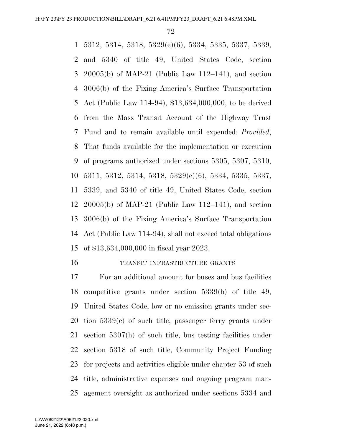5312, 5314, 5318, 5329(e)(6), 5334, 5335, 5337, 5339, and 5340 of title 49, United States Code, section 20005(b) of MAP-21 (Public Law 112–141), and section 3006(b) of the Fixing America's Surface Transportation Act (Public Law 114-94), \$13,634,000,000, to be derived from the Mass Transit Account of the Highway Trust Fund and to remain available until expended: *Provided*, That funds available for the implementation or execution of programs authorized under sections 5305, 5307, 5310, 5311, 5312, 5314, 5318, 5329(e)(6), 5334, 5335, 5337, 5339, and 5340 of title 49, United States Code, section 20005(b) of MAP-21 (Public Law 112–141), and section 3006(b) of the Fixing America's Surface Transportation Act (Public Law 114-94), shall not exceed total obligations of \$13,634,000,000 in fiscal year 2023.

#### TRANSIT INFRASTRUCTURE GRANTS

 For an additional amount for buses and bus facilities competitive grants under section 5339(b) of title 49, United States Code, low or no emission grants under sec- tion 5339(c) of such title, passenger ferry grants under section 5307(h) of such title, bus testing facilities under section 5318 of such title, Community Project Funding for projects and activities eligible under chapter 53 of such title, administrative expenses and ongoing program man-agement oversight as authorized under sections 5334 and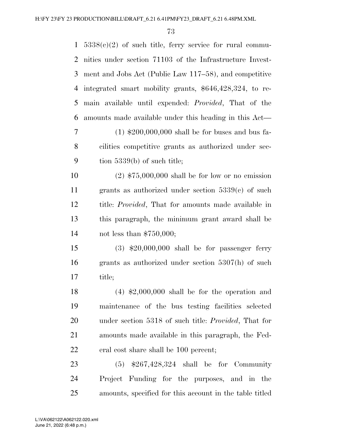| $\mathbf{1}$ | $5338(e)(2)$ of such title, ferry service for rural commu-   |
|--------------|--------------------------------------------------------------|
| 2            | nities under section 71103 of the Infrastructure Invest-     |
| 3            | ment and Jobs Act (Public Law 117–58), and competitive       |
| 4            | integrated smart mobility grants, \$646,428,324, to re-      |
| 5            | main available until expended: <i>Provided</i> , That of the |
| 6            | amounts made available under this heading in this Act—       |
| 7            | $(1)$ \$200,000,000 shall be for buses and bus fa-           |
| 8            | cilities competitive grants as authorized under sec-         |
| 9            | tion $5339(b)$ of such title;                                |
| 10           | $(2)$ \$75,000,000 shall be for low or no emission           |
| 11           | grants as authorized under section $5339(c)$ of such         |
| 12           | title: Provided, That for amounts made available in          |
| 13           | this paragraph, the minimum grant award shall be             |
| 14           | not less than $$750,000;$                                    |
| 15           | $(3)$ \$20,000,000 shall be for passenger ferry              |
| 16           | grants as authorized under section $5307(h)$ of such         |
| 17           | title;                                                       |
| 18           | $(4)$ \$2,000,000 shall be for the operation and             |
| 19           | maintenance of the bus testing facilities selected           |
| 20           | under section 5318 of such title: <i>Provided</i> , That for |
| 21           | amounts made available in this paragraph, the Fed-           |
| 22           | eral cost share shall be 100 percent;                        |
| 23           | $(5)$ \$267,428,324 shall be for Community                   |
| 24           | Project Funding for the purposes, and in the                 |
| 25           | amounts, specified for this account in the table titled      |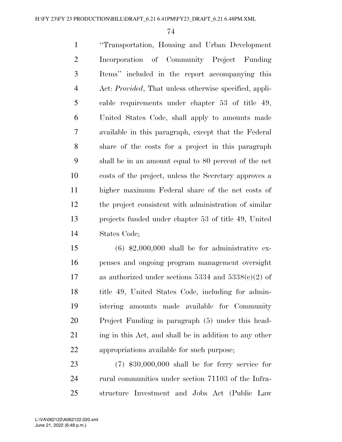''Transportation, Housing and Urban Development Incorporation of Community Project Funding Items'' included in the report accompanying this Act: *Provided*, That unless otherwise specified, appli- cable requirements under chapter 53 of title 49, United States Code, shall apply to amounts made available in this paragraph, except that the Federal share of the costs for a project in this paragraph shall be in an amount equal to 80 percent of the net costs of the project, unless the Secretary approves a higher maximum Federal share of the net costs of the project consistent with administration of similar projects funded under chapter 53 of title 49, United States Code;

 $(6)$  \$2,000,000 shall be for administrative ex- penses and ongoing program management oversight 17 as authorized under sections 5334 and  $5338(c)(2)$  of title 49, United States Code, including for admin- istering amounts made available for Community Project Funding in paragraph (5) under this head-21 ing in this Act, and shall be in addition to any other appropriations available for such purpose;

 (7) \$30,000,000 shall be for ferry service for 24 rural communities under section 71103 of the Infra-structure Investment and Jobs Act (Public Law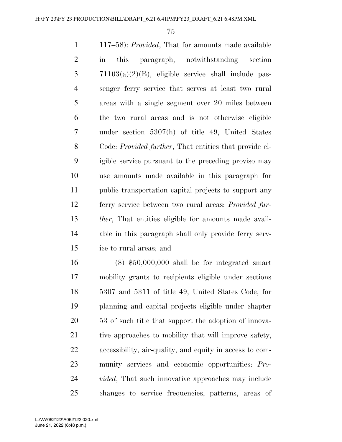117–58): *Provided*, That for amounts made available in this paragraph, notwithstanding section 71103(a)(2)(B), eligible service shall include pas- senger ferry service that serves at least two rural areas with a single segment over 20 miles between the two rural areas and is not otherwise eligible under section 5307(h) of title 49, United States Code: *Provided further*, That entities that provide el- igible service pursuant to the preceding proviso may use amounts made available in this paragraph for public transportation capital projects to support any ferry service between two rural areas: *Provided fur- ther*, That entities eligible for amounts made avail- able in this paragraph shall only provide ferry serv-ice to rural areas; and

 (8) \$50,000,000 shall be for integrated smart mobility grants to recipients eligible under sections 5307 and 5311 of title 49, United States Code, for planning and capital projects eligible under chapter 53 of such title that support the adoption of innova-21 tive approaches to mobility that will improve safety, accessibility, air-quality, and equity in access to com- munity services and economic opportunities: *Pro- vided*, That such innovative approaches may include changes to service frequencies, patterns, areas of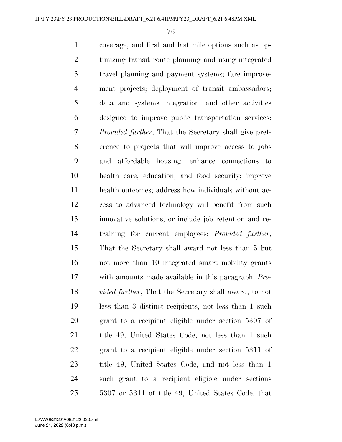coverage, and first and last mile options such as op- timizing transit route planning and using integrated travel planning and payment systems; fare improve- ment projects; deployment of transit ambassadors; data and systems integration; and other activities designed to improve public transportation services: *Provided further*, That the Secretary shall give pref- erence to projects that will improve access to jobs and affordable housing; enhance connections to health care, education, and food security; improve health outcomes; address how individuals without ac- cess to advanced technology will benefit from such innovative solutions; or include job retention and re- training for current employees: *Provided further*, That the Secretary shall award not less than 5 but not more than 10 integrated smart mobility grants with amounts made available in this paragraph: *Pro- vided further*, That the Secretary shall award, to not less than 3 distinct recipients, not less than 1 such grant to a recipient eligible under section 5307 of 21 title 49, United States Code, not less than 1 such grant to a recipient eligible under section 5311 of title 49, United States Code, and not less than 1 such grant to a recipient eligible under sections 5307 or 5311 of title 49, United States Code, that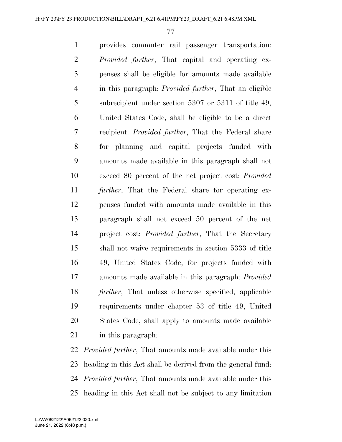provides commuter rail passenger transportation: *Provided further*, That capital and operating ex- penses shall be eligible for amounts made available in this paragraph: *Provided further*, That an eligible subrecipient under section 5307 or 5311 of title 49, United States Code, shall be eligible to be a direct recipient: *Provided further*, That the Federal share for planning and capital projects funded with amounts made available in this paragraph shall not exceed 80 percent of the net project cost: *Provided further*, That the Federal share for operating ex- penses funded with amounts made available in this paragraph shall not exceed 50 percent of the net project cost: *Provided further*, That the Secretary shall not waive requirements in section 5333 of title 49, United States Code, for projects funded with amounts made available in this paragraph: *Provided further*, That unless otherwise specified, applicable requirements under chapter 53 of title 49, United States Code, shall apply to amounts made available in this paragraph:

 *Provided further*, That amounts made available under this heading in this Act shall be derived from the general fund: *Provided further*, That amounts made available under this heading in this Act shall not be subject to any limitation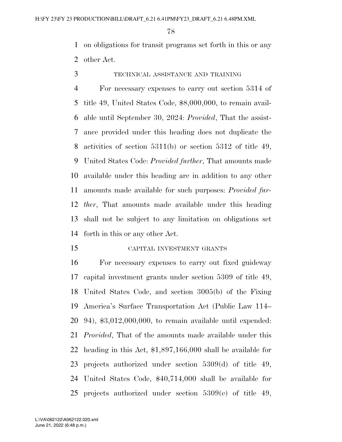on obligations for transit programs set forth in this or any other Act.

TECHNICAL ASSISTANCE AND TRAINING

 For necessary expenses to carry out section 5314 of title 49, United States Code, \$8,000,000, to remain avail- able until September 30, 2024: *Provided*, That the assist- ance provided under this heading does not duplicate the activities of section 5311(b) or section 5312 of title 49, United States Code: *Provided further*, That amounts made available under this heading are in addition to any other amounts made available for such purposes: *Provided fur- ther*, That amounts made available under this heading shall not be subject to any limitation on obligations set forth in this or any other Act.

CAPITAL INVESTMENT GRANTS

 For necessary expenses to carry out fixed guideway capital investment grants under section 5309 of title 49, United States Code, and section 3005(b) of the Fixing America's Surface Transportation Act (Public Law 114– 94), \$3,012,000,000, to remain available until expended: *Provided*, That of the amounts made available under this heading in this Act, \$1,897,166,000 shall be available for projects authorized under section 5309(d) of title 49, United States Code, \$40,714,000 shall be available for projects authorized under section 5309(e) of title 49,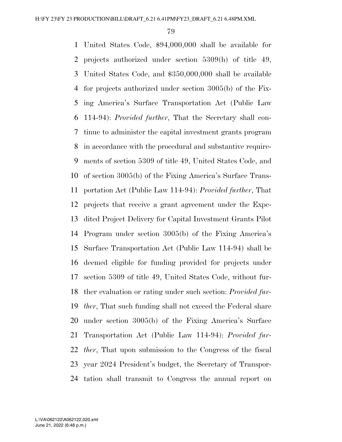United States Code, \$94,000,000 shall be available for projects authorized under section 5309(h) of title 49, United States Code, and \$350,000,000 shall be available for projects authorized under section 3005(b) of the Fix- ing America's Surface Transportation Act (Public Law 114-94): *Provided further*, That the Secretary shall con- tinue to administer the capital investment grants program in accordance with the procedural and substantive require- ments of section 5309 of title 49, United States Code, and of section 3005(b) of the Fixing America's Surface Trans- portation Act (Public Law 114-94): *Provided further*, That projects that receive a grant agreement under the Expe- dited Project Delivery for Capital Investment Grants Pilot Program under section 3005(b) of the Fixing America's Surface Transportation Act (Public Law 114-94) shall be deemed eligible for funding provided for projects under section 5309 of title 49, United States Code, without fur- ther evaluation or rating under such section: *Provided fur- ther*, That such funding shall not exceed the Federal share under section 3005(b) of the Fixing America's Surface Transportation Act (Public Law 114-94): *Provided fur- ther*, That upon submission to the Congress of the fiscal year 2024 President's budget, the Secretary of Transpor-tation shall transmit to Congress the annual report on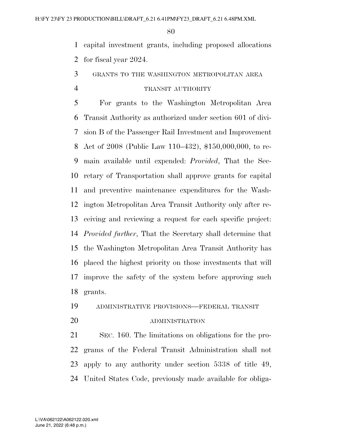capital investment grants, including proposed allocations for fiscal year 2024.

# GRANTS TO THE WASHINGTON METROPOLITAN AREA

# TRANSIT AUTHORITY

 For grants to the Washington Metropolitan Area Transit Authority as authorized under section 601 of divi- sion B of the Passenger Rail Investment and Improvement Act of 2008 (Public Law 110–432), \$150,000,000, to re- main available until expended: *Provided*, That the Sec- retary of Transportation shall approve grants for capital and preventive maintenance expenditures for the Wash- ington Metropolitan Area Transit Authority only after re- ceiving and reviewing a request for each specific project: *Provided further*, That the Secretary shall determine that the Washington Metropolitan Area Transit Authority has placed the highest priority on those investments that will improve the safety of the system before approving such grants.

ADMINISTRATIVE PROVISIONS—FEDERAL TRANSIT

#### ADMINISTRATION

 SEC. 160. The limitations on obligations for the pro- grams of the Federal Transit Administration shall not apply to any authority under section 5338 of title 49, United States Code, previously made available for obliga-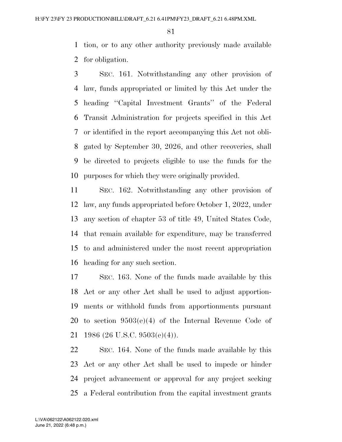tion, or to any other authority previously made available for obligation.

 SEC. 161. Notwithstanding any other provision of law, funds appropriated or limited by this Act under the heading ''Capital Investment Grants'' of the Federal Transit Administration for projects specified in this Act or identified in the report accompanying this Act not obli- gated by September 30, 2026, and other recoveries, shall be directed to projects eligible to use the funds for the purposes for which they were originally provided.

 SEC. 162. Notwithstanding any other provision of law, any funds appropriated before October 1, 2022, under any section of chapter 53 of title 49, United States Code, that remain available for expenditure, may be transferred to and administered under the most recent appropriation heading for any such section.

 SEC. 163. None of the funds made available by this Act or any other Act shall be used to adjust apportion- ments or withhold funds from apportionments pursuant to section 9503(e)(4) of the Internal Revenue Code of 1986 (26 U.S.C. 9503(e)(4)).

 SEC. 164. None of the funds made available by this Act or any other Act shall be used to impede or hinder project advancement or approval for any project seeking a Federal contribution from the capital investment grants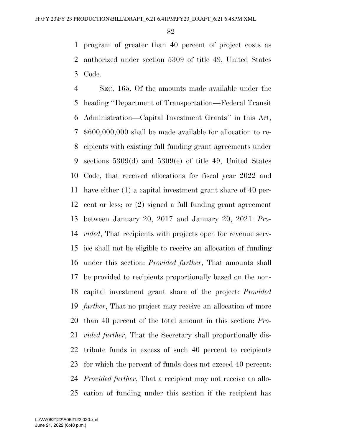program of greater than 40 percent of project costs as authorized under section 5309 of title 49, United States Code.

 SEC. 165. Of the amounts made available under the heading ''Department of Transportation—Federal Transit Administration—Capital Investment Grants'' in this Act, \$600,000,000 shall be made available for allocation to re- cipients with existing full funding grant agreements under sections 5309(d) and 5309(e) of title 49, United States Code, that received allocations for fiscal year 2022 and have either (1) a capital investment grant share of 40 per- cent or less; or (2) signed a full funding grant agreement between January 20, 2017 and January 20, 2021: *Pro- vided*, That recipients with projects open for revenue serv- ice shall not be eligible to receive an allocation of funding under this section: *Provided further*, That amounts shall be provided to recipients proportionally based on the non- capital investment grant share of the project: *Provided further*, That no project may receive an allocation of more than 40 percent of the total amount in this section: *Pro- vided further*, That the Secretary shall proportionally dis- tribute funds in excess of such 40 percent to recipients for which the percent of funds does not exceed 40 percent: *Provided further*, That a recipient may not receive an allo-cation of funding under this section if the recipient has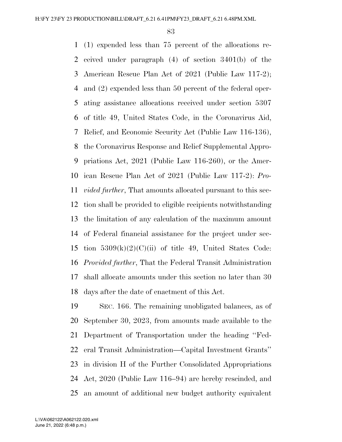(1) expended less than 75 percent of the allocations re- ceived under paragraph (4) of section 3401(b) of the American Rescue Plan Act of 2021 (Public Law 117-2); and (2) expended less than 50 percent of the federal oper- ating assistance allocations received under section 5307 of title 49, United States Code, in the Coronavirus Aid, Relief, and Economic Security Act (Public Law 116-136), the Coronavirus Response and Relief Supplemental Appro- priations Act, 2021 (Public Law 116-260), or the Amer- ican Rescue Plan Act of 2021 (Public Law 117-2): *Pro- vided further*, That amounts allocated pursuant to this sec- tion shall be provided to eligible recipients notwithstanding the limitation of any calculation of the maximum amount of Federal financial assistance for the project under sec-15 tion  $5309(k)(2)(C)(ii)$  of title 49, United States Code: *Provided further*, That the Federal Transit Administration shall allocate amounts under this section no later than 30 days after the date of enactment of this Act.

 SEC. 166. The remaining unobligated balances, as of September 30, 2023, from amounts made available to the Department of Transportation under the heading ''Fed- eral Transit Administration—Capital Investment Grants'' in division H of the Further Consolidated Appropriations Act, 2020 (Public Law 116–94) are hereby rescinded, and an amount of additional new budget authority equivalent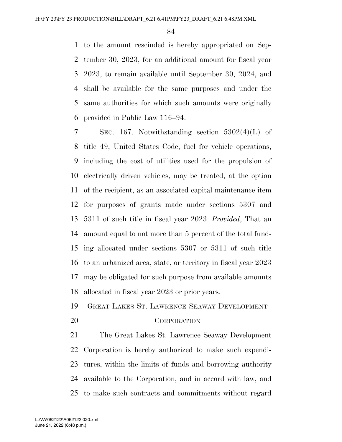to the amount rescinded is hereby appropriated on Sep- tember 30, 2023, for an additional amount for fiscal year 2023, to remain available until September 30, 2024, and shall be available for the same purposes and under the same authorities for which such amounts were originally provided in Public Law 116–94.

 SEC. 167. Notwithstanding section 5302(4)(L) of title 49, United States Code, fuel for vehicle operations, including the cost of utilities used for the propulsion of electrically driven vehicles, may be treated, at the option of the recipient, as an associated capital maintenance item for purposes of grants made under sections 5307 and 5311 of such title in fiscal year 2023: *Provided*, That an amount equal to not more than 5 percent of the total fund- ing allocated under sections 5307 or 5311 of such title to an urbanized area, state, or territory in fiscal year 2023 may be obligated for such purpose from available amounts allocated in fiscal year 2023 or prior years.

# GREAT LAKES ST. LAWRENCE SEAWAY DEVELOPMENT

CORPORATION

 The Great Lakes St. Lawrence Seaway Development Corporation is hereby authorized to make such expendi- tures, within the limits of funds and borrowing authority available to the Corporation, and in accord with law, and to make such contracts and commitments without regard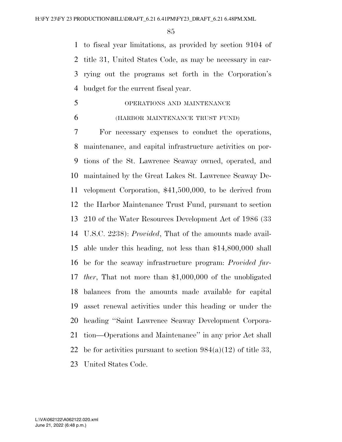to fiscal year limitations, as provided by section 9104 of title 31, United States Code, as may be necessary in car- rying out the programs set forth in the Corporation's budget for the current fiscal year.

# OPERATIONS AND MAINTENANCE

#### (HARBOR MAINTENANCE TRUST FUND)

 For necessary expenses to conduct the operations, maintenance, and capital infrastructure activities on por- tions of the St. Lawrence Seaway owned, operated, and maintained by the Great Lakes St. Lawrence Seaway De- velopment Corporation, \$41,500,000, to be derived from the Harbor Maintenance Trust Fund, pursuant to section 210 of the Water Resources Development Act of 1986 (33 U.S.C. 2238): *Provided*, That of the amounts made avail- able under this heading, not less than \$14,800,000 shall be for the seaway infrastructure program: *Provided fur- ther*, That not more than \$1,000,000 of the unobligated balances from the amounts made available for capital asset renewal activities under this heading or under the heading ''Saint Lawrence Seaway Development Corpora- tion—Operations and Maintenance'' in any prior Act shall 22 be for activities pursuant to section  $984(a)(12)$  of title 33, United States Code.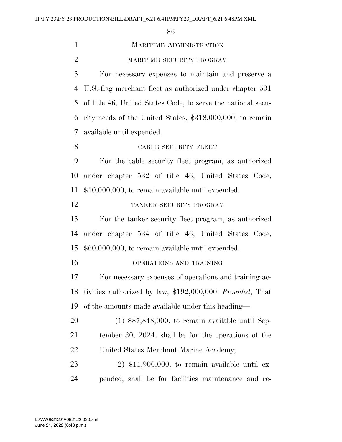1 MARITIME ADMINISTRATION MARITIME SECURITY PROGRAM For necessary expenses to maintain and preserve a U.S.-flag merchant fleet as authorized under chapter 531 of title 46, United States Code, to serve the national secu- rity needs of the United States, \$318,000,000, to remain available until expended. 8 CABLE SECURITY FLEET For the cable security fleet program, as authorized under chapter 532 of title 46, United States Code, \$10,000,000, to remain available until expended. TANKER SECURITY PROGRAM For the tanker security fleet program, as authorized under chapter 534 of title 46, United States Code, \$60,000,000, to remain available until expended. OPERATIONS AND TRAINING For necessary expenses of operations and training ac- tivities authorized by law, \$192,000,000: *Provided*, That of the amounts made available under this heading— (1) \$87,848,000, to remain available until Sep-

 tember 30, 2024, shall be for the operations of the United States Merchant Marine Academy;

 (2) \$11,900,000, to remain available until ex-pended, shall be for facilities maintenance and re-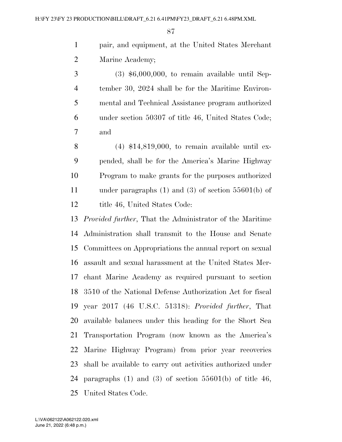pair, and equipment, at the United States Merchant Marine Academy;

 $3 \qquad (3) \; $6,000,000, \text{ to remain available until Sep-}$  tember 30, 2024 shall be for the Maritime Environ- mental and Technical Assistance program authorized under section 50307 of title 46, United States Code; and

8 (4)  $$14,819,000$ , to remain available until ex- pended, shall be for the America's Marine Highway Program to make grants for the purposes authorized under paragraphs (1) and (3) of section 55601(b) of 12 title 46, United States Code:

 *Provided further*, That the Administrator of the Maritime Administration shall transmit to the House and Senate Committees on Appropriations the annual report on sexual assault and sexual harassment at the United States Mer- chant Marine Academy as required pursuant to section 3510 of the National Defense Authorization Act for fiscal year 2017 (46 U.S.C. 51318): *Provided further*, That available balances under this heading for the Short Sea Transportation Program (now known as the America's Marine Highway Program) from prior year recoveries shall be available to carry out activities authorized under 24 paragraphs  $(1)$  and  $(3)$  of section  $55601(b)$  of title 46, United States Code.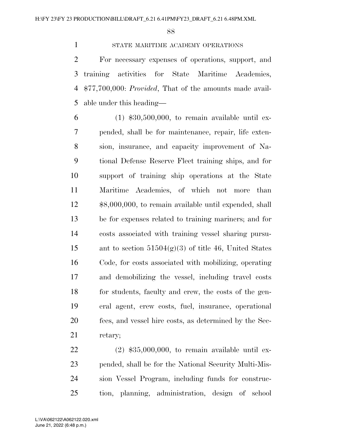STATE MARITIME ACADEMY OPERATIONS

 For necessary expenses of operations, support, and training activities for State Maritime Academies, \$77,700,000: *Provided*, That of the amounts made avail-able under this heading—

 $6 \qquad (1) \; $30,500,000, \text{ to remain available until ex-}$  pended, shall be for maintenance, repair, life exten- sion, insurance, and capacity improvement of Na- tional Defense Reserve Fleet training ships, and for support of training ship operations at the State Maritime Academies, of which not more than \$8,000,000, to remain available until expended, shall be for expenses related to training mariners; and for costs associated with training vessel sharing pursu-15 ant to section  $51504(g)(3)$  of title 46, United States Code, for costs associated with mobilizing, operating and demobilizing the vessel, including travel costs for students, faculty and crew, the costs of the gen- eral agent, crew costs, fuel, insurance, operational fees, and vessel hire costs, as determined by the Sec-retary;

 (2) \$35,000,000, to remain available until ex- pended, shall be for the National Security Multi-Mis- sion Vessel Program, including funds for construc-tion, planning, administration, design of school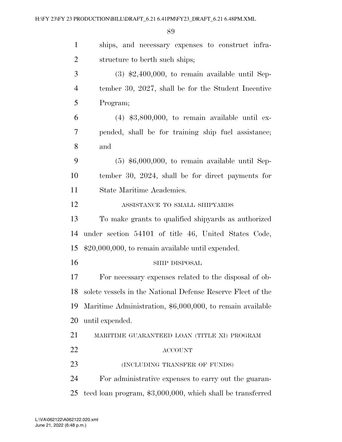| $\mathbf{1}$   | ships, and necessary expenses to construct infra-           |
|----------------|-------------------------------------------------------------|
| $\overline{2}$ | structure to berth such ships;                              |
| 3              | $(3)$ \$2,400,000, to remain available until Sep-           |
| $\overline{4}$ | tember 30, 2027, shall be for the Student Incentive         |
| 5              | Program;                                                    |
| 6              | $(4)$ \$3,800,000, to remain available until ex-            |
| 7              | pended, shall be for training ship fuel assistance;         |
| 8              | and                                                         |
| 9              | $(5)$ \$6,000,000, to remain available until Sep-           |
| 10             | tember 30, 2024, shall be for direct payments for           |
| 11             | State Maritime Academies.                                   |
| 12             | ASSISTANCE TO SMALL SHIPYARDS                               |
| 13             | To make grants to qualified ship architect as authorized    |
| 14             | under section 54101 of title 46, United States Code,        |
| 15             | $$20,000,000$ , to remain available until expended.         |
| 16             | SHIP DISPOSAL                                               |
| 17             | For necessary expenses related to the disposal of ob-       |
| 18             | solete vessels in the National Defense Reserve Fleet of the |
| 19             | Maritime Administration, \$6,000,000, to remain available   |
| 20             | until expended.                                             |
| 21             | MARITIME GUARANTEED LOAN (TITLE XI) PROGRAM                 |
| 22             | <b>ACCOUNT</b>                                              |
| 23             | (INCLUDING TRANSFER OF FUNDS)                               |
| 24             | For administrative expenses to carry out the guaran-        |
| 25             | teed loan program, \$3,000,000, which shall be transferred  |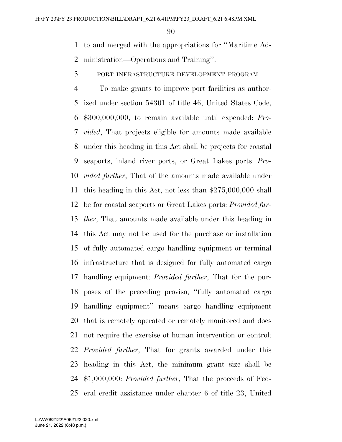to and merged with the appropriations for ''Maritime Ad-ministration—Operations and Training''.

PORT INFRASTRUCTURE DEVELOPMENT PROGRAM

 To make grants to improve port facilities as author- ized under section 54301 of title 46, United States Code, \$300,000,000, to remain available until expended: *Pro- vided*, That projects eligible for amounts made available under this heading in this Act shall be projects for coastal seaports, inland river ports, or Great Lakes ports: *Pro- vided further*, That of the amounts made available under this heading in this Act, not less than \$275,000,000 shall be for coastal seaports or Great Lakes ports: *Provided fur- ther*, That amounts made available under this heading in this Act may not be used for the purchase or installation of fully automated cargo handling equipment or terminal infrastructure that is designed for fully automated cargo handling equipment: *Provided further*, That for the pur- poses of the preceding proviso, ''fully automated cargo handling equipment'' means cargo handling equipment that is remotely operated or remotely monitored and does not require the exercise of human intervention or control: *Provided further*, That for grants awarded under this heading in this Act, the minimum grant size shall be \$1,000,000: *Provided further*, That the proceeds of Fed-eral credit assistance under chapter 6 of title 23, United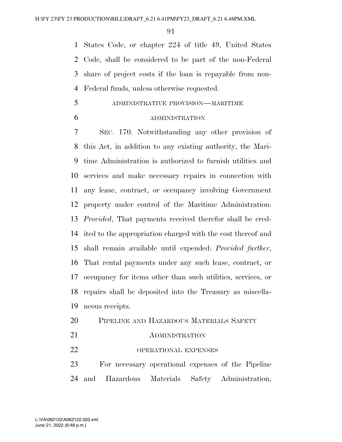States Code, or chapter 224 of title 49, United States Code, shall be considered to be part of the non-Federal share of project costs if the loan is repayable from non-Federal funds, unless otherwise requested.

- ADMINISTRATIVE PROVISION—MARITIME
- 

### ADMINISTRATION

 SEC. 170. Notwithstanding any other provision of this Act, in addition to any existing authority, the Mari- time Administration is authorized to furnish utilities and services and make necessary repairs in connection with any lease, contract, or occupancy involving Government property under control of the Maritime Administration: *Provided*, That payments received therefor shall be cred- ited to the appropriation charged with the cost thereof and shall remain available until expended: *Provided further*, That rental payments under any such lease, contract, or occupancy for items other than such utilities, services, or repairs shall be deposited into the Treasury as miscella-neous receipts.

- PIPELINE AND HAZARDOUS MATERIALS SAFETY
- 21 ADMINISTRATION
- 22 OPERATIONAL EXPENSES

 For necessary operational expenses of the Pipeline and Hazardous Materials Safety Administration,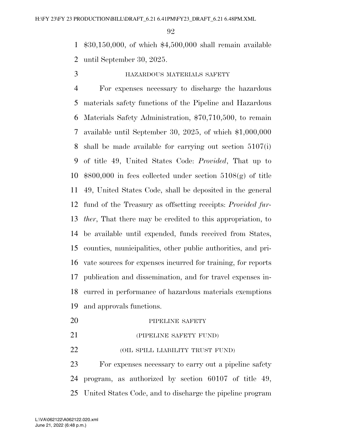\$30,150,000, of which \$4,500,000 shall remain available until September 30, 2025.

# HAZARDOUS MATERIALS SAFETY

 For expenses necessary to discharge the hazardous materials safety functions of the Pipeline and Hazardous Materials Safety Administration, \$70,710,500, to remain available until September 30, 2025, of which \$1,000,000 shall be made available for carrying out section 5107(i) of title 49, United States Code: *Provided*, That up to \$800,000 in fees collected under section 5108(g) of title 49, United States Code, shall be deposited in the general fund of the Treasury as offsetting receipts: *Provided fur- ther*, That there may be credited to this appropriation, to be available until expended, funds received from States, counties, municipalities, other public authorities, and pri- vate sources for expenses incurred for training, for reports publication and dissemination, and for travel expenses in- curred in performance of hazardous materials exemptions and approvals functions.

- 20 PIPELINE SAFETY
- (PIPELINE SAFETY FUND)
- **(OIL SPILL LIABILITY TRUST FUND)**

 For expenses necessary to carry out a pipeline safety program, as authorized by section 60107 of title 49, United States Code, and to discharge the pipeline program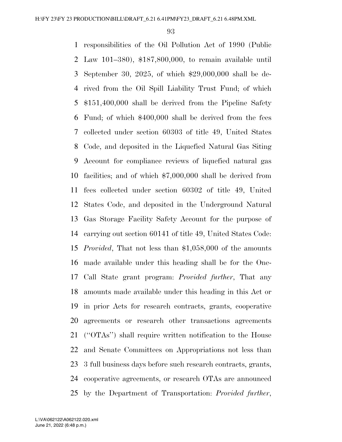responsibilities of the Oil Pollution Act of 1990 (Public Law 101–380), \$187,800,000, to remain available until September 30, 2025, of which \$29,000,000 shall be de- rived from the Oil Spill Liability Trust Fund; of which \$151,400,000 shall be derived from the Pipeline Safety Fund; of which \$400,000 shall be derived from the fees collected under section 60303 of title 49, United States Code, and deposited in the Liquefied Natural Gas Siting Account for compliance reviews of liquefied natural gas facilities; and of which \$7,000,000 shall be derived from fees collected under section 60302 of title 49, United States Code, and deposited in the Underground Natural Gas Storage Facility Safety Account for the purpose of carrying out section 60141 of title 49, United States Code: *Provided*, That not less than \$1,058,000 of the amounts made available under this heading shall be for the One- Call State grant program: *Provided further*, That any amounts made available under this heading in this Act or in prior Acts for research contracts, grants, cooperative agreements or research other transactions agreements (''OTAs'') shall require written notification to the House and Senate Committees on Appropriations not less than 3 full business days before such research contracts, grants, cooperative agreements, or research OTAs are announced by the Department of Transportation: *Provided further*,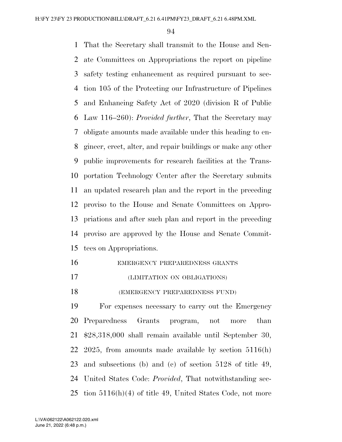That the Secretary shall transmit to the House and Sen- ate Committees on Appropriations the report on pipeline safety testing enhancement as required pursuant to sec- tion 105 of the Protecting our Infrastructure of Pipelines and Enhancing Safety Act of 2020 (division R of Public Law 116–260): *Provided further*, That the Secretary may obligate amounts made available under this heading to en- gineer, erect, alter, and repair buildings or make any other public improvements for research facilities at the Trans- portation Technology Center after the Secretary submits an updated research plan and the report in the preceding proviso to the House and Senate Committees on Appro- priations and after such plan and report in the preceding proviso are approved by the House and Senate Commit-tees on Appropriations.

- EMERGENCY PREPAREDNESS GRANTS
- (LIMITATION ON OBLIGATIONS)
- (EMERGENCY PREPAREDNESS FUND)

 For expenses necessary to carry out the Emergency Preparedness Grants program, not more than \$28,318,000 shall remain available until September 30, 2025, from amounts made available by section 5116(h) and subsections (b) and (c) of section 5128 of title 49, United States Code: *Provided*, That notwithstanding sec-tion 5116(h)(4) of title 49, United States Code, not more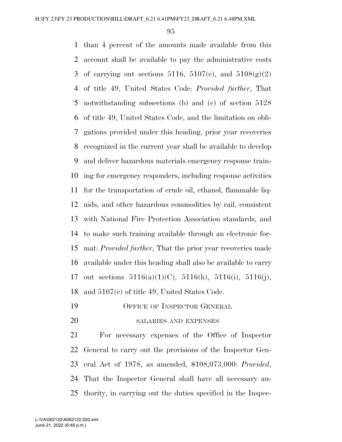than 4 percent of the amounts made available from this account shall be available to pay the administrative costs 3 of carrying out sections 5116, 5107(e), and  $5108(g)(2)$  of title 49, United States Code: *Provided further*, That notwithstanding subsections (b) and (c) of section 5128 of title 49, United States Code, and the limitation on obli- gations provided under this heading, prior year recoveries recognized in the current year shall be available to develop and deliver hazardous materials emergency response train- ing for emergency responders, including response activities for the transportation of crude oil, ethanol, flammable liq- uids, and other hazardous commodities by rail, consistent with National Fire Protection Association standards, and to make such training available through an electronic for- mat: *Provided further*, That the prior year recoveries made available under this heading shall also be available to carry 17 out sections  $5116(a)(1)(C)$ ,  $5116(h)$ ,  $5116(i)$ ,  $5116(j)$ , and 5107(e) of title 49, United States Code.

OFFICE OF INSPECTOR GENERAL

SALARIES AND EXPENSES

 For necessary expenses of the Office of Inspector General to carry out the provisions of the Inspector Gen- eral Act of 1978, as amended, \$108,073,000: *Provided*, That the Inspector General shall have all necessary au-thority, in carrying out the duties specified in the Inspec-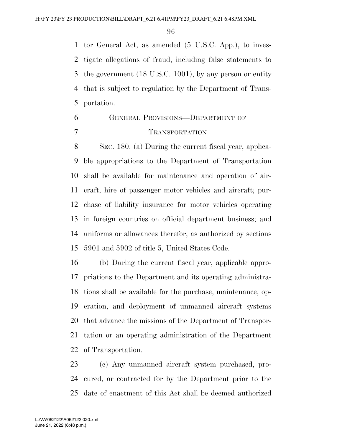tor General Act, as amended (5 U.S.C. App.), to inves- tigate allegations of fraud, including false statements to the government (18 U.S.C. 1001), by any person or entity that is subject to regulation by the Department of Trans-portation.

# GENERAL PROVISIONS—DEPARTMENT OF TRANSPORTATION

 SEC. 180. (a) During the current fiscal year, applica- ble appropriations to the Department of Transportation shall be available for maintenance and operation of air- craft; hire of passenger motor vehicles and aircraft; pur- chase of liability insurance for motor vehicles operating in foreign countries on official department business; and uniforms or allowances therefor, as authorized by sections 5901 and 5902 of title 5, United States Code.

 (b) During the current fiscal year, applicable appro- priations to the Department and its operating administra- tions shall be available for the purchase, maintenance, op- eration, and deployment of unmanned aircraft systems that advance the missions of the Department of Transpor- tation or an operating administration of the Department of Transportation.

 (c) Any unmanned aircraft system purchased, pro- cured, or contracted for by the Department prior to the date of enactment of this Act shall be deemed authorized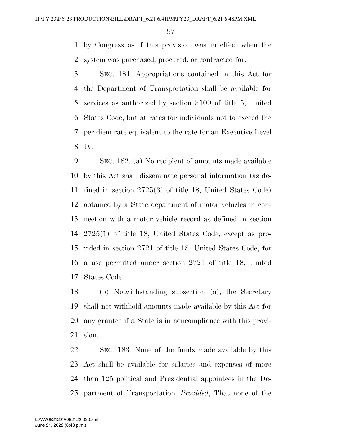by Congress as if this provision was in effect when the system was purchased, procured, or contracted for.

 SEC. 181. Appropriations contained in this Act for the Department of Transportation shall be available for services as authorized by section 3109 of title 5, United States Code, but at rates for individuals not to exceed the per diem rate equivalent to the rate for an Executive Level IV.

 SEC. 182. (a) No recipient of amounts made available by this Act shall disseminate personal information (as de- fined in section 2725(3) of title 18, United States Code) obtained by a State department of motor vehicles in con- nection with a motor vehicle record as defined in section 2725(1) of title 18, United States Code, except as pro- vided in section 2721 of title 18, United States Code, for a use permitted under section 2721 of title 18, United States Code.

 (b) Notwithstanding subsection (a), the Secretary shall not withhold amounts made available by this Act for any grantee if a State is in noncompliance with this provi-sion.

 SEC. 183. None of the funds made available by this Act shall be available for salaries and expenses of more than 125 political and Presidential appointees in the De-partment of Transportation: *Provided*, That none of the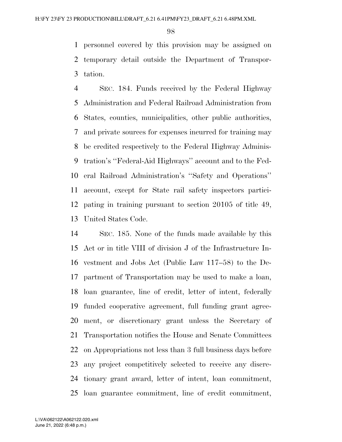personnel covered by this provision may be assigned on temporary detail outside the Department of Transpor-tation.

 SEC. 184. Funds received by the Federal Highway Administration and Federal Railroad Administration from States, counties, municipalities, other public authorities, and private sources for expenses incurred for training may be credited respectively to the Federal Highway Adminis- tration's ''Federal-Aid Highways'' account and to the Fed- eral Railroad Administration's ''Safety and Operations'' account, except for State rail safety inspectors partici- pating in training pursuant to section 20105 of title 49, United States Code.

 SEC. 185. None of the funds made available by this Act or in title VIII of division J of the Infrastructure In- vestment and Jobs Act (Public Law 117–58) to the De- partment of Transportation may be used to make a loan, loan guarantee, line of credit, letter of intent, federally funded cooperative agreement, full funding grant agree- ment, or discretionary grant unless the Secretary of Transportation notifies the House and Senate Committees on Appropriations not less than 3 full business days before any project competitively selected to receive any discre- tionary grant award, letter of intent, loan commitment, loan guarantee commitment, line of credit commitment,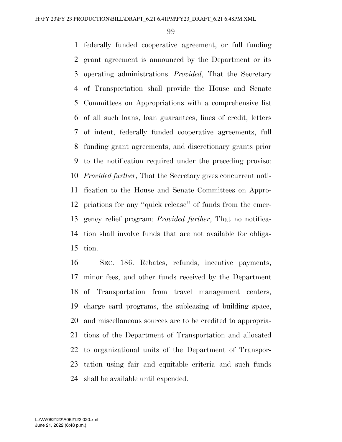federally funded cooperative agreement, or full funding grant agreement is announced by the Department or its operating administrations: *Provided*, That the Secretary of Transportation shall provide the House and Senate Committees on Appropriations with a comprehensive list of all such loans, loan guarantees, lines of credit, letters of intent, federally funded cooperative agreements, full funding grant agreements, and discretionary grants prior to the notification required under the preceding proviso: *Provided further*, That the Secretary gives concurrent noti- fication to the House and Senate Committees on Appro- priations for any ''quick release'' of funds from the emer- gency relief program: *Provided further*, That no notifica- tion shall involve funds that are not available for obliga-tion.

 SEC. 186. Rebates, refunds, incentive payments, minor fees, and other funds received by the Department of Transportation from travel management centers, charge card programs, the subleasing of building space, and miscellaneous sources are to be credited to appropria- tions of the Department of Transportation and allocated to organizational units of the Department of Transpor- tation using fair and equitable criteria and such funds shall be available until expended.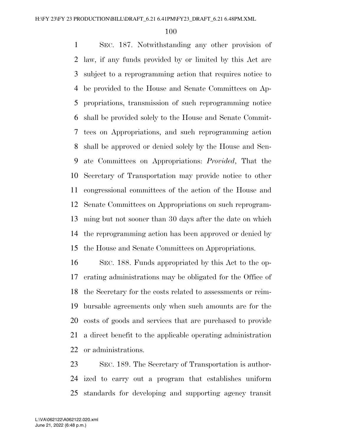SEC. 187. Notwithstanding any other provision of law, if any funds provided by or limited by this Act are subject to a reprogramming action that requires notice to be provided to the House and Senate Committees on Ap- propriations, transmission of such reprogramming notice shall be provided solely to the House and Senate Commit- tees on Appropriations, and such reprogramming action shall be approved or denied solely by the House and Sen- ate Committees on Appropriations: *Provided*, That the Secretary of Transportation may provide notice to other congressional committees of the action of the House and Senate Committees on Appropriations on such reprogram- ming but not sooner than 30 days after the date on which the reprogramming action has been approved or denied by the House and Senate Committees on Appropriations.

 SEC. 188. Funds appropriated by this Act to the op- erating administrations may be obligated for the Office of the Secretary for the costs related to assessments or reim- bursable agreements only when such amounts are for the costs of goods and services that are purchased to provide a direct benefit to the applicable operating administration or administrations.

 SEC. 189. The Secretary of Transportation is author- ized to carry out a program that establishes uniform standards for developing and supporting agency transit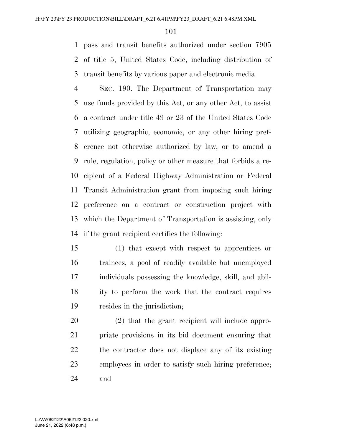pass and transit benefits authorized under section 7905 of title 5, United States Code, including distribution of transit benefits by various paper and electronic media.

 SEC. 190. The Department of Transportation may use funds provided by this Act, or any other Act, to assist a contract under title 49 or 23 of the United States Code utilizing geographic, economic, or any other hiring pref- erence not otherwise authorized by law, or to amend a rule, regulation, policy or other measure that forbids a re- cipient of a Federal Highway Administration or Federal Transit Administration grant from imposing such hiring preference on a contract or construction project with which the Department of Transportation is assisting, only if the grant recipient certifies the following:

 (1) that except with respect to apprentices or trainees, a pool of readily available but unemployed individuals possessing the knowledge, skill, and abil- ity to perform the work that the contract requires resides in the jurisdiction;

 (2) that the grant recipient will include appro- priate provisions in its bid document ensuring that the contractor does not displace any of its existing employees in order to satisfy such hiring preference; and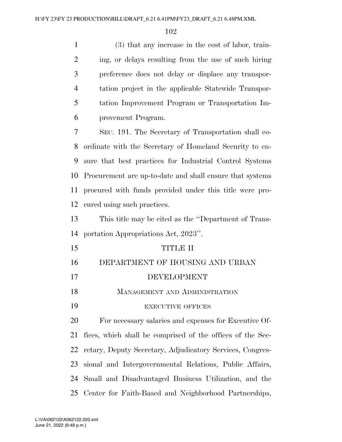| $\mathbf{1}$   | (3) that any increase in the cost of labor, train-         |
|----------------|------------------------------------------------------------|
| $\overline{2}$ | ing, or delays resulting from the use of such hiring       |
| 3              | preference does not delay or displace any transpor-        |
| $\overline{4}$ | tation project in the applicable Statewide Transpor-       |
| 5              | tation Improvement Program or Transportation Im-           |
| 6              | provement Program.                                         |
| $\overline{7}$ | SEC. 191. The Secretary of Transportation shall co-        |
| 8              | ordinate with the Secretary of Homeland Security to en-    |
| 9              | sure that best practices for Industrial Control Systems    |
| 10             | Procurement are up-to-date and shall ensure that systems   |
| 11             | procured with funds provided under this title were pro-    |
| 12             | cured using such practices.                                |
| 13             | This title may be cited as the "Department of Trans-       |
| 14             | portation Appropriations Act, 2023".                       |
| 15             | <b>TITLE II</b>                                            |
| 16             | DEPARTMENT OF HOUSING AND URBAN                            |
| 17             | DEVELOPMENT                                                |
| 18             | MANAGEMENT AND ADMINISTRATION                              |
| 19             | <b>EXECUTIVE OFFICES</b>                                   |
| 20             | For necessary salaries and expenses for Executive Of-      |
| 21             | fices, which shall be comprised of the offices of the Sec- |
| 22             | retary, Deputy Secretary, Adjudicatory Services, Congres-  |
| 23             | sional and Intergovernmental Relations, Public Affairs,    |
| 24             | Small and Disadvantaged Business Utilization, and the      |
|                |                                                            |

Center for Faith-Based and Neighborhood Partnerships,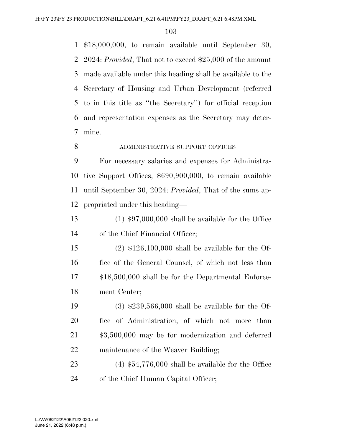\$18,000,000, to remain available until September 30, 2024: *Provided*, That not to exceed \$25,000 of the amount made available under this heading shall be available to the Secretary of Housing and Urban Development (referred to in this title as ''the Secretary'') for official reception and representation expenses as the Secretary may deter-mine.

#### 8 ADMINISTRATIVE SUPPORT OFFICES

 For necessary salaries and expenses for Administra- tive Support Offices, \$690,900,000, to remain available until September 30, 2024: *Provided*, That of the sums ap-propriated under this heading—

 (1) \$97,000,000 shall be available for the Office of the Chief Financial Officer;

 (2) \$126,100,000 shall be available for the Of- fice of the General Counsel, of which not less than \$18,500,000 shall be for the Departmental Enforce-ment Center;

 (3) \$239,566,000 shall be available for the Of- fice of Administration, of which not more than \$3,500,000 may be for modernization and deferred 22 maintenance of the Weaver Building;

 (4) \$54,776,000 shall be available for the Office 24 of the Chief Human Capital Officer;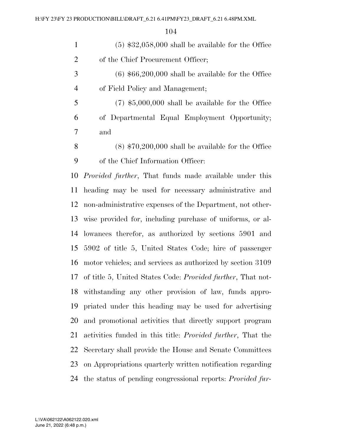(5) \$32,058,000 shall be available for the Office 2 of the Chief Procurement Officer;

 (6) \$66,200,000 shall be available for the Office of Field Policy and Management;

 (7) \$5,000,000 shall be available for the Office of Departmental Equal Employment Opportunity; and

 (8) \$70,200,000 shall be available for the Office of the Chief Information Officer:

 *Provided further*, That funds made available under this heading may be used for necessary administrative and non-administrative expenses of the Department, not other- wise provided for, including purchase of uniforms, or al- lowances therefor, as authorized by sections 5901 and 5902 of title 5, United States Code; hire of passenger motor vehicles; and services as authorized by section 3109 of title 5, United States Code: *Provided further*, That not- withstanding any other provision of law, funds appro- priated under this heading may be used for advertising and promotional activities that directly support program activities funded in this title: *Provided further*, That the Secretary shall provide the House and Senate Committees on Appropriations quarterly written notification regarding the status of pending congressional reports: *Provided fur-*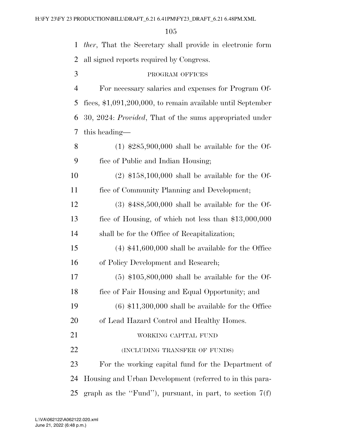| $\mathbf{1}$   | <i>ther</i> , That the Secretary shall provide in electronic form |
|----------------|-------------------------------------------------------------------|
| 2              | all signed reports required by Congress.                          |
| 3              | PROGRAM OFFICES                                                   |
| $\overline{4}$ | For necessary salaries and expenses for Program Of-               |
| 5              | fices, \$1,091,200,000, to remain available until September       |
| 6              | 30, 2024: <i>Provided</i> , That of the sums appropriated under   |
| 7              | this heading—                                                     |
| 8              | $(1)$ \$285,900,000 shall be available for the Of-                |
| 9              | fice of Public and Indian Housing;                                |
| 10             | $(2)$ \$158,100,000 shall be available for the Of-                |
| 11             | fice of Community Planning and Development;                       |
| 12             | $(3)$ \$488,500,000 shall be available for the Of-                |
| 13             | fice of Housing, of which not less than $$13,000,000$             |
| 14             | shall be for the Office of Recapitalization;                      |
| 15             | $(4)$ \$41,600,000 shall be available for the Office              |
| 16             | of Policy Development and Research;                               |
| 17             | $(5)$ \$105,800,000 shall be available for the Of-                |
| 18             | fice of Fair Housing and Equal Opportunity; and                   |
| 19             | $(6)$ \$11,300,000 shall be available for the Office              |
| <b>20</b>      | of Lead Hazard Control and Healthy Homes.                         |
| 21             | WORKING CAPITAL FUND                                              |
| 22             | (INCLUDING TRANSFER OF FUNDS)                                     |
| 23             | For the working capital fund for the Department of                |
| 24             | Housing and Urban Development (referred to in this para-          |
| 25             | graph as the "Fund"), pursuant, in part, to section $7(f)$        |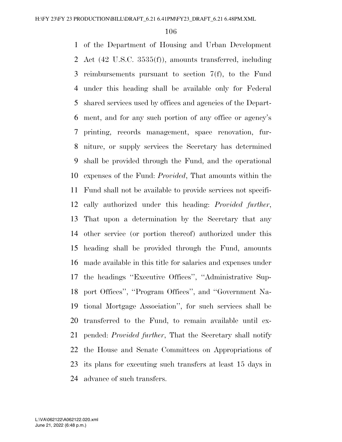of the Department of Housing and Urban Development Act (42 U.S.C. 3535(f)), amounts transferred, including reimbursements pursuant to section 7(f), to the Fund under this heading shall be available only for Federal shared services used by offices and agencies of the Depart- ment, and for any such portion of any office or agency's printing, records management, space renovation, fur- niture, or supply services the Secretary has determined shall be provided through the Fund, and the operational expenses of the Fund: *Provided*, That amounts within the Fund shall not be available to provide services not specifi- cally authorized under this heading: *Provided further*, That upon a determination by the Secretary that any other service (or portion thereof) authorized under this heading shall be provided through the Fund, amounts made available in this title for salaries and expenses under the headings ''Executive Offices'', ''Administrative Sup- port Offices'', ''Program Offices'', and ''Government Na- tional Mortgage Association'', for such services shall be transferred to the Fund, to remain available until ex- pended: *Provided further*, That the Secretary shall notify the House and Senate Committees on Appropriations of its plans for executing such transfers at least 15 days in advance of such transfers.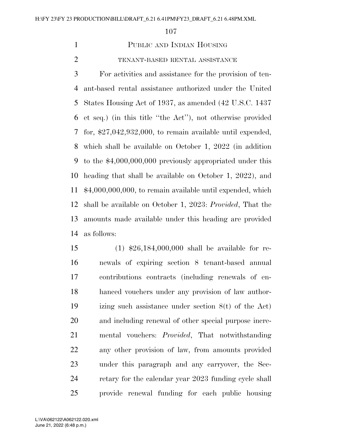# PUBLIC AND INDIAN HOUSING

#### TENANT-BASED RENTAL ASSISTANCE

 For activities and assistance for the provision of ten- ant-based rental assistance authorized under the United States Housing Act of 1937, as amended (42 U.S.C. 1437 et seq.) (in this title ''the Act''), not otherwise provided for, \$27,042,932,000, to remain available until expended, which shall be available on October 1, 2022 (in addition to the \$4,000,000,000 previously appropriated under this heading that shall be available on October 1, 2022), and \$4,000,000,000, to remain available until expended, which shall be available on October 1, 2023: *Provided*, That the amounts made available under this heading are provided as follows:

 (1) \$26,184,000,000 shall be available for re- newals of expiring section 8 tenant-based annual contributions contracts (including renewals of en- hanced vouchers under any provision of law author- izing such assistance under section 8(t) of the Act) and including renewal of other special purpose incre- mental vouchers: *Provided*, That notwithstanding any other provision of law, from amounts provided under this paragraph and any carryover, the Sec-24 retary for the calendar year 2023 funding cycle shall provide renewal funding for each public housing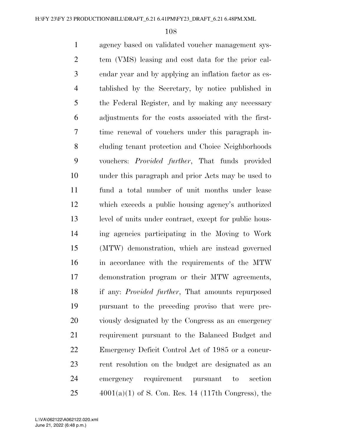agency based on validated voucher management sys- tem (VMS) leasing and cost data for the prior cal- endar year and by applying an inflation factor as es- tablished by the Secretary, by notice published in the Federal Register, and by making any necessary adjustments for the costs associated with the first- time renewal of vouchers under this paragraph in- cluding tenant protection and Choice Neighborhoods vouchers: *Provided further*, That funds provided under this paragraph and prior Acts may be used to fund a total number of unit months under lease which exceeds a public housing agency's authorized level of units under contract, except for public hous- ing agencies participating in the Moving to Work (MTW) demonstration, which are instead governed in accordance with the requirements of the MTW demonstration program or their MTW agreements, if any: *Provided further*, That amounts repurposed pursuant to the preceding proviso that were pre- viously designated by the Congress as an emergency requirement pursuant to the Balanced Budget and Emergency Deficit Control Act of 1985 or a concur- rent resolution on the budget are designated as an emergency requirement pursuant to section  $25 \qquad \qquad 4001(a)(1)$  of S. Con. Res. 14 (117th Congress), the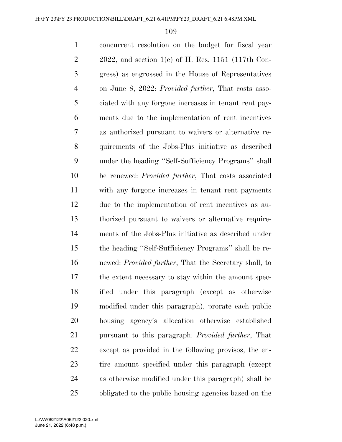concurrent resolution on the budget for fiscal year  $2 \qquad 2022$ , and section 1(e) of H. Res. 1151 (117th Con- gress) as engrossed in the House of Representatives on June 8, 2022: *Provided further*, That costs asso- ciated with any forgone increases in tenant rent pay- ments due to the implementation of rent incentives as authorized pursuant to waivers or alternative re- quirements of the Jobs-Plus initiative as described under the heading ''Self-Sufficiency Programs'' shall be renewed: *Provided further*, That costs associated with any forgone increases in tenant rent payments due to the implementation of rent incentives as au- thorized pursuant to waivers or alternative require- ments of the Jobs-Plus initiative as described under the heading ''Self-Sufficiency Programs'' shall be re- newed: *Provided further*, That the Secretary shall, to the extent necessary to stay within the amount spec- ified under this paragraph (except as otherwise modified under this paragraph), prorate each public housing agency's allocation otherwise established pursuant to this paragraph: *Provided further*, That except as provided in the following provisos, the en- tire amount specified under this paragraph (except as otherwise modified under this paragraph) shall be obligated to the public housing agencies based on the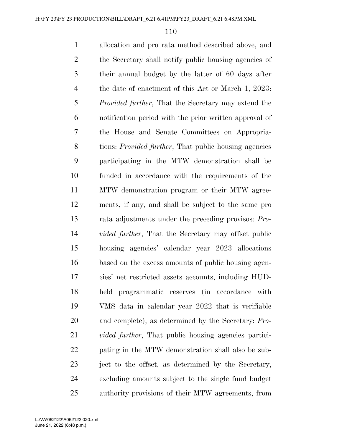allocation and pro rata method described above, and the Secretary shall notify public housing agencies of their annual budget by the latter of 60 days after the date of enactment of this Act or March 1, 2023: *Provided further*, That the Secretary may extend the notification period with the prior written approval of the House and Senate Committees on Appropria- tions: *Provided further*, That public housing agencies participating in the MTW demonstration shall be funded in accordance with the requirements of the MTW demonstration program or their MTW agree- ments, if any, and shall be subject to the same pro rata adjustments under the preceding provisos: *Pro- vided further*, That the Secretary may offset public housing agencies' calendar year 2023 allocations based on the excess amounts of public housing agen- cies' net restricted assets accounts, including HUD- held programmatic reserves (in accordance with VMS data in calendar year 2022 that is verifiable and complete), as determined by the Secretary: *Pro-vided further*, That public housing agencies partici- pating in the MTW demonstration shall also be sub- ject to the offset, as determined by the Secretary, excluding amounts subject to the single fund budget authority provisions of their MTW agreements, from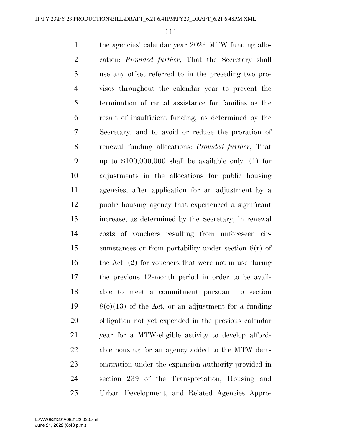the agencies' calendar year 2023 MTW funding allo- cation: *Provided further*, That the Secretary shall use any offset referred to in the preceding two pro- visos throughout the calendar year to prevent the termination of rental assistance for families as the result of insufficient funding, as determined by the Secretary, and to avoid or reduce the proration of renewal funding allocations: *Provided further*, That up to \$100,000,000 shall be available only: (1) for adjustments in the allocations for public housing agencies, after application for an adjustment by a public housing agency that experienced a significant increase, as determined by the Secretary, in renewal costs of vouchers resulting from unforeseen cir- cumstances or from portability under section 8(r) of 16 the Act; (2) for vouchers that were not in use during the previous 12-month period in order to be avail- able to meet a commitment pursuant to section 8(o)(13) of the Act, or an adjustment for a funding obligation not yet expended in the previous calendar year for a MTW-eligible activity to develop afford- able housing for an agency added to the MTW dem- onstration under the expansion authority provided in section 239 of the Transportation, Housing and Urban Development, and Related Agencies Appro-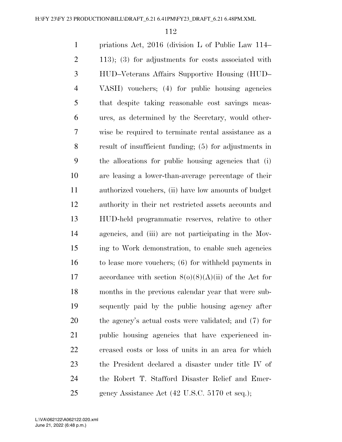priations Act, 2016 (division L of Public Law 114– 113); (3) for adjustments for costs associated with HUD–Veterans Affairs Supportive Housing (HUD– VASH) vouchers; (4) for public housing agencies that despite taking reasonable cost savings meas- ures, as determined by the Secretary, would other- wise be required to terminate rental assistance as a result of insufficient funding; (5) for adjustments in the allocations for public housing agencies that (i) are leasing a lower-than-average percentage of their authorized vouchers, (ii) have low amounts of budget authority in their net restricted assets accounts and HUD-held programmatic reserves, relative to other agencies, and (iii) are not participating in the Mov- ing to Work demonstration, to enable such agencies to lease more vouchers; (6) for withheld payments in 17 accordance with section  $8(0)(8)(A)(ii)$  of the Act for months in the previous calendar year that were sub- sequently paid by the public housing agency after the agency's actual costs were validated; and (7) for public housing agencies that have experienced in- creased costs or loss of units in an area for which the President declared a disaster under title IV of the Robert T. Stafford Disaster Relief and Emer-gency Assistance Act (42 U.S.C. 5170 et seq.);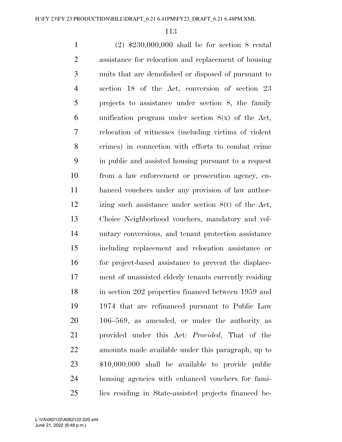(2) \$230,000,000 shall be for section 8 rental assistance for relocation and replacement of housing units that are demolished or disposed of pursuant to section 18 of the Act, conversion of section 23 projects to assistance under section 8, the family 6 unification program under section  $8(x)$  of the Act, relocation of witnesses (including victims of violent crimes) in connection with efforts to combat crime in public and assisted housing pursuant to a request from a law enforcement or prosecution agency, en- hanced vouchers under any provision of law author- izing such assistance under section 8(t) of the Act, Choice Neighborhood vouchers, mandatory and vol- untary conversions, and tenant protection assistance including replacement and relocation assistance or for project-based assistance to prevent the displace- ment of unassisted elderly tenants currently residing in section 202 properties financed between 1959 and 1974 that are refinanced pursuant to Public Law 106–569, as amended, or under the authority as provided under this Act: *Provided*, That of the amounts made available under this paragraph, up to \$10,000,000 shall be available to provide public housing agencies with enhanced vouchers for fami-lies residing in State-assisted projects financed be-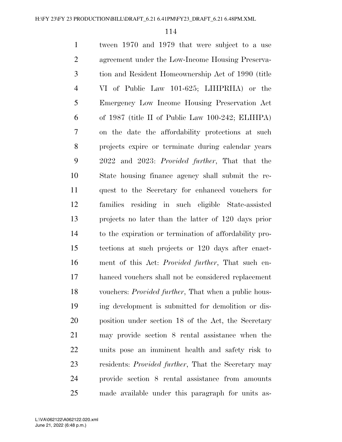tween 1970 and 1979 that were subject to a use agreement under the Low-Income Housing Preserva- tion and Resident Homeownership Act of 1990 (title VI of Public Law 101-625; LIHPRHA) or the Emergency Low Income Housing Preservation Act of 1987 (title II of Public Law 100-242; ELIHPA) on the date the affordability protections at such projects expire or terminate during calendar years 2022 and 2023: *Provided further*, That that the State housing finance agency shall submit the re- quest to the Secretary for enhanced vouchers for families residing in such eligible State-assisted projects no later than the latter of 120 days prior to the expiration or termination of affordability pro- tections at such projects or 120 days after enact- ment of this Act: *Provided further*, That such en- hanced vouchers shall not be considered replacement vouchers: *Provided further*, That when a public hous- ing development is submitted for demolition or dis- position under section 18 of the Act, the Secretary may provide section 8 rental assistance when the units pose an imminent health and safety risk to residents: *Provided further*, That the Secretary may provide section 8 rental assistance from amounts made available under this paragraph for units as-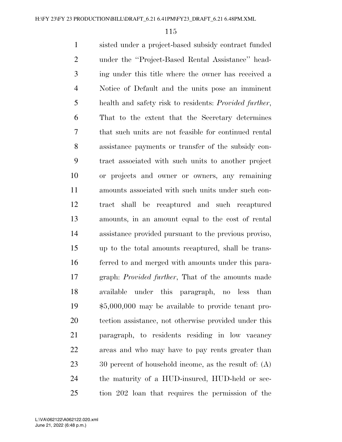sisted under a project-based subsidy contract funded under the ''Project-Based Rental Assistance'' head- ing under this title where the owner has received a Notice of Default and the units pose an imminent health and safety risk to residents: *Provided further*, That to the extent that the Secretary determines that such units are not feasible for continued rental assistance payments or transfer of the subsidy con- tract associated with such units to another project or projects and owner or owners, any remaining amounts associated with such units under such con- tract shall be recaptured and such recaptured amounts, in an amount equal to the cost of rental assistance provided pursuant to the previous proviso, up to the total amounts recaptured, shall be trans- ferred to and merged with amounts under this para- graph: *Provided further*, That of the amounts made available under this paragraph, no less than \$5,000,000 may be available to provide tenant pro- tection assistance, not otherwise provided under this paragraph, to residents residing in low vacancy areas and who may have to pay rents greater than 23 30 percent of household income, as the result of: (A) the maturity of a HUD-insured, HUD-held or sec-tion 202 loan that requires the permission of the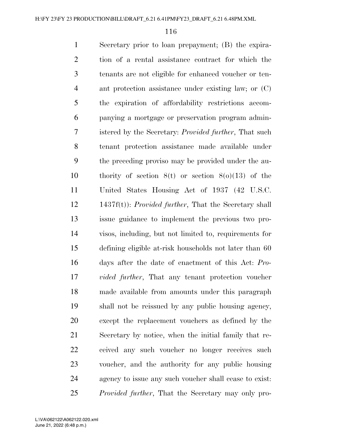Secretary prior to loan prepayment; (B) the expira- tion of a rental assistance contract for which the tenants are not eligible for enhanced voucher or ten- ant protection assistance under existing law; or (C) the expiration of affordability restrictions accom- panying a mortgage or preservation program admin- istered by the Secretary: *Provided further*, That such tenant protection assistance made available under the preceding proviso may be provided under the au- thority of section 8(t) or section 8(o)(13) of the United States Housing Act of 1937 (42 U.S.C. 1437f(t)): *Provided further*, That the Secretary shall issue guidance to implement the previous two pro- visos, including, but not limited to, requirements for defining eligible at-risk households not later than 60 days after the date of enactment of this Act: *Pro- vided further*, That any tenant protection voucher made available from amounts under this paragraph shall not be reissued by any public housing agency, except the replacement vouchers as defined by the Secretary by notice, when the initial family that re- ceived any such voucher no longer receives such voucher, and the authority for any public housing agency to issue any such voucher shall cease to exist: *Provided further*, That the Secretary may only pro-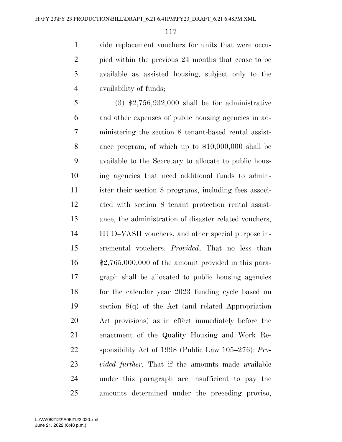vide replacement vouchers for units that were occu- pied within the previous 24 months that cease to be available as assisted housing, subject only to the availability of funds;

 (3) \$2,756,932,000 shall be for administrative and other expenses of public housing agencies in ad- ministering the section 8 tenant-based rental assist- ance program, of which up to \$10,000,000 shall be available to the Secretary to allocate to public hous- ing agencies that need additional funds to admin- ister their section 8 programs, including fees associ- ated with section 8 tenant protection rental assist- ance, the administration of disaster related vouchers, HUD–VASH vouchers, and other special purpose in- cremental vouchers: *Provided*, That no less than \$2,765,000,000 of the amount provided in this para- graph shall be allocated to public housing agencies for the calendar year 2023 funding cycle based on section 8(q) of the Act (and related Appropriation Act provisions) as in effect immediately before the enactment of the Quality Housing and Work Re- sponsibility Act of 1998 (Public Law 105–276): *Pro- vided further*, That if the amounts made available under this paragraph are insufficient to pay the amounts determined under the preceding proviso,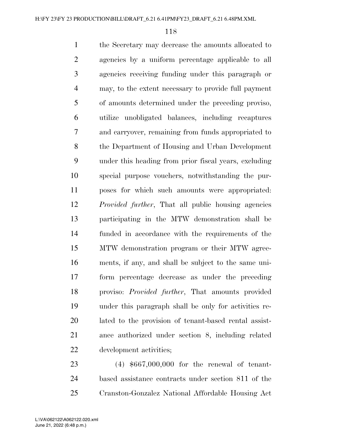the Secretary may decrease the amounts allocated to agencies by a uniform percentage applicable to all agencies receiving funding under this paragraph or may, to the extent necessary to provide full payment of amounts determined under the preceding proviso, utilize unobligated balances, including recaptures and carryover, remaining from funds appropriated to the Department of Housing and Urban Development under this heading from prior fiscal years, excluding special purpose vouchers, notwithstanding the pur- poses for which such amounts were appropriated: *Provided further*, That all public housing agencies participating in the MTW demonstration shall be funded in accordance with the requirements of the MTW demonstration program or their MTW agree- ments, if any, and shall be subject to the same uni- form percentage decrease as under the preceding proviso: *Provided further*, That amounts provided under this paragraph shall be only for activities re- lated to the provision of tenant-based rental assist- ance authorized under section 8, including related development activities;

 (4) \$667,000,000 for the renewal of tenant- based assistance contracts under section 811 of the Cranston-Gonzalez National Affordable Housing Act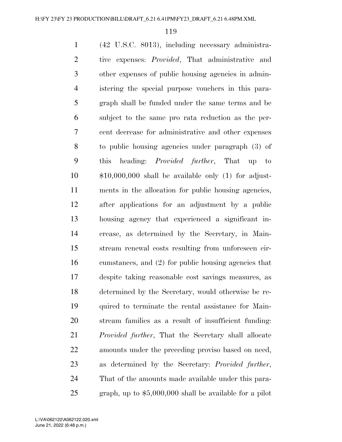(42 U.S.C. 8013), including necessary administra- tive expenses: *Provided*, That administrative and other expenses of public housing agencies in admin- istering the special purpose vouchers in this para- graph shall be funded under the same terms and be subject to the same pro rata reduction as the per- cent decrease for administrative and other expenses to public housing agencies under paragraph (3) of this heading: *Provided further*, That up to \$10,000,000 shall be available only (1) for adjust- ments in the allocation for public housing agencies, after applications for an adjustment by a public housing agency that experienced a significant in- crease, as determined by the Secretary, in Main- stream renewal costs resulting from unforeseen cir- cumstances, and (2) for public housing agencies that despite taking reasonable cost savings measures, as determined by the Secretary, would otherwise be re- quired to terminate the rental assistance for Main- stream families as a result of insufficient funding: *Provided further*, That the Secretary shall allocate amounts under the preceding proviso based on need, as determined by the Secretary: *Provided further*, That of the amounts made available under this para-graph, up to \$5,000,000 shall be available for a pilot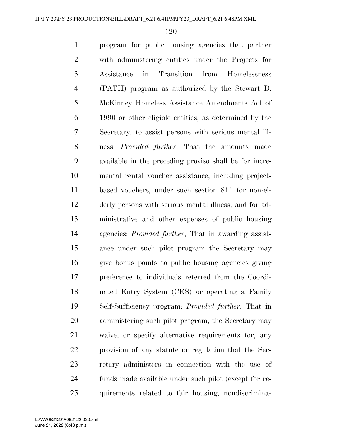program for public housing agencies that partner with administering entities under the Projects for Assistance in Transition from Homelessness (PATH) program as authorized by the Stewart B. McKinney Homeless Assistance Amendments Act of 1990 or other eligible entities, as determined by the Secretary, to assist persons with serious mental ill- ness: *Provided further*, That the amounts made available in the preceding proviso shall be for incre- mental rental voucher assistance, including project- based vouchers, under such section 811 for non-el- derly persons with serious mental illness, and for ad- ministrative and other expenses of public housing agencies: *Provided further*, That in awarding assist- ance under such pilot program the Secretary may give bonus points to public housing agencies giving preference to individuals referred from the Coordi- nated Entry System (CES) or operating a Family Self-Sufficiency program: *Provided further*, That in administering such pilot program, the Secretary may waive, or specify alternative requirements for, any provision of any statute or regulation that the Sec- retary administers in connection with the use of funds made available under such pilot (except for re-quirements related to fair housing, nondiscrimina-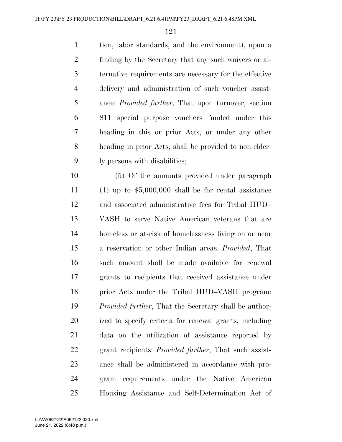tion, labor standards, and the environment), upon a finding by the Secretary that any such waivers or al- ternative requirements are necessary for the effective delivery and administration of such voucher assist- ance: *Provided further*, That upon turnover, section 811 special purpose vouchers funded under this heading in this or prior Acts, or under any other heading in prior Acts, shall be provided to non-elder-ly persons with disabilities;

 (5) Of the amounts provided under paragraph (1) up to \$5,000,000 shall be for rental assistance and associated administrative fees for Tribal HUD– VASH to serve Native American veterans that are homeless or at-risk of homelessness living on or near a reservation or other Indian areas: *Provided*, That such amount shall be made available for renewal grants to recipients that received assistance under prior Acts under the Tribal HUD–VASH program: *Provided further*, That the Secretary shall be author- ized to specify criteria for renewal grants, including data on the utilization of assistance reported by grant recipients: *Provided further*, That such assist- ance shall be administered in accordance with pro- gram requirements under the Native American Housing Assistance and Self-Determination Act of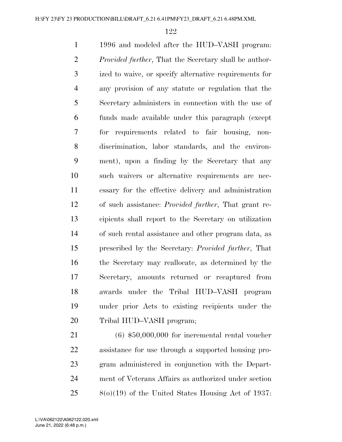1996 and modeled after the HUD–VASH program: *Provided further*, That the Secretary shall be author- ized to waive, or specify alternative requirements for any provision of any statute or regulation that the Secretary administers in connection with the use of funds made available under this paragraph (except for requirements related to fair housing, non- discrimination, labor standards, and the environ- ment), upon a finding by the Secretary that any such waivers or alternative requirements are nec- essary for the effective delivery and administration of such assistance: *Provided further*, That grant re- cipients shall report to the Secretary on utilization of such rental assistance and other program data, as prescribed by the Secretary: *Provided further*, That the Secretary may reallocate, as determined by the Secretary, amounts returned or recaptured from awards under the Tribal HUD–VASH program under prior Acts to existing recipients under the Tribal HUD–VASH program;

 (6) \$50,000,000 for incremental rental voucher assistance for use through a supported housing pro- gram administered in conjunction with the Depart- ment of Veterans Affairs as authorized under section 8(o)(19) of the United States Housing Act of 1937: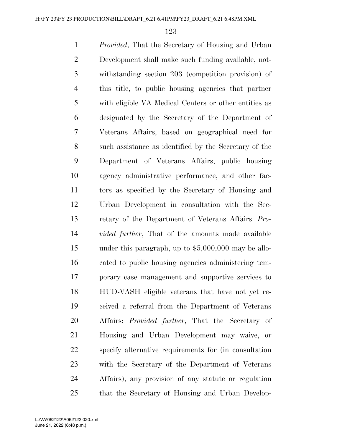*Provided*, That the Secretary of Housing and Urban Development shall make such funding available, not- withstanding section 203 (competition provision) of this title, to public housing agencies that partner with eligible VA Medical Centers or other entities as designated by the Secretary of the Department of Veterans Affairs, based on geographical need for such assistance as identified by the Secretary of the Department of Veterans Affairs, public housing agency administrative performance, and other fac- tors as specified by the Secretary of Housing and Urban Development in consultation with the Sec- retary of the Department of Veterans Affairs: *Pro- vided further*, That of the amounts made available under this paragraph, up to \$5,000,000 may be allo- cated to public housing agencies administering tem- porary case management and supportive services to HUD-VASH eligible veterans that have not yet re- ceived a referral from the Department of Veterans Affairs: *Provided further*, That the Secretary of Housing and Urban Development may waive, or specify alternative requirements for (in consultation with the Secretary of the Department of Veterans Affairs), any provision of any statute or regulation that the Secretary of Housing and Urban Develop-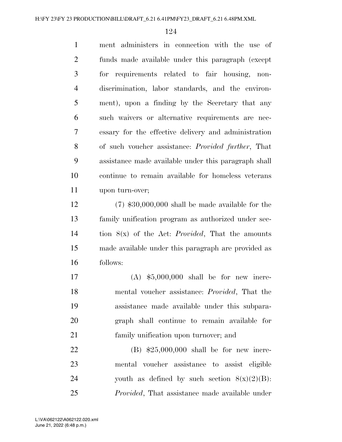ment administers in connection with the use of funds made available under this paragraph (except for requirements related to fair housing, non- discrimination, labor standards, and the environ- ment), upon a finding by the Secretary that any such waivers or alternative requirements are nec- essary for the effective delivery and administration of such voucher assistance: *Provided further*, That assistance made available under this paragraph shall continue to remain available for homeless veterans upon turn-over;

 (7) \$30,000,000 shall be made available for the family unification program as authorized under sec- tion 8(x) of the Act: *Provided*, That the amounts made available under this paragraph are provided as follows:

 (A) \$5,000,000 shall be for new incre- mental voucher assistance: *Provided*, That the assistance made available under this subpara- graph shall continue to remain available for family unification upon turnover; and

 (B) \$25,000,000 shall be for new incre- mental voucher assistance to assist eligible 24 youth as defined by such section  $8(x)(2)(B)$ : *Provided*, That assistance made available under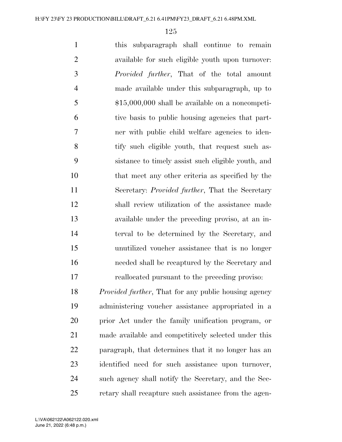this subparagraph shall continue to remain available for such eligible youth upon turnover: *Provided further*, That of the total amount made available under this subparagraph, up to \$15,000,000 shall be available on a noncompeti- tive basis to public housing agencies that part- ner with public child welfare agencies to iden-8 tify such eligible youth, that request such as- sistance to timely assist such eligible youth, and that meet any other criteria as specified by the Secretary: *Provided further*, That the Secretary shall review utilization of the assistance made available under the preceding proviso, at an in- terval to be determined by the Secretary, and unutilized voucher assistance that is no longer needed shall be recaptured by the Secretary and reallocated pursuant to the preceding proviso: *Provided further*, That for any public housing agency administering voucher assistance appropriated in a prior Act under the family unification program, or

 made available and competitively selected under this paragraph, that determines that it no longer has an identified need for such assistance upon turnover, such agency shall notify the Secretary, and the Sec-retary shall recapture such assistance from the agen-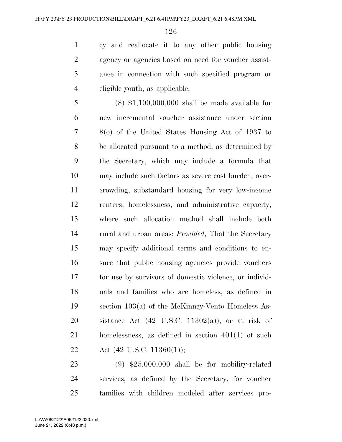cy and reallocate it to any other public housing agency or agencies based on need for voucher assist- ance in connection with such specified program or eligible youth, as applicable;

 (8) \$1,100,000,000 shall be made available for new incremental voucher assistance under section 8(o) of the United States Housing Act of 1937 to be allocated pursuant to a method, as determined by the Secretary, which may include a formula that may include such factors as severe cost burden, over- crowding, substandard housing for very low-income renters, homelessness, and administrative capacity, where such allocation method shall include both rural and urban areas: *Provided*, That the Secretary may specify additional terms and conditions to en- sure that public housing agencies provide vouchers for use by survivors of domestic violence, or individ- uals and families who are homeless, as defined in section 103(a) of the McKinney-Vento Homeless As-20 sistance Act  $(42 \text{ U.S.C. } 11302(a))$ , or at risk of homelessness, as defined in section 401(1) of such 22 Act  $(42 \text{ U.S.C. } 11360(1));$ 

 (9) \$25,000,000 shall be for mobility-related services, as defined by the Secretary, for voucher families with children modeled after services pro-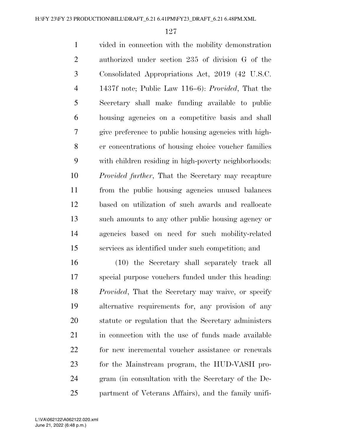vided in connection with the mobility demonstration authorized under section 235 of division G of the Consolidated Appropriations Act, 2019 (42 U.S.C. 1437f note; Public Law 116–6): *Provided*, That the Secretary shall make funding available to public housing agencies on a competitive basis and shall give preference to public housing agencies with high- er concentrations of housing choice voucher families with children residing in high-poverty neighborhoods: *Provided further*, That the Secretary may recapture from the public housing agencies unused balances based on utilization of such awards and reallocate such amounts to any other public housing agency or agencies based on need for such mobility-related services as identified under such competition; and

 (10) the Secretary shall separately track all special purpose vouchers funded under this heading: *Provided*, That the Secretary may waive, or specify alternative requirements for, any provision of any statute or regulation that the Secretary administers 21 in connection with the use of funds made available for new incremental voucher assistance or renewals for the Mainstream program, the HUD-VASH pro- gram (in consultation with the Secretary of the De-partment of Veterans Affairs), and the family unifi-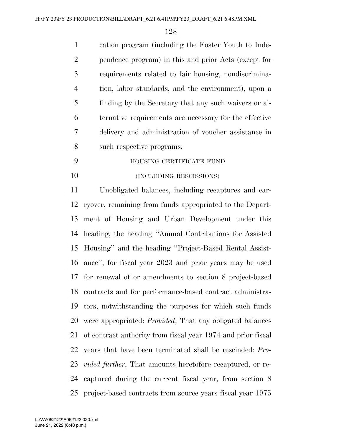cation program (including the Foster Youth to Inde- pendence program) in this and prior Acts (except for requirements related to fair housing, nondiscrimina- tion, labor standards, and the environment), upon a finding by the Secretary that any such waivers or al- ternative requirements are necessary for the effective delivery and administration of voucher assistance in such respective programs.

 HOUSING CERTIFICATE FUND 10 (INCLUDING RESCISSIONS)

 Unobligated balances, including recaptures and car- ryover, remaining from funds appropriated to the Depart- ment of Housing and Urban Development under this heading, the heading ''Annual Contributions for Assisted Housing'' and the heading ''Project-Based Rental Assist- ance'', for fiscal year 2023 and prior years may be used for renewal of or amendments to section 8 project-based contracts and for performance-based contract administra- tors, notwithstanding the purposes for which such funds were appropriated: *Provided*, That any obligated balances of contract authority from fiscal year 1974 and prior fiscal years that have been terminated shall be rescinded: *Pro- vided further*, That amounts heretofore recaptured, or re- captured during the current fiscal year, from section 8 project-based contracts from source years fiscal year 1975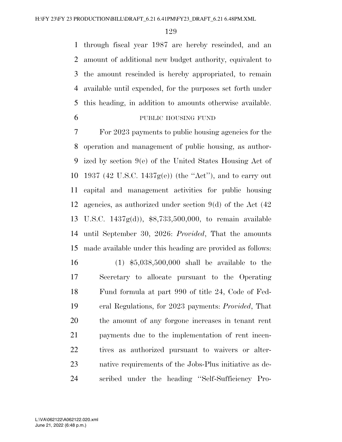through fiscal year 1987 are hereby rescinded, and an amount of additional new budget authority, equivalent to the amount rescinded is hereby appropriated, to remain available until expended, for the purposes set forth under this heading, in addition to amounts otherwise available.

## PUBLIC HOUSING FUND

 For 2023 payments to public housing agencies for the operation and management of public housing, as author- ized by section 9(e) of the United States Housing Act of 1937 (42 U.S.C. 1437g(e)) (the ''Act''), and to carry out capital and management activities for public housing agencies, as authorized under section 9(d) of the Act (42 U.S.C. 1437g(d)), \$8,733,500,000, to remain available until September 30, 2026: *Provided*, That the amounts made available under this heading are provided as follows:

 (1) \$5,038,500,000 shall be available to the Secretary to allocate pursuant to the Operating Fund formula at part 990 of title 24, Code of Fed- eral Regulations, for 2023 payments: *Provided*, That the amount of any forgone increases in tenant rent payments due to the implementation of rent incen- tives as authorized pursuant to waivers or alter- native requirements of the Jobs-Plus initiative as de-scribed under the heading ''Self-Sufficiency Pro-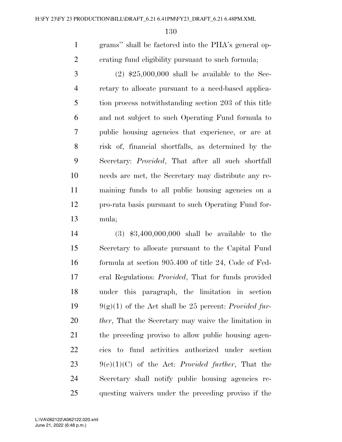grams'' shall be factored into the PHA's general op-erating fund eligibility pursuant to such formula;

 (2) \$25,000,000 shall be available to the Sec- retary to allocate pursuant to a need-based applica- tion process notwithstanding section 203 of this title and not subject to such Operating Fund formula to public housing agencies that experience, or are at risk of, financial shortfalls, as determined by the Secretary: *Provided*, That after all such shortfall needs are met, the Secretary may distribute any re- maining funds to all public housing agencies on a pro-rata basis pursuant to such Operating Fund for-mula;

 (3) \$3,400,000,000 shall be available to the Secretary to allocate pursuant to the Capital Fund formula at section 905.400 of title 24, Code of Fed- eral Regulations: *Provided*, That for funds provided under this paragraph, the limitation in section 9(g)(1) of the Act shall be 25 percent: *Provided fur- ther*, That the Secretary may waive the limitation in the preceding proviso to allow public housing agen- cies to fund activities authorized under section 9(e)(1)(C) of the Act: *Provided further*, That the Secretary shall notify public housing agencies re-questing waivers under the preceding proviso if the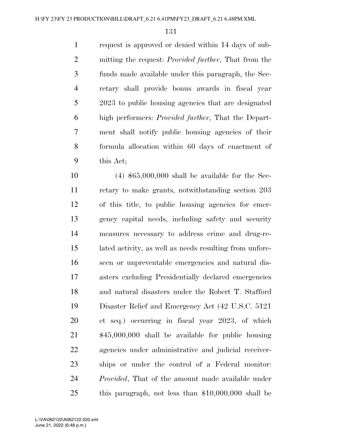request is approved or denied within 14 days of sub- mitting the request: *Provided further*, That from the funds made available under this paragraph, the Sec- retary shall provide bonus awards in fiscal year 2023 to public housing agencies that are designated high performers: *Provided further*, That the Depart- ment shall notify public housing agencies of their formula allocation within 60 days of enactment of this Act;

 (4) \$65,000,000 shall be available for the Sec- retary to make grants, notwithstanding section 203 of this title, to public housing agencies for emer- gency capital needs, including safety and security measures necessary to address crime and drug-re- lated activity, as well as needs resulting from unfore- seen or unpreventable emergencies and natural dis- asters excluding Presidentially declared emergencies and natural disasters under the Robert T. Stafford Disaster Relief and Emergency Act (42 U.S.C. 5121 et seq.) occurring in fiscal year 2023, of which \$45,000,000 shall be available for public housing agencies under administrative and judicial receiver- ships or under the control of a Federal monitor: *Provided*, That of the amount made available under this paragraph, not less than \$10,000,000 shall be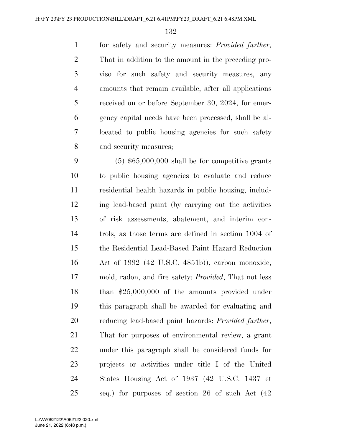for safety and security measures: *Provided further*, That in addition to the amount in the preceding pro- viso for such safety and security measures, any amounts that remain available, after all applications received on or before September 30, 2024, for emer- gency capital needs have been processed, shall be al- located to public housing agencies for such safety and security measures;

 (5) \$65,000,000 shall be for competitive grants to public housing agencies to evaluate and reduce residential health hazards in public housing, includ- ing lead-based paint (by carrying out the activities of risk assessments, abatement, and interim con- trols, as those terms are defined in section 1004 of the Residential Lead-Based Paint Hazard Reduction Act of 1992 (42 U.S.C. 4851b)), carbon monoxide, mold, radon, and fire safety: *Provided*, That not less than \$25,000,000 of the amounts provided under this paragraph shall be awarded for evaluating and reducing lead-based paint hazards: *Provided further*, That for purposes of environmental review, a grant under this paragraph shall be considered funds for projects or activities under title I of the United States Housing Act of 1937 (42 U.S.C. 1437 et seq.) for purposes of section 26 of such Act (42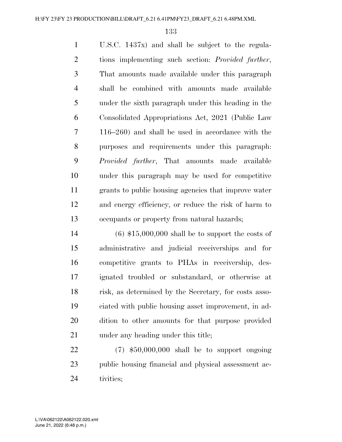U.S.C. 1437x) and shall be subject to the regula- tions implementing such section: *Provided further*, That amounts made available under this paragraph shall be combined with amounts made available under the sixth paragraph under this heading in the Consolidated Appropriations Act, 2021 (Public Law 116–260) and shall be used in accordance with the purposes and requirements under this paragraph: *Provided further*, That amounts made available under this paragraph may be used for competitive grants to public housing agencies that improve water and energy efficiency, or reduce the risk of harm to occupants or property from natural hazards;

 (6) \$15,000,000 shall be to support the costs of administrative and judicial receiverships and for competitive grants to PHAs in receivership, des- ignated troubled or substandard, or otherwise at risk, as determined by the Secretary, for costs asso- ciated with public housing asset improvement, in ad- dition to other amounts for that purpose provided 21 under any heading under this title;

 (7) \$50,000,000 shall be to support ongoing public housing financial and physical assessment ac-tivities;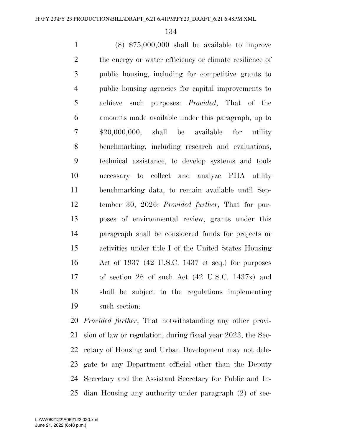(8) \$75,000,000 shall be available to improve 2 the energy or water efficiency or climate resilience of public housing, including for competitive grants to public housing agencies for capital improvements to achieve such purposes: *Provided*, That of the amounts made available under this paragraph, up to \$20,000,000, shall be available for utility benchmarking, including research and evaluations, technical assistance, to develop systems and tools necessary to collect and analyze PHA utility benchmarking data, to remain available until Sep- tember 30, 2026: *Provided further*, That for pur- poses of environmental review, grants under this paragraph shall be considered funds for projects or activities under title I of the United States Housing Act of 1937 (42 U.S.C. 1437 et seq.) for purposes of section 26 of such Act (42 U.S.C. 1437x) and shall be subject to the regulations implementing such section:

 *Provided further*, That notwithstanding any other provi- sion of law or regulation, during fiscal year 2023, the Sec- retary of Housing and Urban Development may not dele- gate to any Department official other than the Deputy Secretary and the Assistant Secretary for Public and In-dian Housing any authority under paragraph (2) of sec-

June 21, 2022 (6:48 p.m.) L:\VA\062122\A062122.020.xml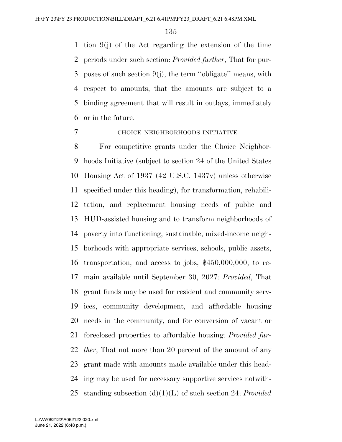tion 9(j) of the Act regarding the extension of the time periods under such section: *Provided further*, That for pur- poses of such section 9(j), the term ''obligate'' means, with respect to amounts, that the amounts are subject to a binding agreement that will result in outlays, immediately or in the future.

## CHOICE NEIGHBORHOODS INITIATIVE

 For competitive grants under the Choice Neighbor- hoods Initiative (subject to section 24 of the United States Housing Act of 1937 (42 U.S.C. 1437v) unless otherwise specified under this heading), for transformation, rehabili- tation, and replacement housing needs of public and HUD-assisted housing and to transform neighborhoods of poverty into functioning, sustainable, mixed-income neigh- borhoods with appropriate services, schools, public assets, transportation, and access to jobs, \$450,000,000, to re- main available until September 30, 2027: *Provided*, That grant funds may be used for resident and community serv- ices, community development, and affordable housing needs in the community, and for conversion of vacant or foreclosed properties to affordable housing: *Provided fur- ther*, That not more than 20 percent of the amount of any grant made with amounts made available under this head- ing may be used for necessary supportive services notwith-standing subsection (d)(1)(L) of such section 24: *Provided*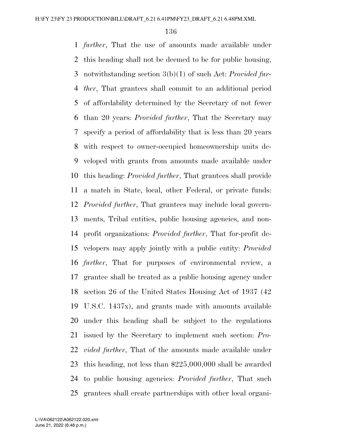*further*, That the use of amounts made available under this heading shall not be deemed to be for public housing, notwithstanding section 3(b)(1) of such Act: *Provided fur- ther*, That grantees shall commit to an additional period of affordability determined by the Secretary of not fewer than 20 years: *Provided further*, That the Secretary may specify a period of affordability that is less than 20 years with respect to owner-occupied homeownership units de- veloped with grants from amounts made available under this heading: *Provided further*, That grantees shall provide a match in State, local, other Federal, or private funds: *Provided further*, That grantees may include local govern- ments, Tribal entities, public housing agencies, and non- profit organizations: *Provided further*, That for-profit de- velopers may apply jointly with a public entity: *Provided further*, That for purposes of environmental review, a grantee shall be treated as a public housing agency under section 26 of the United States Housing Act of 1937 (42 U.S.C. 1437x), and grants made with amounts available under this heading shall be subject to the regulations issued by the Secretary to implement such section: *Pro- vided further*, That of the amounts made available under this heading, not less than \$225,000,000 shall be awarded to public housing agencies: *Provided further*, That such grantees shall create partnerships with other local organi-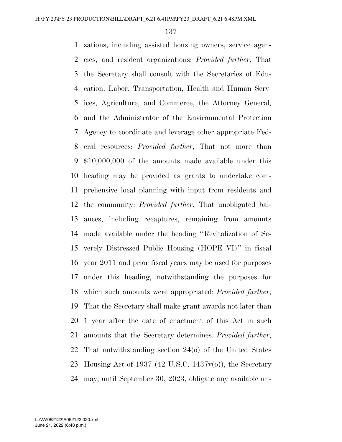zations, including assisted housing owners, service agen- cies, and resident organizations: *Provided further*, That the Secretary shall consult with the Secretaries of Edu- cation, Labor, Transportation, Health and Human Serv- ices, Agriculture, and Commerce, the Attorney General, and the Administrator of the Environmental Protection Agency to coordinate and leverage other appropriate Fed- eral resources: *Provided further*, That not more than \$10,000,000 of the amounts made available under this heading may be provided as grants to undertake com- prehensive local planning with input from residents and the community: *Provided further*, That unobligated bal- ances, including recaptures, remaining from amounts made available under the heading ''Revitalization of Se- verely Distressed Public Housing (HOPE VI)'' in fiscal year 2011 and prior fiscal years may be used for purposes under this heading, notwithstanding the purposes for which such amounts were appropriated: *Provided further*, That the Secretary shall make grant awards not later than 1 year after the date of enactment of this Act in such amounts that the Secretary determines: *Provided further*, That notwithstanding section 24(o) of the United States 23 Housing Act of 1937 (42 U.S.C. 1437 $v(\sigma)$ ), the Secretary may, until September 30, 2023, obligate any available un-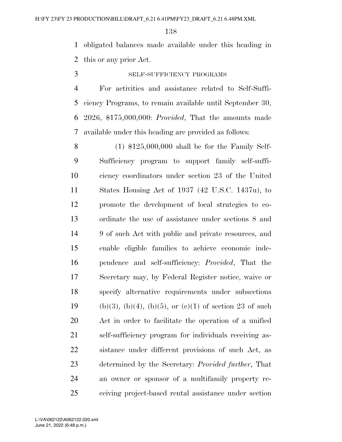obligated balances made available under this heading in this or any prior Act.

SELF-SUFFICIENCY PROGRAMS

 For activities and assistance related to Self-Suffi- ciency Programs, to remain available until September 30, 2026, \$175,000,000: *Provided*, That the amounts made available under this heading are provided as follows:

 (1) \$125,000,000 shall be for the Family Self- Sufficiency program to support family self-suffi- ciency coordinators under section 23 of the United States Housing Act of 1937 (42 U.S.C. 1437u), to promote the development of local strategies to co- ordinate the use of assistance under sections 8 and 9 of such Act with public and private resources, and enable eligible families to achieve economic inde- pendence and self-sufficiency: *Provided*, That the Secretary may, by Federal Register notice, waive or specify alternative requirements under subsections 19 (b)(3), (b)(4), (b)(5), or (c)(1) of section 23 of such Act in order to facilitate the operation of a unified self-sufficiency program for individuals receiving as- sistance under different provisions of such Act, as determined by the Secretary: *Provided further*, That an owner or sponsor of a multifamily property re-ceiving project-based rental assistance under section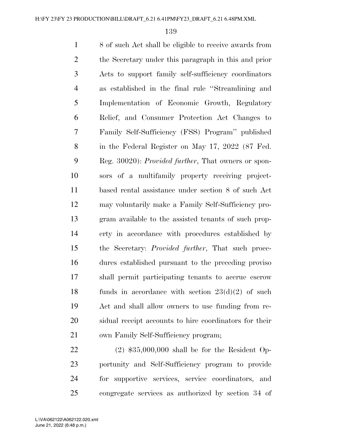8 of such Act shall be eligible to receive awards from the Secretary under this paragraph in this and prior Acts to support family self-sufficiency coordinators as established in the final rule ''Streamlining and Implementation of Economic Growth, Regulatory Relief, and Consumer Protection Act Changes to Family Self-Sufficiency (FSS) Program'' published in the Federal Register on May 17, 2022 (87 Fed. Reg. 30020): *Provided further*, That owners or spon- sors of a multifamily property receiving project- based rental assistance under section 8 of such Act may voluntarily make a Family Self-Sufficiency pro- gram available to the assisted tenants of such prop- erty in accordance with procedures established by the Secretary: *Provided further*, That such proce- dures established pursuant to the preceding proviso shall permit participating tenants to accrue escrow 18 funds in accordance with section  $23(d)(2)$  of such Act and shall allow owners to use funding from re- sidual receipt accounts to hire coordinators for their own Family Self-Sufficiency program;

 (2) \$35,000,000 shall be for the Resident Op- portunity and Self-Sufficiency program to provide for supportive services, service coordinators, and congregate services as authorized by section 34 of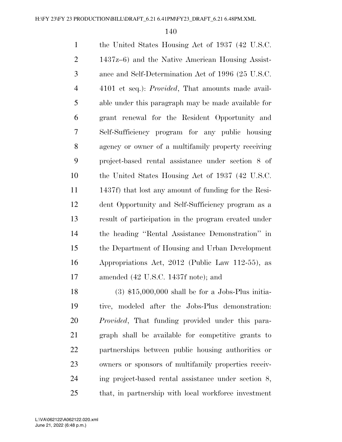| $\mathbf{1}$   | the United States Housing Act of 1937 (42 U.S.C.          |
|----------------|-----------------------------------------------------------|
| $\overline{2}$ | 1437z–6) and the Native American Housing Assist-          |
| 3              | ance and Self-Determination Act of 1996 (25 U.S.C.        |
| $\overline{4}$ | 4101 et seq.): <i>Provided</i> , That amounts made avail- |
| 5              | able under this paragraph may be made available for       |
| 6              | grant renewal for the Resident Opportunity and            |
| $\overline{7}$ | Self-Sufficiency program for any public housing           |
| 8              | agency or owner of a multifamily property receiving       |
| 9              | project-based rental assistance under section 8 of        |
| 10             | the United States Housing Act of 1937 (42 U.S.C.          |
| 11             | 1437f) that lost any amount of funding for the Resi-      |
| 12             | dent Opportunity and Self-Sufficiency program as a        |
| 13             | result of participation in the program created under      |
| 14             | the heading "Rental Assistance Demonstration" in          |
| 15             | the Department of Housing and Urban Development           |
| 16             | Appropriations Act, 2012 (Public Law 112-55), as          |
| 17             | amended (42 U.S.C. 1437f note); and                       |
| 18             | $(3)$ \$15,000,000 shall be for a Jobs-Plus initia-       |
| 19             | tive, modeled after the Jobs-Plus demonstration:          |
|                |                                                           |

 *Provided*, That funding provided under this para- graph shall be available for competitive grants to partnerships between public housing authorities or owners or sponsors of multifamily properties receiv- ing project-based rental assistance under section 8, that, in partnership with local workforce investment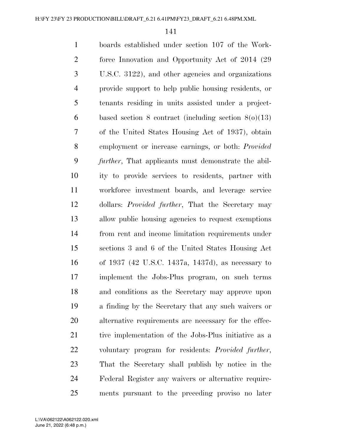boards established under section 107 of the Work- force Innovation and Opportunity Act of 2014 (29 U.S.C. 3122), and other agencies and organizations provide support to help public housing residents, or tenants residing in units assisted under a project- based section 8 contract (including section 8(o)(13) of the United States Housing Act of 1937), obtain employment or increase earnings, or both: *Provided further*, That applicants must demonstrate the abil- ity to provide services to residents, partner with workforce investment boards, and leverage service dollars: *Provided further*, That the Secretary may allow public housing agencies to request exemptions from rent and income limitation requirements under sections 3 and 6 of the United States Housing Act of 1937 (42 U.S.C. 1437a, 1437d), as necessary to implement the Jobs-Plus program, on such terms and conditions as the Secretary may approve upon a finding by the Secretary that any such waivers or alternative requirements are necessary for the effec- tive implementation of the Jobs-Plus initiative as a voluntary program for residents: *Provided further*, That the Secretary shall publish by notice in the Federal Register any waivers or alternative require-ments pursuant to the preceding proviso no later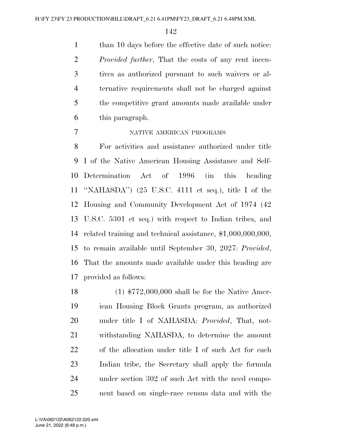1 than 10 days before the effective date of such notice: *Provided further*, That the costs of any rent incen- tives as authorized pursuant to such waivers or al- ternative requirements shall not be charged against the competitive grant amounts made available under this paragraph.

## NATIVE AMERICAN PROGRAMS

 For activities and assistance authorized under title I of the Native American Housing Assistance and Self- Determination Act of 1996 (in this heading ''NAHASDA'') (25 U.S.C. 4111 et seq.), title I of the Housing and Community Development Act of 1974 (42 U.S.C. 5301 et seq.) with respect to Indian tribes, and related training and technical assistance, \$1,000,000,000, to remain available until September 30, 2027: *Provided*, That the amounts made available under this heading are provided as follows:

 (1) \$772,000,000 shall be for the Native Amer- ican Housing Block Grants program, as authorized under title I of NAHASDA: *Provided*, That, not- withstanding NAHASDA, to determine the amount of the allocation under title I of such Act for each Indian tribe, the Secretary shall apply the formula under section 302 of such Act with the need compo-nent based on single-race census data and with the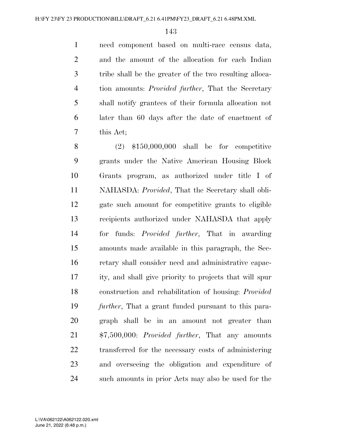need component based on multi-race census data, and the amount of the allocation for each Indian tribe shall be the greater of the two resulting alloca- tion amounts: *Provided further*, That the Secretary shall notify grantees of their formula allocation not later than 60 days after the date of enactment of this Act;

 (2) \$150,000,000 shall be for competitive grants under the Native American Housing Block Grants program, as authorized under title I of NAHASDA: *Provided*, That the Secretary shall obli- gate such amount for competitive grants to eligible recipients authorized under NAHASDA that apply for funds: *Provided further*, That in awarding amounts made available in this paragraph, the Sec- retary shall consider need and administrative capac- ity, and shall give priority to projects that will spur construction and rehabilitation of housing: *Provided further*, That a grant funded pursuant to this para- graph shall be in an amount not greater than \$7,500,000: *Provided further*, That any amounts transferred for the necessary costs of administering and overseeing the obligation and expenditure of such amounts in prior Acts may also be used for the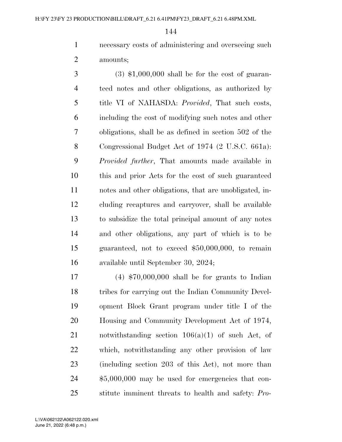necessary costs of administering and overseeing such amounts;

 $3 \qquad (3) \text{ $1,000,000 shall be for the cost of quaran-}$  teed notes and other obligations, as authorized by title VI of NAHASDA: *Provided*, That such costs, including the cost of modifying such notes and other obligations, shall be as defined in section 502 of the Congressional Budget Act of 1974 (2 U.S.C. 661a): *Provided further*, That amounts made available in this and prior Acts for the cost of such guaranteed notes and other obligations, that are unobligated, in- cluding recaptures and carryover, shall be available to subsidize the total principal amount of any notes and other obligations, any part of which is to be guaranteed, not to exceed \$50,000,000, to remain available until September 30, 2024;

 (4) \$70,000,000 shall be for grants to Indian tribes for carrying out the Indian Community Devel- opment Block Grant program under title I of the Housing and Community Development Act of 1974, notwithstanding section 106(a)(1) of such Act, of which, notwithstanding any other provision of law (including section 203 of this Act), not more than \$5,000,000 may be used for emergencies that con-stitute imminent threats to health and safety: *Pro-*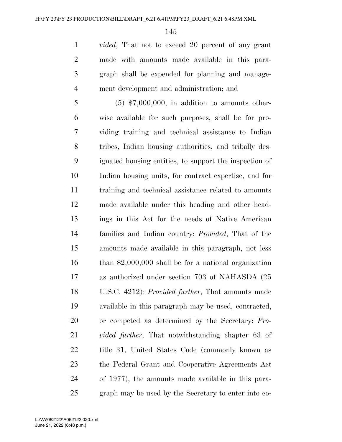*vided*, That not to exceed 20 percent of any grant made with amounts made available in this para- graph shall be expended for planning and manage-ment development and administration; and

 (5) \$7,000,000, in addition to amounts other- wise available for such purposes, shall be for pro- viding training and technical assistance to Indian tribes, Indian housing authorities, and tribally des- ignated housing entities, to support the inspection of Indian housing units, for contract expertise, and for training and technical assistance related to amounts made available under this heading and other head- ings in this Act for the needs of Native American families and Indian country: *Provided*, That of the amounts made available in this paragraph, not less than \$2,000,000 shall be for a national organization as authorized under section 703 of NAHASDA (25 U.S.C. 4212): *Provided further*, That amounts made available in this paragraph may be used, contracted, or competed as determined by the Secretary: *Pro- vided further*, That notwithstanding chapter 63 of title 31, United States Code (commonly known as the Federal Grant and Cooperative Agreements Act of 1977), the amounts made available in this para-graph may be used by the Secretary to enter into co-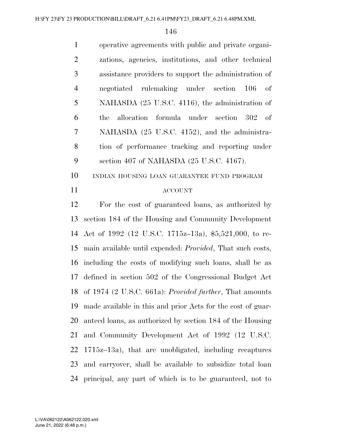operative agreements with public and private organi- zations, agencies, institutions, and other technical assistance providers to support the administration of negotiated rulemaking under section 106 of NAHASDA (25 U.S.C. 4116), the administration of the allocation formula under section 302 of NAHASDA (25 U.S.C. 4152), and the administra- tion of performance tracking and reporting under section 407 of NAHASDA (25 U.S.C. 4167).

INDIAN HOUSING LOAN GUARANTEE FUND PROGRAM

#### ACCOUNT

 For the cost of guaranteed loans, as authorized by section 184 of the Housing and Community Development Act of 1992 (12 U.S.C. 1715z–13a), \$5,521,000, to re- main available until expended: *Provided*, That such costs, including the costs of modifying such loans, shall be as defined in section 502 of the Congressional Budget Act of 1974 (2 U.S.C. 661a): *Provided further*, That amounts made available in this and prior Acts for the cost of guar- anteed loans, as authorized by section 184 of the Housing and Community Development Act of 1992 (12 U.S.C. 1715z–13a), that are unobligated, including recaptures and carryover, shall be available to subsidize total loan principal, any part of which is to be guaranteed, not to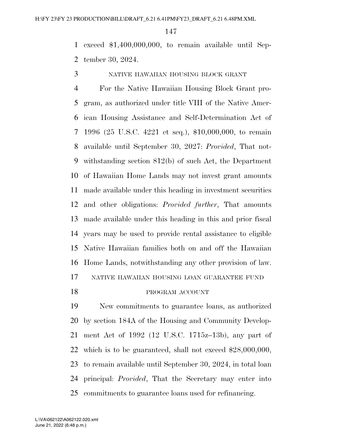exceed \$1,400,000,000, to remain available until Sep-tember 30, 2024.

NATIVE HAWAIIAN HOUSING BLOCK GRANT

 For the Native Hawaiian Housing Block Grant pro- gram, as authorized under title VIII of the Native Amer- ican Housing Assistance and Self-Determination Act of 1996 (25 U.S.C. 4221 et seq.), \$10,000,000, to remain available until September 30, 2027: *Provided*, That not- withstanding section 812(b) of such Act, the Department of Hawaiian Home Lands may not invest grant amounts made available under this heading in investment securities and other obligations: *Provided further*, That amounts made available under this heading in this and prior fiscal years may be used to provide rental assistance to eligible Native Hawaiian families both on and off the Hawaiian Home Lands, notwithstanding any other provision of law. NATIVE HAWAIIAN HOUSING LOAN GUARANTEE FUND 18 PROGRAM ACCOUNT

 New commitments to guarantee loans, as authorized by section 184A of the Housing and Community Develop- ment Act of 1992 (12 U.S.C. 1715z–13b), any part of which is to be guaranteed, shall not exceed \$28,000,000, to remain available until September 30, 2024, in total loan principal: *Provided*, That the Secretary may enter into commitments to guarantee loans used for refinancing.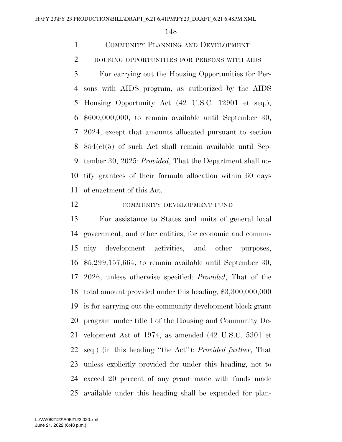COMMUNITY PLANNING AND DEVELOPMENT

2 HOUSING OPPORTUNITIES FOR PERSONS WITH AIDS

 For carrying out the Housing Opportunities for Per- sons with AIDS program, as authorized by the AIDS Housing Opportunity Act (42 U.S.C. 12901 et seq.), \$600,000,000, to remain available until September 30, 2024, except that amounts allocated pursuant to section 854(c)(5) of such Act shall remain available until Sep- tember 30, 2025: *Provided*, That the Department shall no- tify grantees of their formula allocation within 60 days of enactment of this Act.

### COMMUNITY DEVELOPMENT FUND

 For assistance to States and units of general local government, and other entities, for economic and commu- nity development activities, and other purposes, \$5,299,157,664, to remain available until September 30, 2026, unless otherwise specified: *Provided*, That of the total amount provided under this heading, \$3,300,000,000 is for carrying out the community development block grant program under title I of the Housing and Community De- velopment Act of 1974, as amended (42 U.S.C. 5301 et seq.) (in this heading ''the Act''): *Provided further*, That unless explicitly provided for under this heading, not to exceed 20 percent of any grant made with funds made available under this heading shall be expended for plan-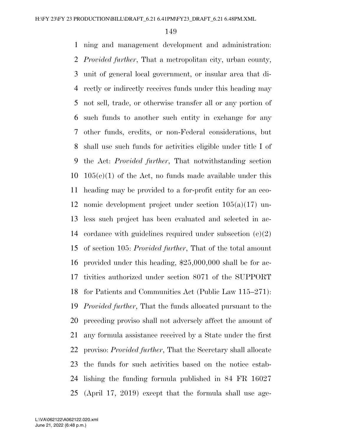ning and management development and administration: *Provided further*, That a metropolitan city, urban county, unit of general local government, or insular area that di- rectly or indirectly receives funds under this heading may not sell, trade, or otherwise transfer all or any portion of such funds to another such entity in exchange for any other funds, credits, or non-Federal considerations, but shall use such funds for activities eligible under title I of the Act: *Provided further*, That notwithstanding section  $10\quad105(e)(1)$  of the Act, no funds made available under this heading may be provided to a for-profit entity for an eco- nomic development project under section 105(a)(17) un- less such project has been evaluated and selected in ac- cordance with guidelines required under subsection (e)(2) of section 105: *Provided further*, That of the total amount provided under this heading, \$25,000,000 shall be for ac- tivities authorized under section 8071 of the SUPPORT for Patients and Communities Act (Public Law 115–271): *Provided further*, That the funds allocated pursuant to the preceding proviso shall not adversely affect the amount of any formula assistance received by a State under the first proviso: *Provided further*, That the Secretary shall allocate the funds for such activities based on the notice estab- lishing the funding formula published in 84 FR 16027 (April 17, 2019) except that the formula shall use age-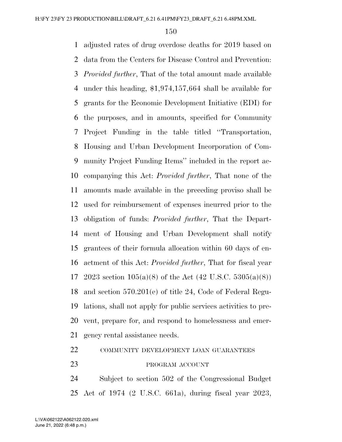adjusted rates of drug overdose deaths for 2019 based on data from the Centers for Disease Control and Prevention: *Provided further*, That of the total amount made available under this heading, \$1,974,157,664 shall be available for grants for the Economic Development Initiative (EDI) for the purposes, and in amounts, specified for Community Project Funding in the table titled ''Transportation, Housing and Urban Development Incorporation of Com- munity Project Funding Items'' included in the report ac- companying this Act: *Provided further*, That none of the amounts made available in the preceding proviso shall be used for reimbursement of expenses incurred prior to the obligation of funds: *Provided further*, That the Depart- ment of Housing and Urban Development shall notify grantees of their formula allocation within 60 days of en- actment of this Act: *Provided further*, That for fiscal year 17 2023 section  $105(a)(8)$  of the Act  $(42 \text{ U.S.C. } 5305(a)(8))$  and section 570.201(e) of title 24, Code of Federal Regu- lations, shall not apply for public services activities to pre- vent, prepare for, and respond to homelessness and emer-gency rental assistance needs.

### 22 COMMUNITY DEVELOPMENT LOAN GUARANTEES

#### PROGRAM ACCOUNT

 Subject to section 502 of the Congressional Budget Act of 1974 (2 U.S.C. 661a), during fiscal year 2023,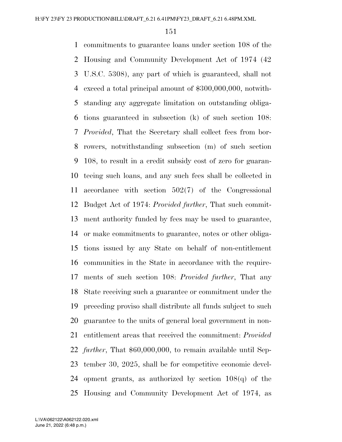commitments to guarantee loans under section 108 of the Housing and Community Development Act of 1974 (42 U.S.C. 5308), any part of which is guaranteed, shall not exceed a total principal amount of \$300,000,000, notwith- standing any aggregate limitation on outstanding obliga- tions guaranteed in subsection (k) of such section 108: *Provided*, That the Secretary shall collect fees from bor- rowers, notwithstanding subsection (m) of such section 108, to result in a credit subsidy cost of zero for guaran- teeing such loans, and any such fees shall be collected in accordance with section 502(7) of the Congressional Budget Act of 1974: *Provided further*, That such commit- ment authority funded by fees may be used to guarantee, or make commitments to guarantee, notes or other obliga- tions issued by any State on behalf of non-entitlement communities in the State in accordance with the require- ments of such section 108: *Provided further*, That any State receiving such a guarantee or commitment under the preceding proviso shall distribute all funds subject to such guarantee to the units of general local government in non- entitlement areas that received the commitment: *Provided further*, That \$60,000,000, to remain available until Sep- tember 30, 2025, shall be for competitive economic devel-24 opment grants, as authorized by section  $108(q)$  of the Housing and Community Development Act of 1974, as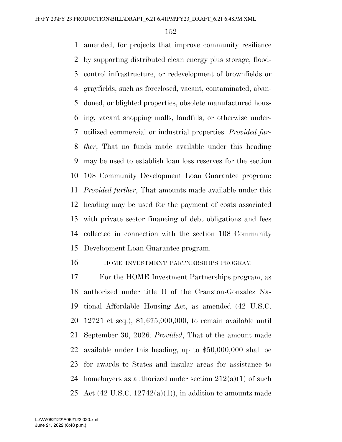amended, for projects that improve community resilience by supporting distributed clean energy plus storage, flood- control infrastructure, or redevelopment of brownfields or grayfields, such as foreclosed, vacant, contaminated, aban- doned, or blighted properties, obsolete manufactured hous- ing, vacant shopping malls, landfills, or otherwise under- utilized commercial or industrial properties: *Provided fur- ther*, That no funds made available under this heading may be used to establish loan loss reserves for the section 108 Community Development Loan Guarantee program: *Provided further*, That amounts made available under this heading may be used for the payment of costs associated with private sector financing of debt obligations and fees collected in connection with the section 108 Community Development Loan Guarantee program.

HOME INVESTMENT PARTNERSHIPS PROGRAM

 For the HOME Investment Partnerships program, as authorized under title II of the Cranston-Gonzalez Na- tional Affordable Housing Act, as amended (42 U.S.C. 12721 et seq.), \$1,675,000,000, to remain available until September 30, 2026: *Provided*, That of the amount made available under this heading, up to \$50,000,000 shall be for awards to States and insular areas for assistance to 24 homebuyers as authorized under section  $212(a)(1)$  of such 25 Act (42 U.S.C.  $12742(a)(1)$ ), in addition to amounts made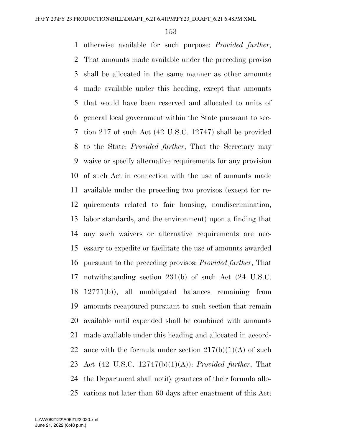otherwise available for such purpose: *Provided further*, That amounts made available under the preceding proviso shall be allocated in the same manner as other amounts made available under this heading, except that amounts that would have been reserved and allocated to units of general local government within the State pursuant to sec- tion 217 of such Act (42 U.S.C. 12747) shall be provided to the State: *Provided further*, That the Secretary may waive or specify alternative requirements for any provision of such Act in connection with the use of amounts made available under the preceding two provisos (except for re- quirements related to fair housing, nondiscrimination, labor standards, and the environment) upon a finding that any such waivers or alternative requirements are nec- essary to expedite or facilitate the use of amounts awarded pursuant to the preceding provisos: *Provided further*, That notwithstanding section 231(b) of such Act (24 U.S.C. 12771(b)), all unobligated balances remaining from amounts recaptured pursuant to such section that remain available until expended shall be combined with amounts made available under this heading and allocated in accord-22 ance with the formula under section  $217(b)(1)(A)$  of such Act (42 U.S.C. 12747(b)(1)(A)): *Provided further*, That the Department shall notify grantees of their formula allo-cations not later than 60 days after enactment of this Act: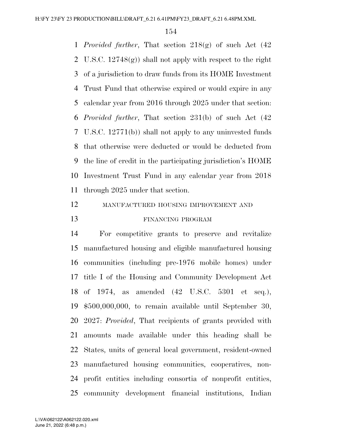*Provided further*, That section 218(g) of such Act (42 U.S.C. 12748(g)) shall not apply with respect to the right of a jurisdiction to draw funds from its HOME Investment Trust Fund that otherwise expired or would expire in any calendar year from 2016 through 2025 under that section: *Provided further*, That section 231(b) of such Act (42 U.S.C. 12771(b)) shall not apply to any uninvested funds that otherwise were deducted or would be deducted from the line of credit in the participating jurisdiction's HOME Investment Trust Fund in any calendar year from 2018 through 2025 under that section.

# MANUFACTURED HOUSING IMPROVEMENT AND FINANCING PROGRAM

 For competitive grants to preserve and revitalize manufactured housing and eligible manufactured housing communities (including pre-1976 mobile homes) under title I of the Housing and Community Development Act of 1974, as amended (42 U.S.C. 5301 et seq.), \$500,000,000, to remain available until September 30, 2027: *Provided*, That recipients of grants provided with amounts made available under this heading shall be States, units of general local government, resident-owned manufactured housing communities, cooperatives, non- profit entities including consortia of nonprofit entities, community development financial institutions, Indian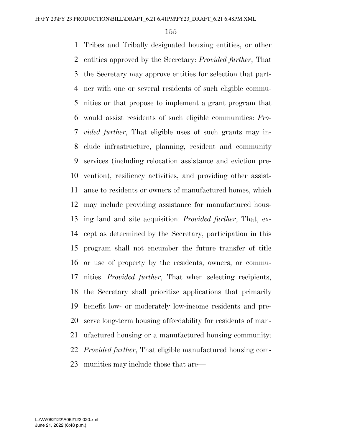Tribes and Tribally designated housing entities, or other entities approved by the Secretary: *Provided further*, That the Secretary may approve entities for selection that part- ner with one or several residents of such eligible commu- nities or that propose to implement a grant program that would assist residents of such eligible communities: *Pro- vided further*, That eligible uses of such grants may in- clude infrastructure, planning, resident and community services (including relocation assistance and eviction pre- vention), resiliency activities, and providing other assist- ance to residents or owners of manufactured homes, which may include providing assistance for manufactured hous- ing land and site acquisition: *Provided further*, That, ex- cept as determined by the Secretary, participation in this program shall not encumber the future transfer of title or use of property by the residents, owners, or commu- nities: *Provided further*, That when selecting recipients, the Secretary shall prioritize applications that primarily benefit low- or moderately low-income residents and pre- serve long-term housing affordability for residents of man- ufactured housing or a manufactured housing community: *Provided further*, That eligible manufactured housing com-munities may include those that are—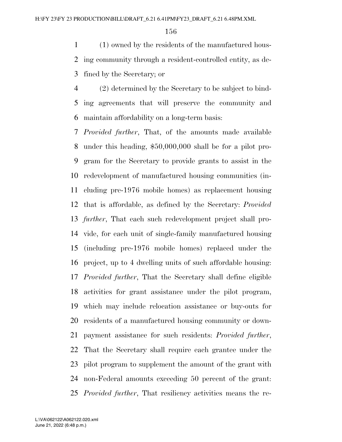(1) owned by the residents of the manufactured hous- ing community through a resident-controlled entity, as de-fined by the Secretary; or

 (2) determined by the Secretary to be subject to bind- ing agreements that will preserve the community and maintain affordability on a long-term basis:

 *Provided further*, That, of the amounts made available under this heading, \$50,000,000 shall be for a pilot pro- gram for the Secretary to provide grants to assist in the redevelopment of manufactured housing communities (in- cluding pre-1976 mobile homes) as replacement housing that is affordable, as defined by the Secretary: *Provided further*, That each such redevelopment project shall pro- vide, for each unit of single-family manufactured housing (including pre-1976 mobile homes) replaced under the project, up to 4 dwelling units of such affordable housing: *Provided further*, That the Secretary shall define eligible activities for grant assistance under the pilot program, which may include relocation assistance or buy-outs for residents of a manufactured housing community or down- payment assistance for such residents: *Provided further*, That the Secretary shall require each grantee under the pilot program to supplement the amount of the grant with non-Federal amounts exceeding 50 percent of the grant: *Provided further*, That resiliency activities means the re-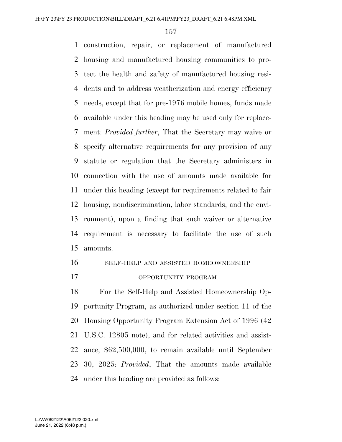construction, repair, or replacement of manufactured housing and manufactured housing communities to pro- tect the health and safety of manufactured housing resi- dents and to address weatherization and energy efficiency needs, except that for pre-1976 mobile homes, funds made available under this heading may be used only for replace- ment: *Provided further*, That the Secretary may waive or specify alternative requirements for any provision of any statute or regulation that the Secretary administers in connection with the use of amounts made available for under this heading (except for requirements related to fair housing, nondiscrimination, labor standards, and the envi- ronment), upon a finding that such waiver or alternative requirement is necessary to facilitate the use of such amounts.

SELF-HELP AND ASSISTED HOMEOWNERSHIP

OPPORTUNITY PROGRAM

 For the Self-Help and Assisted Homeownership Op- portunity Program, as authorized under section 11 of the Housing Opportunity Program Extension Act of 1996 (42 U.S.C. 12805 note), and for related activities and assist- ance, \$62,500,000, to remain available until September 30, 2025: *Provided*, That the amounts made available under this heading are provided as follows: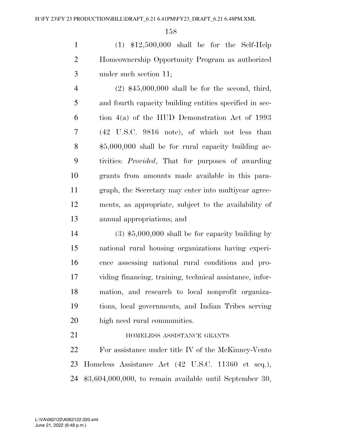(1) \$12,500,000 shall be for the Self-Help Homeownership Opportunity Program as authorized under such section 11;

 (2) \$45,000,000 shall be for the second, third, and fourth capacity building entities specified in sec- tion 4(a) of the HUD Demonstration Act of 1993 (42 U.S.C. 9816 note), of which not less than \$5,000,000 shall be for rural capacity building ac- tivities: *Provided*, That for purposes of awarding grants from amounts made available in this para- graph, the Secretary may enter into multiyear agree- ments, as appropriate, subject to the availability of annual appropriations; and

 (3) \$5,000,000 shall be for capacity building by national rural housing organizations having experi- ence assessing national rural conditions and pro- viding financing, training, technical assistance, infor- mation, and research to local nonprofit organiza- tions, local governments, and Indian Tribes serving high need rural communities.

**HOMELESS ASSISTANCE GRANTS** 

 For assistance under title IV of the McKinney-Vento Homeless Assistance Act (42 U.S.C. 11360 et seq.), \$3,604,000,000, to remain available until September 30,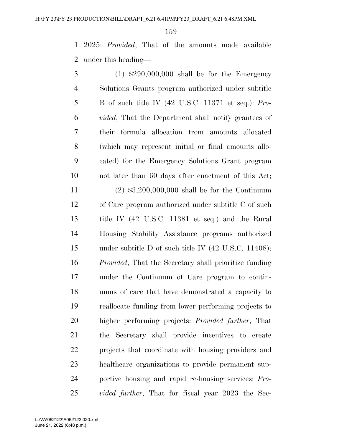2025: *Provided*, That of the amounts made available under this heading—

 (1) \$290,000,000 shall be for the Emergency Solutions Grants program authorized under subtitle B of such title IV (42 U.S.C. 11371 et seq.): *Pro- vided*, That the Department shall notify grantees of their formula allocation from amounts allocated (which may represent initial or final amounts allo- cated) for the Emergency Solutions Grant program not later than 60 days after enactment of this Act; (2) \$3,200,000,000 shall be for the Continuum of Care program authorized under subtitle C of such title IV (42 U.S.C. 11381 et seq.) and the Rural Housing Stability Assistance programs authorized under subtitle D of such title IV (42 U.S.C. 11408): *Provided*, That the Secretary shall prioritize funding under the Continuum of Care program to contin- uums of care that have demonstrated a capacity to reallocate funding from lower performing projects to higher performing projects: *Provided further*, That the Secretary shall provide incentives to create projects that coordinate with housing providers and healthcare organizations to provide permanent sup- portive housing and rapid re-housing services: *Pro-vided further*, That for fiscal year 2023 the Sec-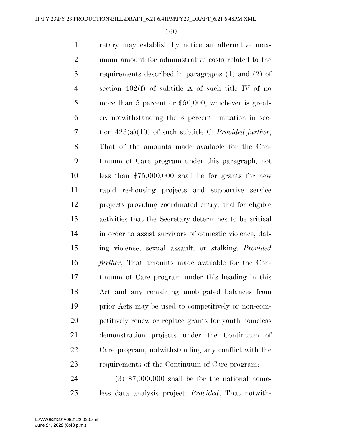retary may establish by notice an alternative max- imum amount for administrative costs related to the requirements described in paragraphs (1) and (2) of section 402(f) of subtitle A of such title IV of no more than 5 percent or \$50,000, whichever is great- er, notwithstanding the 3 percent limitation in sec- tion 423(a)(10) of such subtitle C: *Provided further*, That of the amounts made available for the Con- tinuum of Care program under this paragraph, not less than \$75,000,000 shall be for grants for new rapid re-housing projects and supportive service projects providing coordinated entry, and for eligible activities that the Secretary determines to be critical in order to assist survivors of domestic violence, dat- ing violence, sexual assault, or stalking: *Provided further*, That amounts made available for the Con- tinuum of Care program under this heading in this Act and any remaining unobligated balances from prior Acts may be used to competitively or non-com- petitively renew or replace grants for youth homeless demonstration projects under the Continuum of Care program, notwithstanding any conflict with the requirements of the Continuum of Care program; (3) \$7,000,000 shall be for the national home-

less data analysis project: *Provided*, That notwith-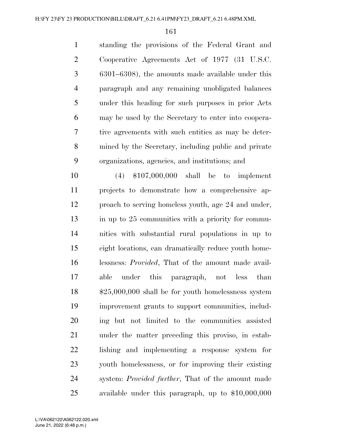standing the provisions of the Federal Grant and Cooperative Agreements Act of 1977 (31 U.S.C. 6301–6308), the amounts made available under this paragraph and any remaining unobligated balances under this heading for such purposes in prior Acts may be used by the Secretary to enter into coopera- tive agreements with such entities as may be deter- mined by the Secretary, including public and private organizations, agencies, and institutions; and

 (4) \$107,000,000 shall be to implement projects to demonstrate how a comprehensive ap- proach to serving homeless youth, age 24 and under, in up to 25 communities with a priority for commu- nities with substantial rural populations in up to eight locations, can dramatically reduce youth home- lessness: *Provided*, That of the amount made avail- able under this paragraph, not less than \$25,000,000 shall be for youth homelessness system improvement grants to support communities, includ- ing but not limited to the communities assisted under the matter preceding this proviso, in estab- lishing and implementing a response system for youth homelessness, or for improving their existing system: *Provided further*, That of the amount made available under this paragraph, up to \$10,000,000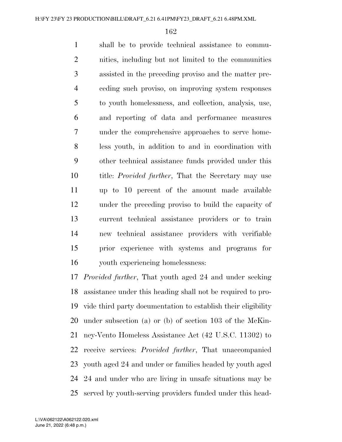shall be to provide technical assistance to commu- nities, including but not limited to the communities assisted in the preceding proviso and the matter pre- ceding such proviso, on improving system responses to youth homelessness, and collection, analysis, use, and reporting of data and performance measures under the comprehensive approaches to serve home- less youth, in addition to and in coordination with other technical assistance funds provided under this title: *Provided further*, That the Secretary may use up to 10 percent of the amount made available under the preceding proviso to build the capacity of current technical assistance providers or to train new technical assistance providers with verifiable prior experience with systems and programs for youth experiencing homelessness:

 *Provided further*, That youth aged 24 and under seeking assistance under this heading shall not be required to pro- vide third party documentation to establish their eligibility under subsection (a) or (b) of section 103 of the McKin- ney-Vento Homeless Assistance Act (42 U.S.C. 11302) to receive services: *Provided further*, That unaccompanied youth aged 24 and under or families headed by youth aged 24 and under who are living in unsafe situations may be served by youth-serving providers funded under this head-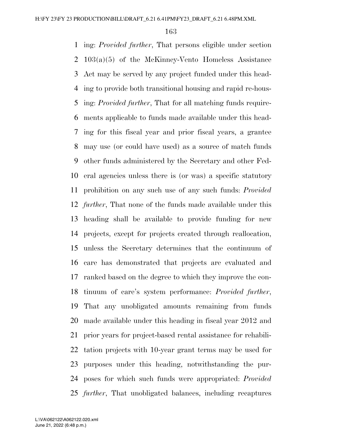ing: *Provided further*, That persons eligible under section 103(a)(5) of the McKinney-Vento Homeless Assistance Act may be served by any project funded under this head- ing to provide both transitional housing and rapid re-hous- ing: *Provided further*, That for all matching funds require- ments applicable to funds made available under this head- ing for this fiscal year and prior fiscal years, a grantee may use (or could have used) as a source of match funds other funds administered by the Secretary and other Fed- eral agencies unless there is (or was) a specific statutory prohibition on any such use of any such funds: *Provided further*, That none of the funds made available under this heading shall be available to provide funding for new projects, except for projects created through reallocation, unless the Secretary determines that the continuum of care has demonstrated that projects are evaluated and ranked based on the degree to which they improve the con- tinuum of care's system performance: *Provided further*, That any unobligated amounts remaining from funds made available under this heading in fiscal year 2012 and prior years for project-based rental assistance for rehabili- tation projects with 10-year grant terms may be used for purposes under this heading, notwithstanding the pur- poses for which such funds were appropriated: *Provided further*, That unobligated balances, including recaptures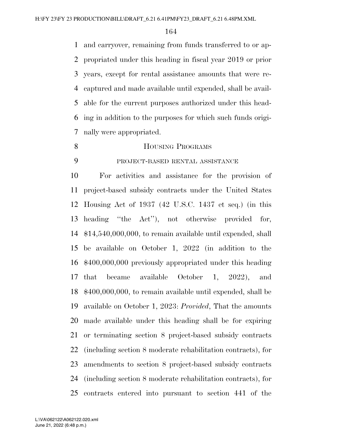and carryover, remaining from funds transferred to or ap- propriated under this heading in fiscal year 2019 or prior years, except for rental assistance amounts that were re- captured and made available until expended, shall be avail- able for the current purposes authorized under this head- ing in addition to the purposes for which such funds origi-nally were appropriated.

- 8 HOUSING PROGRAMS
- 

# PROJECT-BASED RENTAL ASSISTANCE

 For activities and assistance for the provision of project-based subsidy contracts under the United States Housing Act of 1937 (42 U.S.C. 1437 et seq.) (in this heading ''the Act''), not otherwise provided for, \$14,540,000,000, to remain available until expended, shall be available on October 1, 2022 (in addition to the \$400,000,000 previously appropriated under this heading that became available October 1, 2022), and \$400,000,000, to remain available until expended, shall be available on October 1, 2023: *Provided*, That the amounts made available under this heading shall be for expiring or terminating section 8 project-based subsidy contracts (including section 8 moderate rehabilitation contracts), for amendments to section 8 project-based subsidy contracts (including section 8 moderate rehabilitation contracts), for contracts entered into pursuant to section 441 of the

June 21, 2022 (6:48 p.m.) L:\VA\062122\A062122.020.xml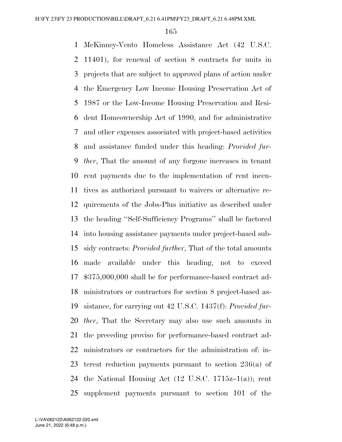McKinney-Vento Homeless Assistance Act (42 U.S.C. 11401), for renewal of section 8 contracts for units in projects that are subject to approved plans of action under the Emergency Low Income Housing Preservation Act of 1987 or the Low-Income Housing Preservation and Resi- dent Homeownership Act of 1990, and for administrative and other expenses associated with project-based activities and assistance funded under this heading: *Provided fur- ther*, That the amount of any forgone increases in tenant rent payments due to the implementation of rent incen- tives as authorized pursuant to waivers or alternative re- quirements of the Jobs-Plus initiative as described under the heading ''Self-Sufficiency Programs'' shall be factored into housing assistance payments under project-based sub- sidy contracts: *Provided further*, That of the total amounts made available under this heading, not to exceed \$375,000,000 shall be for performance-based contract ad- ministrators or contractors for section 8 project-based as- sistance, for carrying out 42 U.S.C. 1437(f): *Provided fur- ther*, That the Secretary may also use such amounts in the preceding proviso for performance-based contract ad- ministrators or contractors for the administration of: in- terest reduction payments pursuant to section 236(a) of 24 the National Housing Act  $(12 \text{ U.S.C. } 1715z-1(a))$ ; rent supplement payments pursuant to section 101 of the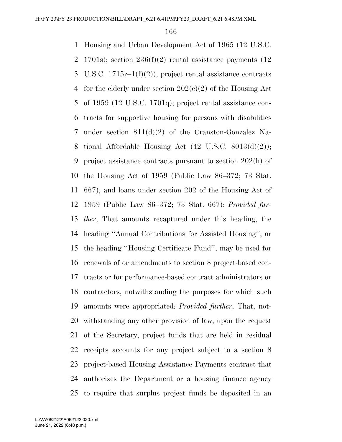Housing and Urban Development Act of 1965 (12 U.S.C. 2 1701s); section  $236(f)(2)$  rental assistance payments (12) 3 U.S.C.  $1715z-1(f)(2)$ ; project rental assistance contracts 4 for the elderly under section  $202(e)(2)$  of the Housing Act of 1959 (12 U.S.C. 1701q); project rental assistance con- tracts for supportive housing for persons with disabilities under section 811(d)(2) of the Cranston-Gonzalez Na-8 tional Affordable Housing Act  $(42 \text{ U.S.C. } 8013(d)(2));$  project assistance contracts pursuant to section 202(h) of the Housing Act of 1959 (Public Law 86–372; 73 Stat. 667); and loans under section 202 of the Housing Act of 1959 (Public Law 86–372; 73 Stat. 667): *Provided fur- ther*, That amounts recaptured under this heading, the heading ''Annual Contributions for Assisted Housing'', or the heading ''Housing Certificate Fund'', may be used for renewals of or amendments to section 8 project-based con- tracts or for performance-based contract administrators or contractors, notwithstanding the purposes for which such amounts were appropriated: *Provided further*, That, not- withstanding any other provision of law, upon the request of the Secretary, project funds that are held in residual receipts accounts for any project subject to a section 8 project-based Housing Assistance Payments contract that authorizes the Department or a housing finance agency to require that surplus project funds be deposited in an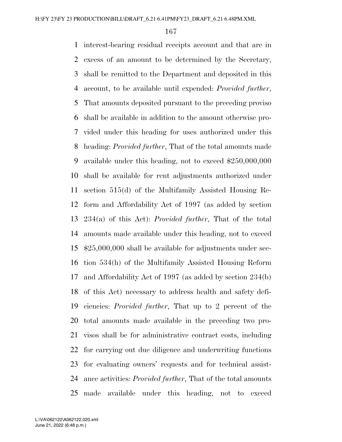interest-bearing residual receipts account and that are in excess of an amount to be determined by the Secretary, shall be remitted to the Department and deposited in this account, to be available until expended: *Provided further*, That amounts deposited pursuant to the preceding proviso shall be available in addition to the amount otherwise pro- vided under this heading for uses authorized under this heading: *Provided further*, That of the total amounts made available under this heading, not to exceed \$250,000,000 shall be available for rent adjustments authorized under section 515(d) of the Multifamily Assisted Housing Re- form and Affordability Act of 1997 (as added by section 234(a) of this Act): *Provided further*, That of the total amounts made available under this heading, not to exceed \$25,000,000 shall be available for adjustments under sec- tion 534(h) of the Multifamily Assisted Housing Reform and Affordability Act of 1997 (as added by section 234(b) of this Act) necessary to address health and safety defi- ciencies: *Provided further*, That up to 2 percent of the total amounts made available in the preceding two pro- visos shall be for administrative contract costs, including for carrying out due diligence and underwriting functions for evaluating owners' requests and for technical assist- ance activities: *Provided further*, That of the total amounts made available under this heading, not to exceed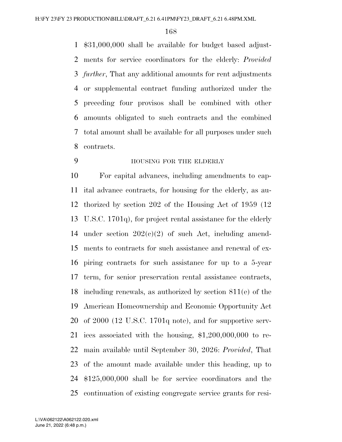\$31,000,000 shall be available for budget based adjust- ments for service coordinators for the elderly: *Provided further*, That any additional amounts for rent adjustments or supplemental contract funding authorized under the preceding four provisos shall be combined with other amounts obligated to such contracts and the combined total amount shall be available for all purposes under such contracts.

HOUSING FOR THE ELDERLY

 For capital advances, including amendments to cap- ital advance contracts, for housing for the elderly, as au- thorized by section 202 of the Housing Act of 1959 (12 U.S.C. 1701q), for project rental assistance for the elderly under section 202(c)(2) of such Act, including amend- ments to contracts for such assistance and renewal of ex- piring contracts for such assistance for up to a 5-year term, for senior preservation rental assistance contracts, including renewals, as authorized by section 811(e) of the American Homeownership and Economic Opportunity Act of 2000 (12 U.S.C. 1701q note), and for supportive serv- ices associated with the housing, \$1,200,000,000 to re- main available until September 30, 2026: *Provided*, That of the amount made available under this heading, up to \$125,000,000 shall be for service coordinators and the continuation of existing congregate service grants for resi-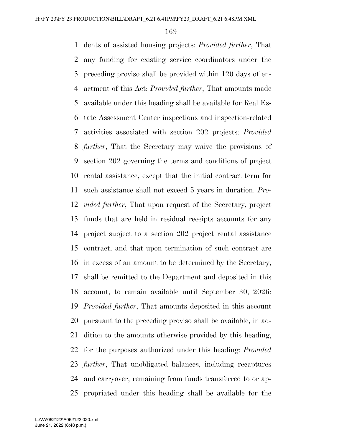dents of assisted housing projects: *Provided further*, That any funding for existing service coordinators under the preceding proviso shall be provided within 120 days of en- actment of this Act: *Provided further*, That amounts made available under this heading shall be available for Real Es- tate Assessment Center inspections and inspection-related activities associated with section 202 projects: *Provided further*, That the Secretary may waive the provisions of section 202 governing the terms and conditions of project rental assistance, except that the initial contract term for such assistance shall not exceed 5 years in duration: *Pro- vided further*, That upon request of the Secretary, project funds that are held in residual receipts accounts for any project subject to a section 202 project rental assistance contract, and that upon termination of such contract are in excess of an amount to be determined by the Secretary, shall be remitted to the Department and deposited in this account, to remain available until September 30, 2026: *Provided further*, That amounts deposited in this account pursuant to the preceding proviso shall be available, in ad- dition to the amounts otherwise provided by this heading, for the purposes authorized under this heading: *Provided further*, That unobligated balances, including recaptures and carryover, remaining from funds transferred to or ap-propriated under this heading shall be available for the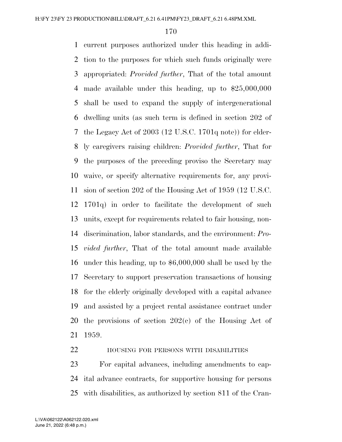current purposes authorized under this heading in addi- tion to the purposes for which such funds originally were appropriated: *Provided further*, That of the total amount made available under this heading, up to \$25,000,000 shall be used to expand the supply of intergenerational dwelling units (as such term is defined in section 202 of the Legacy Act of 2003 (12 U.S.C. 1701q note)) for elder- ly caregivers raising children: *Provided further*, That for the purposes of the preceding proviso the Secretary may waive, or specify alternative requirements for, any provi- sion of section 202 of the Housing Act of 1959 (12 U.S.C. 1701q) in order to facilitate the development of such units, except for requirements related to fair housing, non- discrimination, labor standards, and the environment: *Pro- vided further*, That of the total amount made available under this heading, up to \$6,000,000 shall be used by the Secretary to support preservation transactions of housing for the elderly originally developed with a capital advance and assisted by a project rental assistance contract under the provisions of section 202(c) of the Housing Act of 1959.

HOUSING FOR PERSONS WITH DISABILITIES

 For capital advances, including amendments to cap- ital advance contracts, for supportive housing for persons with disabilities, as authorized by section 811 of the Cran-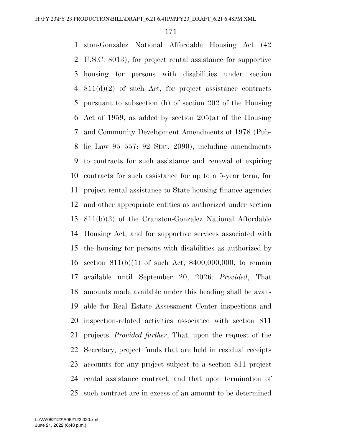ston-Gonzalez National Affordable Housing Act (42 U.S.C. 8013), for project rental assistance for supportive housing for persons with disabilities under section 811(d)(2) of such Act, for project assistance contracts pursuant to subsection (h) of section 202 of the Housing Act of 1959, as added by section 205(a) of the Housing and Community Development Amendments of 1978 (Pub- lic Law 95–557: 92 Stat. 2090), including amendments to contracts for such assistance and renewal of expiring contracts for such assistance for up to a 5-year term, for project rental assistance to State housing finance agencies and other appropriate entities as authorized under section 811(b)(3) of the Cranston-Gonzalez National Affordable Housing Act, and for supportive services associated with the housing for persons with disabilities as authorized by section 811(b)(1) of such Act, \$400,000,000, to remain available until September 20, 2026: *Provided*, That amounts made available under this heading shall be avail- able for Real Estate Assessment Center inspections and inspection-related activities associated with section 811 projects: *Provided further*, That, upon the request of the Secretary, project funds that are held in residual receipts accounts for any project subject to a section 811 project rental assistance contract, and that upon termination of such contract are in excess of an amount to be determined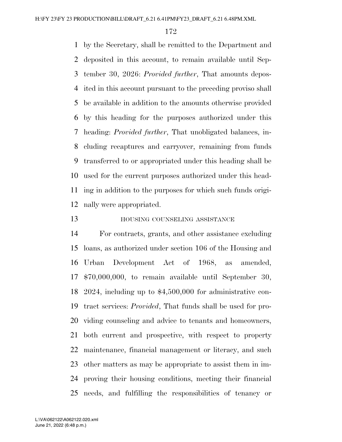by the Secretary, shall be remitted to the Department and deposited in this account, to remain available until Sep- tember 30, 2026: *Provided further*, That amounts depos- ited in this account pursuant to the preceding proviso shall be available in addition to the amounts otherwise provided by this heading for the purposes authorized under this heading: *Provided further*, That unobligated balances, in- cluding recaptures and carryover, remaining from funds transferred to or appropriated under this heading shall be used for the current purposes authorized under this head- ing in addition to the purposes for which such funds origi-nally were appropriated.

#### **HOUSING COUNSELING ASSISTANCE**

 For contracts, grants, and other assistance excluding loans, as authorized under section 106 of the Housing and Urban Development Act of 1968, as amended, \$70,000,000, to remain available until September 30, 2024, including up to \$4,500,000 for administrative con- tract services: *Provided*, That funds shall be used for pro- viding counseling and advice to tenants and homeowners, both current and prospective, with respect to property maintenance, financial management or literacy, and such other matters as may be appropriate to assist them in im- proving their housing conditions, meeting their financial needs, and fulfilling the responsibilities of tenancy or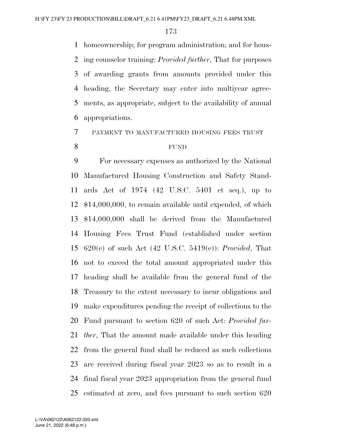homeownership; for program administration; and for hous- ing counselor training: *Provided further*, That for purposes of awarding grants from amounts provided under this heading, the Secretary may enter into multiyear agree- ments, as appropriate, subject to the availability of annual appropriations.

#### PAYMENT TO MANUFACTURED HOUSING FEES TRUST

#### FUND

 For necessary expenses as authorized by the National Manufactured Housing Construction and Safety Stand- ards Act of 1974 (42 U.S.C. 5401 et seq.), up to \$14,000,000, to remain available until expended, of which \$14,000,000 shall be derived from the Manufactured Housing Fees Trust Fund (established under section 620(e) of such Act (42 U.S.C. 5419(e)): *Provided*, That not to exceed the total amount appropriated under this heading shall be available from the general fund of the Treasury to the extent necessary to incur obligations and make expenditures pending the receipt of collections to the Fund pursuant to section 620 of such Act: *Provided fur- ther*, That the amount made available under this heading from the general fund shall be reduced as such collections are received during fiscal year 2023 so as to result in a final fiscal year 2023 appropriation from the general fund estimated at zero, and fees pursuant to such section 620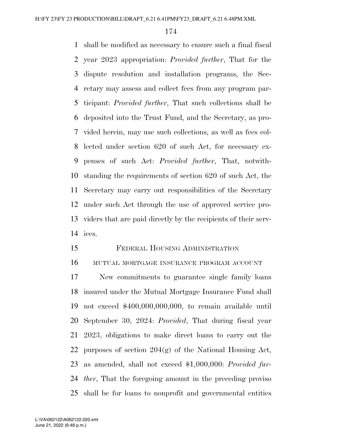shall be modified as necessary to ensure such a final fiscal year 2023 appropriation: *Provided further*, That for the dispute resolution and installation programs, the Sec- retary may assess and collect fees from any program par- ticipant: *Provided further*, That such collections shall be deposited into the Trust Fund, and the Secretary, as pro- vided herein, may use such collections, as well as fees col- lected under section 620 of such Act, for necessary ex- penses of such Act: *Provided further*, That, notwith- standing the requirements of section 620 of such Act, the Secretary may carry out responsibilities of the Secretary under such Act through the use of approved service pro- viders that are paid directly by the recipients of their serv-ices.

# FEDERAL HOUSING ADMINISTRATION

MUTUAL MORTGAGE INSURANCE PROGRAM ACCOUNT

 New commitments to guarantee single family loans insured under the Mutual Mortgage Insurance Fund shall not exceed \$400,000,000,000, to remain available until September 30, 2024: *Provided*, That during fiscal year 2023, obligations to make direct loans to carry out the 22 purposes of section  $204(g)$  of the National Housing Act, as amended, shall not exceed \$1,000,000: *Provided fur- ther*, That the foregoing amount in the preceding proviso shall be for loans to nonprofit and governmental entities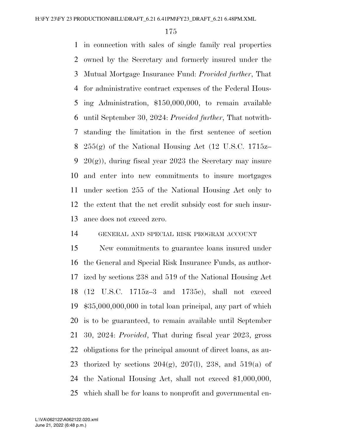in connection with sales of single family real properties owned by the Secretary and formerly insured under the Mutual Mortgage Insurance Fund: *Provided further*, That for administrative contract expenses of the Federal Hous- ing Administration, \$150,000,000, to remain available until September 30, 2024: *Provided further*, That notwith- standing the limitation in the first sentence of section  $255(g)$  of the National Housing Act (12 U.S.C. 1715z– 9 20 $(g)$ , during fiscal year 2023 the Secretary may insure and enter into new commitments to insure mortgages under section 255 of the National Housing Act only to the extent that the net credit subsidy cost for such insur-ance does not exceed zero.

GENERAL AND SPECIAL RISK PROGRAM ACCOUNT

 New commitments to guarantee loans insured under the General and Special Risk Insurance Funds, as author- ized by sections 238 and 519 of the National Housing Act (12 U.S.C. 1715z–3 and 1735c), shall not exceed \$35,000,000,000 in total loan principal, any part of which is to be guaranteed, to remain available until September 30, 2024: *Provided*, That during fiscal year 2023, gross obligations for the principal amount of direct loans, as au-23 thorized by sections  $204(g)$ ,  $207(l)$ ,  $238$ , and  $519(a)$  of the National Housing Act, shall not exceed \$1,000,000, which shall be for loans to nonprofit and governmental en-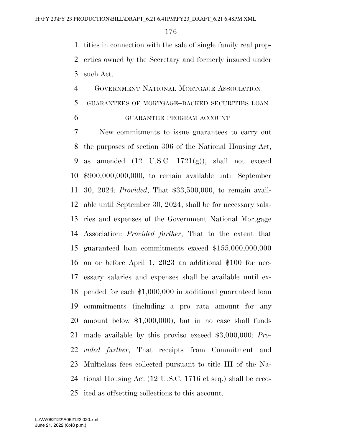tities in connection with the sale of single family real prop- erties owned by the Secretary and formerly insured under such Act.

# GOVERNMENT NATIONAL MORTGAGE ASSOCIATION GUARANTEES OF MORTGAGE–BACKED SECURITIES LOAN

GUARANTEE PROGRAM ACCOUNT

 New commitments to issue guarantees to carry out the purposes of section 306 of the National Housing Act, 9 as amended  $(12 \text{ U.S.C. } 1721(g))$ , shall not exceed \$900,000,000,000, to remain available until September 30, 2024: *Provided*, That \$33,500,000, to remain avail- able until September 30, 2024, shall be for necessary sala- ries and expenses of the Government National Mortgage Association: *Provided further*, That to the extent that guaranteed loan commitments exceed \$155,000,000,000 on or before April 1, 2023 an additional \$100 for nec- essary salaries and expenses shall be available until ex- pended for each \$1,000,000 in additional guaranteed loan commitments (including a pro rata amount for any amount below \$1,000,000), but in no case shall funds made available by this proviso exceed \$3,000,000: *Pro- vided further*, That receipts from Commitment and Multiclass fees collected pursuant to title III of the Na- tional Housing Act (12 U.S.C. 1716 et seq.) shall be cred-ited as offsetting collections to this account.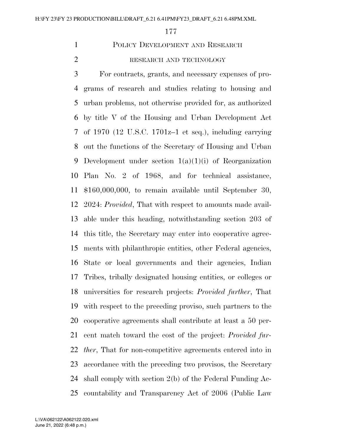## POLICY DEVELOPMENT AND RESEARCH

### 2 RESEARCH AND TECHNOLOGY

 For contracts, grants, and necessary expenses of pro- grams of research and studies relating to housing and urban problems, not otherwise provided for, as authorized by title V of the Housing and Urban Development Act of 1970 (12 U.S.C. 1701z–1 et seq.), including carrying out the functions of the Secretary of Housing and Urban 9 Development under section  $1(a)(1)(i)$  of Reorganization Plan No. 2 of 1968, and for technical assistance, \$160,000,000, to remain available until September 30, 2024: *Provided*, That with respect to amounts made avail- able under this heading, notwithstanding section 203 of this title, the Secretary may enter into cooperative agree- ments with philanthropic entities, other Federal agencies, State or local governments and their agencies, Indian Tribes, tribally designated housing entities, or colleges or universities for research projects: *Provided further*, That with respect to the preceding proviso, such partners to the cooperative agreements shall contribute at least a 50 per- cent match toward the cost of the project: *Provided fur- ther*, That for non-competitive agreements entered into in accordance with the preceding two provisos, the Secretary shall comply with section 2(b) of the Federal Funding Ac-countability and Transparency Act of 2006 (Public Law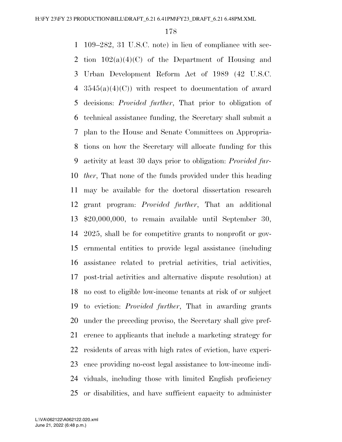109–282, 31 U.S.C. note) in lieu of compliance with sec-2 tion  $102(a)(4)(C)$  of the Department of Housing and Urban Development Reform Act of 1989 (42 U.S.C.  $3545(a)(4)(C)$  with respect to documentation of award decisions: *Provided further*, That prior to obligation of technical assistance funding, the Secretary shall submit a plan to the House and Senate Committees on Appropria- tions on how the Secretary will allocate funding for this activity at least 30 days prior to obligation: *Provided fur- ther*, That none of the funds provided under this heading may be available for the doctoral dissertation research grant program: *Provided further*, That an additional \$20,000,000, to remain available until September 30, 2025, shall be for competitive grants to nonprofit or gov- ernmental entities to provide legal assistance (including assistance related to pretrial activities, trial activities, post-trial activities and alternative dispute resolution) at no cost to eligible low-income tenants at risk of or subject to eviction: *Provided further*, That in awarding grants under the preceding proviso, the Secretary shall give pref- erence to applicants that include a marketing strategy for residents of areas with high rates of eviction, have experi- ence providing no-cost legal assistance to low-income indi- viduals, including those with limited English proficiency or disabilities, and have sufficient capacity to administer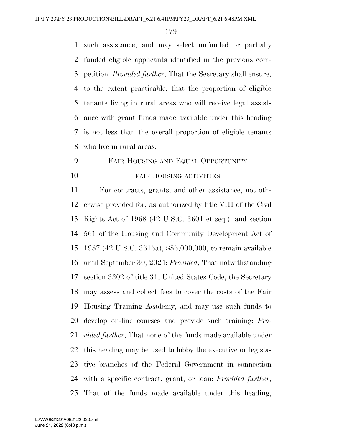such assistance, and may select unfunded or partially funded eligible applicants identified in the previous com- petition: *Provided further*, That the Secretary shall ensure, to the extent practicable, that the proportion of eligible tenants living in rural areas who will receive legal assist- ance with grant funds made available under this heading is not less than the overall proportion of eligible tenants who live in rural areas.

# FAIR HOUSING AND EQUAL OPPORTUNITY 10 FAIR HOUSING ACTIVITIES

 For contracts, grants, and other assistance, not oth- erwise provided for, as authorized by title VIII of the Civil Rights Act of 1968 (42 U.S.C. 3601 et seq.), and section 561 of the Housing and Community Development Act of 1987 (42 U.S.C. 3616a), \$86,000,000, to remain available until September 30, 2024: *Provided*, That notwithstanding section 3302 of title 31, United States Code, the Secretary may assess and collect fees to cover the costs of the Fair Housing Training Academy, and may use such funds to develop on-line courses and provide such training: *Pro- vided further*, That none of the funds made available under this heading may be used to lobby the executive or legisla- tive branches of the Federal Government in connection with a specific contract, grant, or loan: *Provided further*, That of the funds made available under this heading,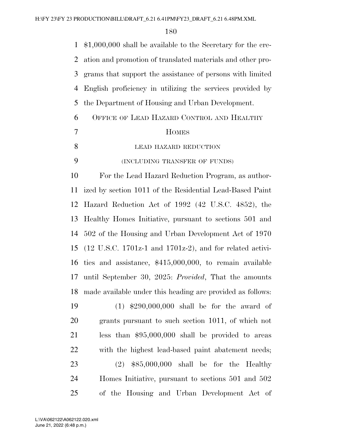| 1              | $$1,000,000$ shall be available to the Secretary for the cre-                 |
|----------------|-------------------------------------------------------------------------------|
| 2              | ation and promotion of translated materials and other pro-                    |
| 3              | grams that support the assistance of persons with limited                     |
| $\overline{4}$ | English proficiency in utilizing the services provided by                     |
| 5              | the Department of Housing and Urban Development.                              |
| 6              | OFFICE OF LEAD HAZARD CONTROL AND HEALTHY                                     |
| 7              | <b>HOMES</b>                                                                  |
| 8              | LEAD HAZARD REDUCTION                                                         |
| 9              | (INCLUDING TRANSFER OF FUNDS)                                                 |
| 10             | For the Lead Hazard Reduction Program, as author-                             |
| 11             | ized by section 1011 of the Residential Lead-Based Paint                      |
| 12             | Hazard Reduction Act of 1992 (42 U.S.C. 4852), the                            |
| 13             | Healthy Homes Initiative, pursuant to sections 501 and                        |
| 14             | 502 of the Housing and Urban Development Act of 1970                          |
| 15             | $(12 \text{ U.S.C. } 1701z-1 \text{ and } 1701z-2)$ , and for related activi- |
| 16             | ties and assistance, $$415,000,000$ , to remain available                     |
| 17             | until September 30, 2025: Provided, That the amounts                          |
| 18             | made available under this heading are provided as follows:                    |
| 19             | $(1)$ \$290,000,000 shall be for the award of                                 |
| 20             | grants pursuant to such section 1011, of which not                            |
| 21             | less than $$95,000,000$ shall be provided to areas                            |
| 22             | with the highest lead-based paint abatement needs;                            |
| 23             | $(2)$ \$85,000,000 shall be for the Healthy                                   |
| 24             | Homes Initiative, pursuant to sections 501 and 502                            |
| 25             | of the Housing and Urban Development Act of                                   |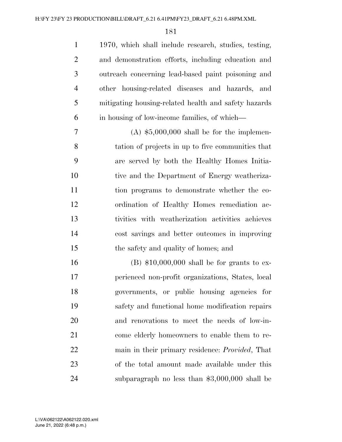1970, which shall include research, studies, testing, and demonstration efforts, including education and outreach concerning lead-based paint poisoning and other housing-related diseases and hazards, and mitigating housing-related health and safety hazards in housing of low-income families, of which—

 $7 \quad (A) \text{ $5,000,000 shall be for the implementation.}$  tation of projects in up to five communities that are served by both the Healthy Homes Initia-10 tive and the Department of Energy weatheriza- tion programs to demonstrate whether the co- ordination of Healthy Homes remediation ac- tivities with weatherization activities achieves cost savings and better outcomes in improving the safety and quality of homes; and

 (B) \$10,000,000 shall be for grants to ex- perienced non-profit organizations, States, local governments, or public housing agencies for safety and functional home modification repairs and renovations to meet the needs of low-in- come elderly homeowners to enable them to re- main in their primary residence: *Provided*, That of the total amount made available under this subparagraph no less than \$3,000,000 shall be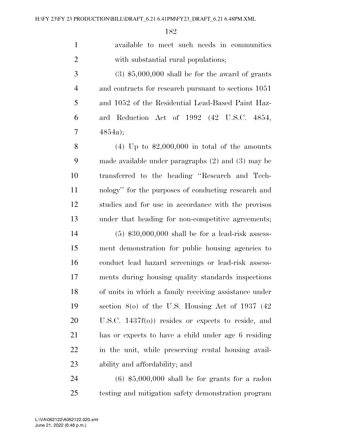available to meet such needs in communities with substantial rural populations;

 $3 \tag{3} 3,000,000$  shall be for the award of grants and contracts for research pursuant to sections 1051 and 1052 of the Residential Lead-Based Paint Haz- ard Reduction Act of 1992 (42 U.S.C. 4854, 4854a);

8 (4) Up to  $\text{\$2,000,000}$  in total of the amounts made available under paragraphs (2) and (3) may be transferred to the heading ''Research and Tech- nology'' for the purposes of conducting research and studies and for use in accordance with the provisos under that heading for non-competitive agreements;

 (5) \$30,000,000 shall be for a lead-risk assess- ment demonstration for public housing agencies to conduct lead hazard screenings or lead-risk assess- ments during housing quality standards inspections of units in which a family receiving assistance under section 8(o) of the U.S. Housing Act of 1937 (42 U.S.C. 1437f(o)) resides or expects to reside, and has or expects to have a child under age 6 residing in the unit, while preserving rental housing avail-ability and affordability; and

 (6) \$5,000,000 shall be for grants for a radon testing and mitigation safety demonstration program

June 21, 2022 (6:48 p.m.) L:\VA\062122\A062122.020.xml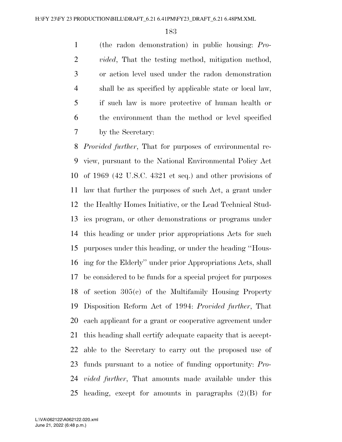(the radon demonstration) in public housing: *Pro- vided*, That the testing method, mitigation method, or action level used under the radon demonstration shall be as specified by applicable state or local law, if such law is more protective of human health or the environment than the method or level specified by the Secretary:

 *Provided further*, That for purposes of environmental re- view, pursuant to the National Environmental Policy Act of 1969 (42 U.S.C. 4321 et seq.) and other provisions of law that further the purposes of such Act, a grant under the Healthy Homes Initiative, or the Lead Technical Stud- ies program, or other demonstrations or programs under this heading or under prior appropriations Acts for such purposes under this heading, or under the heading ''Hous- ing for the Elderly'' under prior Appropriations Acts, shall be considered to be funds for a special project for purposes of section 305(c) of the Multifamily Housing Property Disposition Reform Act of 1994: *Provided further*, That each applicant for a grant or cooperative agreement under this heading shall certify adequate capacity that is accept- able to the Secretary to carry out the proposed use of funds pursuant to a notice of funding opportunity: *Pro- vided further*, That amounts made available under this heading, except for amounts in paragraphs (2)(B) for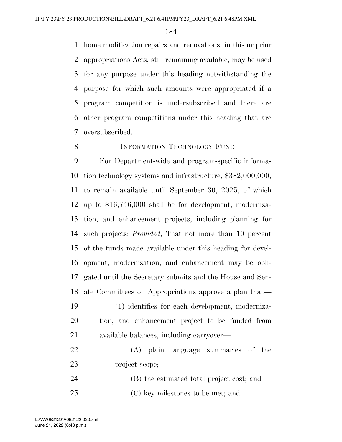home modification repairs and renovations, in this or prior appropriations Acts, still remaining available, may be used for any purpose under this heading notwithstanding the purpose for which such amounts were appropriated if a program competition is undersubscribed and there are other program competitions under this heading that are oversubscribed.

## 8 INFORMATION TECHNOLOGY FUND

 For Department-wide and program-specific informa- tion technology systems and infrastructure, \$382,000,000, to remain available until September 30, 2025, of which up to \$16,746,000 shall be for development, moderniza- tion, and enhancement projects, including planning for such projects: *Provided*, That not more than 10 percent of the funds made available under this heading for devel- opment, modernization, and enhancement may be obli- gated until the Secretary submits and the House and Sen-ate Committees on Appropriations approve a plan that—

- (1) identifies for each development, moderniza- tion, and enhancement project to be funded from available balances, including carryover—
- (A) plain language summaries of the project scope;
- (B) the estimated total project cost; and (C) key milestones to be met; and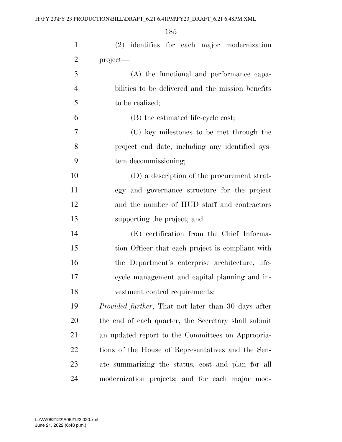| $\mathbf{1}$   | (2) identifies for each major modernization                 |
|----------------|-------------------------------------------------------------|
| $\overline{2}$ | project—                                                    |
| 3              | (A) the functional and performance capa-                    |
| $\overline{4}$ | bilities to be delivered and the mission benefits           |
| 5              | to be realized;                                             |
| 6              | (B) the estimated life-cycle cost;                          |
| 7              | (C) key milestones to be met through the                    |
| 8              | project end date, including any identified sys-             |
| 9              | tem decommissioning;                                        |
| 10             | (D) a description of the procurement strat-                 |
| 11             | egy and governance structure for the project                |
| 12             | and the number of HUD staff and contractors                 |
| 13             | supporting the project; and                                 |
| 14             | (E) certification from the Chief Informa-                   |
| 15             | tion Officer that each project is compliant with            |
| 16             | the Department's enterprise architecture, life-             |
| 17             | cycle management and capital planning and in-               |
| 18             | vestment control requirements:                              |
| 19             | <i>Provided further</i> , That not later than 30 days after |
| 20             | the end of each quarter, the Secretary shall submit         |
| 21             | an updated report to the Committees on Appropria-           |
| 22             | tions of the House of Representatives and the Sen-          |
| 23             | ate summarizing the status, cost and plan for all           |
| 24             | modernization projects; and for each major mod-             |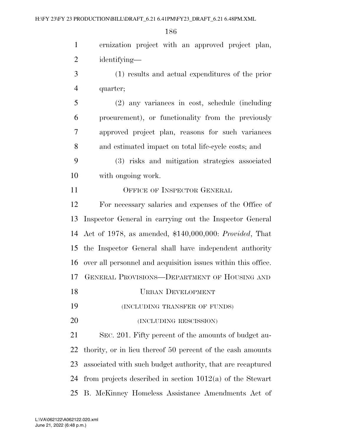ernization project with an approved project plan, identifying— (1) results and actual expenditures of the prior quarter; (2) any variances in cost, schedule (including procurement), or functionality from the previously approved project plan, reasons for such variances and estimated impact on total life-cycle costs; and (3) risks and mitigation strategies associated with ongoing work. 11 OFFICE OF INSPECTOR GENERAL For necessary salaries and expenses of the Office of

 Inspector General in carrying out the Inspector General Act of 1978, as amended, \$140,000,000: *Provided*, That the Inspector General shall have independent authority over all personnel and acquisition issues within this office. GENERAL PROVISIONS—DEPARTMENT OF HOUSING AND

- URBAN DEVELOPMENT
- (INCLUDING TRANSFER OF FUNDS)
- 20 (INCLUDING RESCISSION)

 SEC. 201. Fifty percent of the amounts of budget au- thority, or in lieu thereof 50 percent of the cash amounts associated with such budget authority, that are recaptured from projects described in section 1012(a) of the Stewart B. McKinney Homeless Assistance Amendments Act of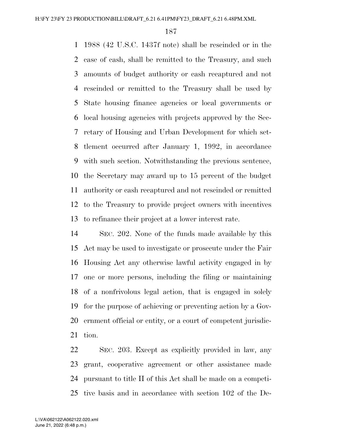1988 (42 U.S.C. 1437f note) shall be rescinded or in the case of cash, shall be remitted to the Treasury, and such amounts of budget authority or cash recaptured and not rescinded or remitted to the Treasury shall be used by State housing finance agencies or local governments or local housing agencies with projects approved by the Sec- retary of Housing and Urban Development for which set- tlement occurred after January 1, 1992, in accordance with such section. Notwithstanding the previous sentence, the Secretary may award up to 15 percent of the budget authority or cash recaptured and not rescinded or remitted to the Treasury to provide project owners with incentives to refinance their project at a lower interest rate.

 SEC. 202. None of the funds made available by this Act may be used to investigate or prosecute under the Fair Housing Act any otherwise lawful activity engaged in by one or more persons, including the filing or maintaining of a nonfrivolous legal action, that is engaged in solely for the purpose of achieving or preventing action by a Gov- ernment official or entity, or a court of competent jurisdic-tion.

 SEC. 203. Except as explicitly provided in law, any grant, cooperative agreement or other assistance made pursuant to title II of this Act shall be made on a competi-tive basis and in accordance with section 102 of the De-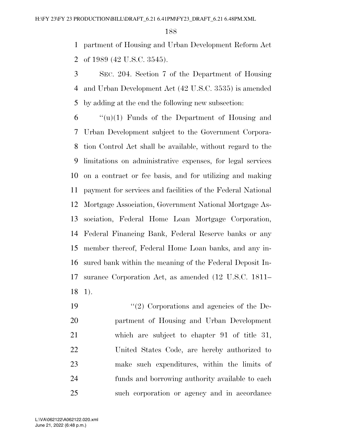partment of Housing and Urban Development Reform Act of 1989 (42 U.S.C. 3545).

 SEC. 204. Section 7 of the Department of Housing and Urban Development Act (42 U.S.C. 3535) is amended by adding at the end the following new subsection:

 "(u)(1) Funds of the Department of Housing and Urban Development subject to the Government Corpora- tion Control Act shall be available, without regard to the limitations on administrative expenses, for legal services on a contract or fee basis, and for utilizing and making payment for services and facilities of the Federal National Mortgage Association, Government National Mortgage As- sociation, Federal Home Loan Mortgage Corporation, Federal Financing Bank, Federal Reserve banks or any member thereof, Federal Home Loan banks, and any in- sured bank within the meaning of the Federal Deposit In- surance Corporation Act, as amended (12 U.S.C. 1811– 1).

 ''(2) Corporations and agencies of the De- partment of Housing and Urban Development which are subject to chapter 91 of title 31, United States Code, are hereby authorized to make such expenditures, within the limits of funds and borrowing authority available to each such corporation or agency and in accordance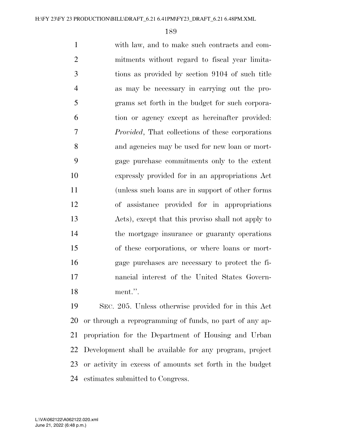with law, and to make such contracts and com- mitments without regard to fiscal year limita- tions as provided by section 9104 of such title as may be necessary in carrying out the pro- grams set forth in the budget for such corpora- tion or agency except as hereinafter provided: *Provided*, That collections of these corporations and agencies may be used for new loan or mort- gage purchase commitments only to the extent expressly provided for in an appropriations Act (unless such loans are in support of other forms of assistance provided for in appropriations Acts), except that this proviso shall not apply to the mortgage insurance or guaranty operations of these corporations, or where loans or mort- gage purchases are necessary to protect the fi- nancial interest of the United States Govern-ment.''.

 SEC. 205. Unless otherwise provided for in this Act or through a reprogramming of funds, no part of any ap- propriation for the Department of Housing and Urban Development shall be available for any program, project or activity in excess of amounts set forth in the budget estimates submitted to Congress.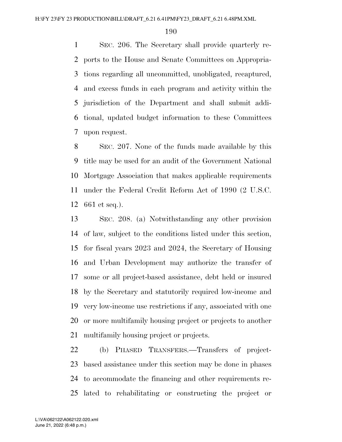SEC. 206. The Secretary shall provide quarterly re- ports to the House and Senate Committees on Appropria- tions regarding all uncommitted, unobligated, recaptured, and excess funds in each program and activity within the jurisdiction of the Department and shall submit addi- tional, updated budget information to these Committees upon request.

 SEC. 207. None of the funds made available by this title may be used for an audit of the Government National Mortgage Association that makes applicable requirements under the Federal Credit Reform Act of 1990 (2 U.S.C. 661 et seq.).

 SEC. 208. (a) Notwithstanding any other provision of law, subject to the conditions listed under this section, for fiscal years 2023 and 2024, the Secretary of Housing and Urban Development may authorize the transfer of some or all project-based assistance, debt held or insured by the Secretary and statutorily required low-income and very low-income use restrictions if any, associated with one or more multifamily housing project or projects to another multifamily housing project or projects.

 (b) PHASED TRANSFERS.—Transfers of project- based assistance under this section may be done in phases to accommodate the financing and other requirements re-lated to rehabilitating or constructing the project or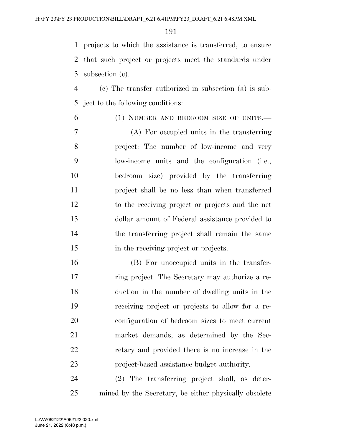projects to which the assistance is transferred, to ensure that such project or projects meet the standards under subsection (c).

 (c) The transfer authorized in subsection (a) is sub-ject to the following conditions:

(1) NUMBER AND BEDROOM SIZE OF UNITS.—

 (A) For occupied units in the transferring project: The number of low-income and very low-income units and the configuration (i.e., bedroom size) provided by the transferring project shall be no less than when transferred to the receiving project or projects and the net dollar amount of Federal assistance provided to the transferring project shall remain the same in the receiving project or projects.

 (B) For unoccupied units in the transfer- ring project: The Secretary may authorize a re- duction in the number of dwelling units in the receiving project or projects to allow for a re- configuration of bedroom sizes to meet current market demands, as determined by the Sec- retary and provided there is no increase in the project-based assistance budget authority.

 (2) The transferring project shall, as deter-mined by the Secretary, be either physically obsolete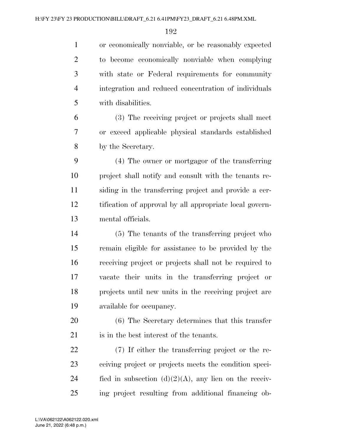or economically nonviable, or be reasonably expected to become economically nonviable when complying with state or Federal requirements for community integration and reduced concentration of individuals with disabilities.

 (3) The receiving project or projects shall meet or exceed applicable physical standards established by the Secretary.

 (4) The owner or mortgagor of the transferring project shall notify and consult with the tenants re- siding in the transferring project and provide a cer- tification of approval by all appropriate local govern-mental officials.

 (5) The tenants of the transferring project who remain eligible for assistance to be provided by the receiving project or projects shall not be required to vacate their units in the transferring project or projects until new units in the receiving project are available for occupancy.

 (6) The Secretary determines that this transfer is in the best interest of the tenants.

 (7) If either the transferring project or the re- ceiving project or projects meets the condition speci-24 fied in subsection  $(d)(2)(A)$ , any lien on the receiv-ing project resulting from additional financing ob-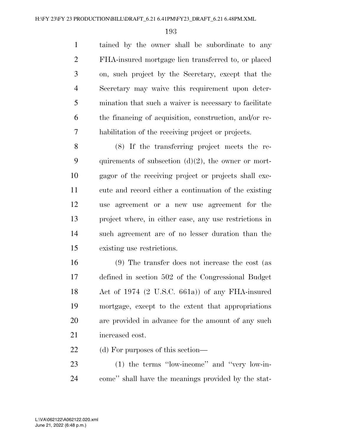tained by the owner shall be subordinate to any FHA-insured mortgage lien transferred to, or placed on, such project by the Secretary, except that the Secretary may waive this requirement upon deter- mination that such a waiver is necessary to facilitate the financing of acquisition, construction, and/or re-habilitation of the receiving project or projects.

 (8) If the transferring project meets the re-9 quirements of subsection  $(d)(2)$ , the owner or mort- gagor of the receiving project or projects shall exe- cute and record either a continuation of the existing use agreement or a new use agreement for the project where, in either case, any use restrictions in such agreement are of no lesser duration than the existing use restrictions.

 (9) The transfer does not increase the cost (as defined in section 502 of the Congressional Budget Act of 1974 (2 U.S.C. 661a)) of any FHA-insured mortgage, except to the extent that appropriations are provided in advance for the amount of any such increased cost.

22 (d) For purposes of this section—

 (1) the terms ''low-income'' and ''very low-in-come'' shall have the meanings provided by the stat-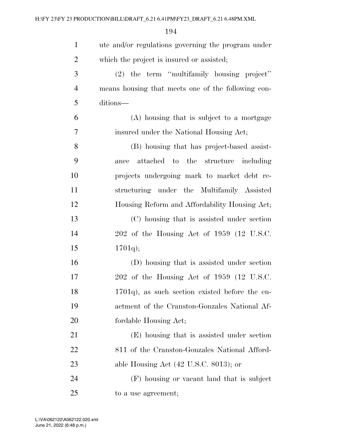| $\mathbf{1}$   | ute and/or regulations governing the program under |
|----------------|----------------------------------------------------|
| $\overline{2}$ | which the project is insured or assisted;          |
| 3              | $(2)$ the term "multifamily housing project"       |
| $\overline{4}$ | means housing that meets one of the following con- |
| 5              | ditions—                                           |
| 6              | (A) housing that is subject to a mortgage          |
| $\overline{7}$ | insured under the National Housing Act;            |
| 8              | (B) housing that has project-based assist-         |
| 9              | attached to the structure including<br>ance        |
| 10             | projects undergoing mark to market debt re-        |
| 11             | structuring under the Multifamily Assisted         |
| 12             | Housing Reform and Affordability Housing Act;      |
| 13             | (C) housing that is assisted under section         |
| 14             | 202 of the Housing Act of 1959 (12 U.S.C.          |
| 15             | $1701q$ ;                                          |
| 16             | (D) housing that is assisted under section         |
| 17             | $202$ of the Housing Act of 1959 (12 U.S.C.        |
| 18             | $1701q$ , as such section existed before the en-   |
| 19             | actment of the Cranston-Gonzales National Af-      |
| 20             | fordable Housing Act;                              |
| 21             | (E) housing that is assisted under section         |
| 22             | 811 of the Cranston-Gonzales National Afford-      |
| 23             | able Housing Act $(42 \text{ U.S.C. } 8013)$ ; or  |
| 24             | (F) housing or vacant land that is subject         |
| 25             | to a use agreement;                                |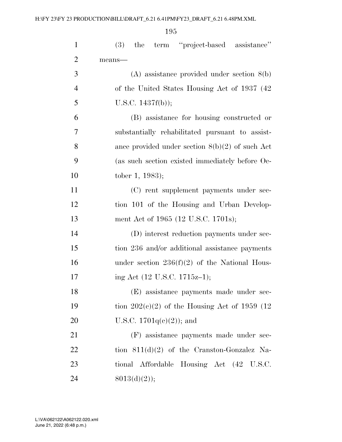| $\mathbf{1}$   | the term "project-based assistance"<br>(3)        |
|----------------|---------------------------------------------------|
| $\overline{2}$ | means-                                            |
| 3              | $(A)$ assistance provided under section $8(b)$    |
| $\overline{4}$ | of the United States Housing Act of 1937 (42)     |
| 5              | U.S.C. 1437f(b));                                 |
| 6              | (B) assistance for housing constructed or         |
| 7              | substantially rehabilitated pursuant to assist-   |
| 8              | ance provided under section $8(b)(2)$ of such Act |
| 9              | (as such section existed immediately before Oc-   |
| 10             | tober 1, 1983);                                   |
| 11             | (C) rent supplement payments under sec-           |
| 12             | tion 101 of the Housing and Urban Develop-        |
| 13             | ment Act of 1965 (12 U.S.C. 1701s);               |
| 14             | (D) interest reduction payments under sec-        |
| 15             | tion 236 and/or additional assistance payments    |
| 16             | under section $236(f)(2)$ of the National Hous-   |
| 17             | ing Act (12 U.S.C. 1715z-1);                      |
| 18             | (E) assistance payments made under sec-           |
| 19             | tion $202(c)(2)$ of the Housing Act of 1959 (12)  |
| 20             | U.S.C. $1701q(e)(2)$ ; and                        |
| 21             | (F) assistance payments made under sec-           |
| 22             | tion $811(d)(2)$ of the Cranston-Gonzalez Na-     |
| 23             | tional Affordable Housing Act (42 U.S.C.          |
| 24             | $8013(d)(2)$ ;                                    |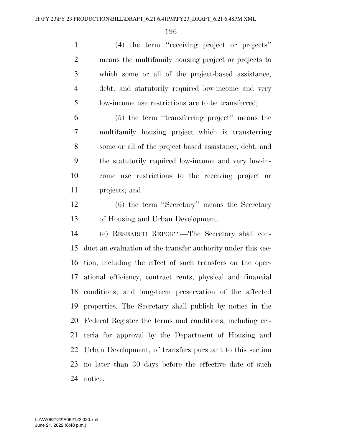(4) the term ''receiving project or projects'' means the multifamily housing project or projects to which some or all of the project-based assistance, debt, and statutorily required low-income and very low-income use restrictions are to be transferred;

 (5) the term ''transferring project'' means the multifamily housing project which is transferring some or all of the project-based assistance, debt, and the statutorily required low-income and very low-in- come use restrictions to the receiving project or projects; and

 (6) the term ''Secretary'' means the Secretary of Housing and Urban Development.

 (e) RESEARCH REPORT.—The Secretary shall con- duct an evaluation of the transfer authority under this sec- tion, including the effect of such transfers on the oper- ational efficiency, contract rents, physical and financial conditions, and long-term preservation of the affected properties. The Secretary shall publish by notice in the Federal Register the terms and conditions, including cri- teria for approval by the Department of Housing and Urban Development, of transfers pursuant to this section no later than 30 days before the effective date of such notice.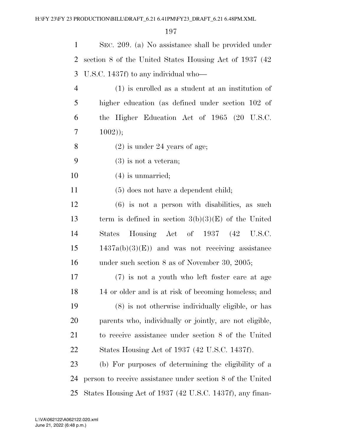| 1              | SEC. 209. (a) No assistance shall be provided under        |
|----------------|------------------------------------------------------------|
| 2              | section 8 of the United States Housing Act of 1937 (42)    |
| 3              | U.S.C. 1437f) to any individual who—                       |
| $\overline{4}$ | $(1)$ is enrolled as a student at an institution of        |
| 5              | higher education (as defined under section 102 of          |
| 6              | the Higher Education Act of 1965 (20 U.S.C.                |
| 7              | $1002$ );                                                  |
| 8              | $(2)$ is under 24 years of age;                            |
| 9              | $(3)$ is not a veteran;                                    |
| 10             | $(4)$ is unmarried;                                        |
| 11             | $(5)$ does not have a dependent child;                     |
| 12             | $(6)$ is not a person with disabilities, as such           |
| 13             | term is defined in section $3(b)(3)(E)$ of the United      |
| 14             | Housing Act of 1937 (42 U.S.C.<br><b>States</b>            |
| 15             | $1437a(b)(3)(E)$ and was not receiving assistance          |
| 16             | under such section $8$ as of November 30, 2005;            |
| 17             | (7) is not a youth who left foster care at age             |
| 18             | 14 or older and is at risk of becoming homeless; and       |
| 19             | (8) is not otherwise individually eligible, or has         |
| 20             | parents who, individually or jointly, are not eligible,    |
| 21             | to receive assistance under section 8 of the United        |
| 22             | States Housing Act of 1937 (42 U.S.C. 1437f).              |
| 23             | (b) For purposes of determining the eligibility of a       |
| 24             | person to receive assistance under section 8 of the United |
| 25             | States Housing Act of 1937 (42 U.S.C. 1437f), any finan-   |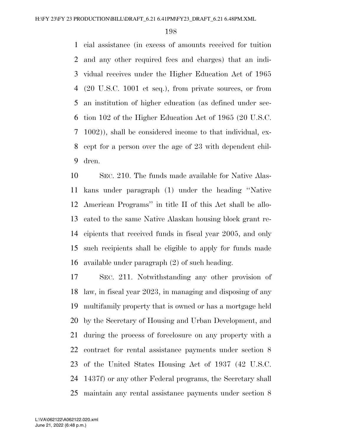cial assistance (in excess of amounts received for tuition and any other required fees and charges) that an indi- vidual receives under the Higher Education Act of 1965 (20 U.S.C. 1001 et seq.), from private sources, or from an institution of higher education (as defined under sec- tion 102 of the Higher Education Act of 1965 (20 U.S.C. 1002)), shall be considered income to that individual, ex- cept for a person over the age of 23 with dependent chil-dren.

 SEC. 210. The funds made available for Native Alas- kans under paragraph (1) under the heading ''Native American Programs'' in title II of this Act shall be allo- cated to the same Native Alaskan housing block grant re- cipients that received funds in fiscal year 2005, and only such recipients shall be eligible to apply for funds made available under paragraph (2) of such heading.

 SEC. 211. Notwithstanding any other provision of law, in fiscal year 2023, in managing and disposing of any multifamily property that is owned or has a mortgage held by the Secretary of Housing and Urban Development, and during the process of foreclosure on any property with a contract for rental assistance payments under section 8 of the United States Housing Act of 1937 (42 U.S.C. 1437f) or any other Federal programs, the Secretary shall maintain any rental assistance payments under section 8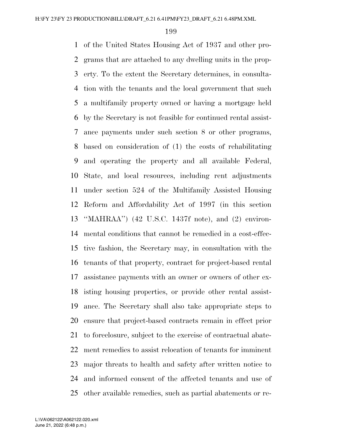of the United States Housing Act of 1937 and other pro- grams that are attached to any dwelling units in the prop- erty. To the extent the Secretary determines, in consulta- tion with the tenants and the local government that such a multifamily property owned or having a mortgage held by the Secretary is not feasible for continued rental assist- ance payments under such section 8 or other programs, based on consideration of (1) the costs of rehabilitating and operating the property and all available Federal, State, and local resources, including rent adjustments under section 524 of the Multifamily Assisted Housing Reform and Affordability Act of 1997 (in this section ''MAHRAA'') (42 U.S.C. 1437f note), and (2) environ- mental conditions that cannot be remedied in a cost-effec- tive fashion, the Secretary may, in consultation with the tenants of that property, contract for project-based rental assistance payments with an owner or owners of other ex- isting housing properties, or provide other rental assist- ance. The Secretary shall also take appropriate steps to ensure that project-based contracts remain in effect prior to foreclosure, subject to the exercise of contractual abate- ment remedies to assist relocation of tenants for imminent major threats to health and safety after written notice to and informed consent of the affected tenants and use of other available remedies, such as partial abatements or re-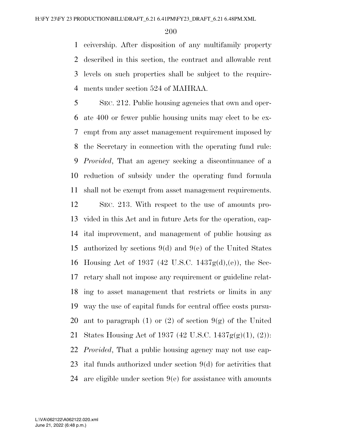ceivership. After disposition of any multifamily property described in this section, the contract and allowable rent levels on such properties shall be subject to the require-ments under section 524 of MAHRAA.

 SEC. 212. Public housing agencies that own and oper- ate 400 or fewer public housing units may elect to be ex- empt from any asset management requirement imposed by the Secretary in connection with the operating fund rule: *Provided*, That an agency seeking a discontinuance of a reduction of subsidy under the operating fund formula shall not be exempt from asset management requirements.

 SEC. 213. With respect to the use of amounts pro- vided in this Act and in future Acts for the operation, cap- ital improvement, and management of public housing as authorized by sections 9(d) and 9(e) of the United States Housing Act of 1937 (42 U.S.C. 1437g(d),(e)), the Sec- retary shall not impose any requirement or guideline relat- ing to asset management that restricts or limits in any way the use of capital funds for central office costs pursu-20 ant to paragraph (1) or (2) of section  $9(g)$  of the United States Housing Act of 1937 (42 U.S.C. 1437g(g)(1), (2)): *Provided*, That a public housing agency may not use cap- ital funds authorized under section 9(d) for activities that are eligible under section 9(e) for assistance with amounts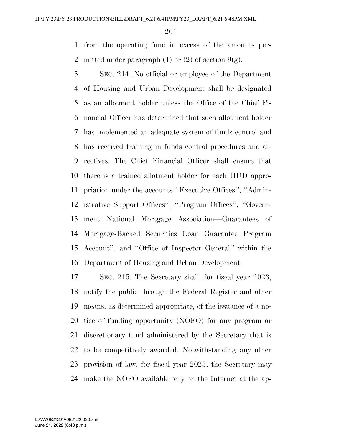from the operating fund in excess of the amounts per-2 mitted under paragraph (1) or (2) of section  $9(g)$ .

 SEC. 214. No official or employee of the Department of Housing and Urban Development shall be designated as an allotment holder unless the Office of the Chief Fi- nancial Officer has determined that such allotment holder has implemented an adequate system of funds control and has received training in funds control procedures and di- rectives. The Chief Financial Officer shall ensure that there is a trained allotment holder for each HUD appro- priation under the accounts ''Executive Offices'', ''Admin- istrative Support Offices'', ''Program Offices'', ''Govern- ment National Mortgage Association—Guarantees of Mortgage-Backed Securities Loan Guarantee Program Account'', and ''Office of Inspector General'' within the Department of Housing and Urban Development.

 SEC. 215. The Secretary shall, for fiscal year 2023, notify the public through the Federal Register and other means, as determined appropriate, of the issuance of a no- tice of funding opportunity (NOFO) for any program or discretionary fund administered by the Secretary that is to be competitively awarded. Notwithstanding any other provision of law, for fiscal year 2023, the Secretary may make the NOFO available only on the Internet at the ap-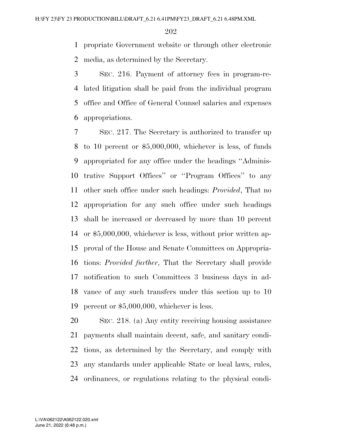propriate Government website or through other electronic media, as determined by the Secretary.

 SEC. 216. Payment of attorney fees in program-re- lated litigation shall be paid from the individual program office and Office of General Counsel salaries and expenses appropriations.

 SEC. 217. The Secretary is authorized to transfer up to 10 percent or \$5,000,000, whichever is less, of funds appropriated for any office under the headings ''Adminis- trative Support Offices'' or ''Program Offices'' to any other such office under such headings: *Provided*, That no appropriation for any such office under such headings shall be increased or decreased by more than 10 percent or \$5,000,000, whichever is less, without prior written ap- proval of the House and Senate Committees on Appropria- tions: *Provided further*, That the Secretary shall provide notification to such Committees 3 business days in ad- vance of any such transfers under this section up to 10 percent or \$5,000,000, whichever is less.

 SEC. 218. (a) Any entity receiving housing assistance payments shall maintain decent, safe, and sanitary condi- tions, as determined by the Secretary, and comply with any standards under applicable State or local laws, rules, ordinances, or regulations relating to the physical condi-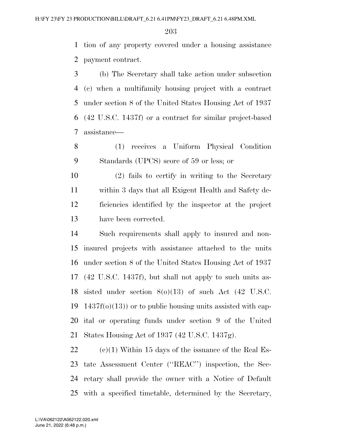tion of any property covered under a housing assistance payment contract.

 (b) The Secretary shall take action under subsection (c) when a multifamily housing project with a contract under section 8 of the United States Housing Act of 1937 (42 U.S.C. 1437f) or a contract for similar project-based assistance—

 (1) receives a Uniform Physical Condition Standards (UPCS) score of 59 or less; or

 (2) fails to certify in writing to the Secretary within 3 days that all Exigent Health and Safety de- ficiencies identified by the inspector at the project have been corrected.

 Such requirements shall apply to insured and non- insured projects with assistance attached to the units under section 8 of the United States Housing Act of 1937 (42 U.S.C. 1437f), but shall not apply to such units as- sisted under section 8(o)(13) of such Act (42 U.S.C. 19 1437f( $o(13)$ ) or to public housing units assisted with cap- ital or operating funds under section 9 of the United States Housing Act of 1937 (42 U.S.C. 1437g).

22 (c)(1) Within 15 days of the issuance of the Real Es- tate Assessment Center (''REAC'') inspection, the Sec- retary shall provide the owner with a Notice of Default with a specified timetable, determined by the Secretary,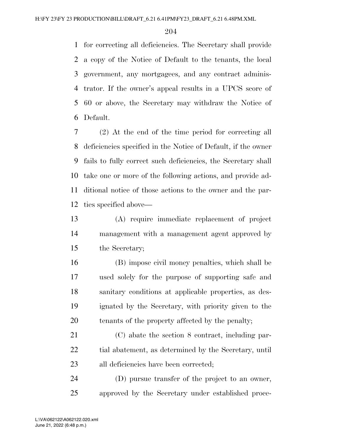for correcting all deficiencies. The Secretary shall provide a copy of the Notice of Default to the tenants, the local government, any mortgagees, and any contract adminis- trator. If the owner's appeal results in a UPCS score of 60 or above, the Secretary may withdraw the Notice of Default.

 (2) At the end of the time period for correcting all deficiencies specified in the Notice of Default, if the owner fails to fully correct such deficiencies, the Secretary shall take one or more of the following actions, and provide ad- ditional notice of those actions to the owner and the par-ties specified above—

 (A) require immediate replacement of project management with a management agent approved by the Secretary;

 (B) impose civil money penalties, which shall be used solely for the purpose of supporting safe and sanitary conditions at applicable properties, as des- ignated by the Secretary, with priority given to the tenants of the property affected by the penalty;

 (C) abate the section 8 contract, including par-22 tial abatement, as determined by the Secretary, until all deficiencies have been corrected;

 (D) pursue transfer of the project to an owner, approved by the Secretary under established proce-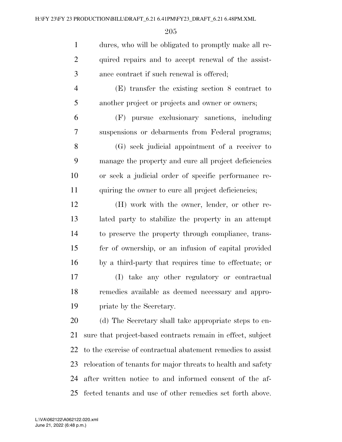| $\mathbf{1}$   | dures, who will be obligated to promptly make all re-        |
|----------------|--------------------------------------------------------------|
| $\overline{2}$ | quired repairs and to accept renewal of the assist-          |
| $\mathfrak{Z}$ | ance contract if such renewal is offered;                    |
| $\overline{4}$ | $(E)$ transfer the existing section 8 contract to            |
| 5              | another project or projects and owner or owners;             |
| 6              | (F) pursue exclusionary sanctions, including                 |
| 7              | suspensions or debarments from Federal programs;             |
| 8              | (G) seek judicial appointment of a receiver to               |
| 9              | manage the property and cure all project deficiencies        |
| 10             | or seek a judicial order of specific performance re-         |
| 11             | quiring the owner to cure all project deficiencies;          |
| 12             | (H) work with the owner, lender, or other re-                |
| 13             | lated party to stabilize the property in an attempt          |
| 14             | to preserve the property through compliance, trans-          |
| 15             | fer of ownership, or an infusion of capital provided         |
| 16             | by a third-party that requires time to effectuate; or        |
| 17             | (I) take any other regulatory or contractual                 |
| 18             | remedies available as deemed necessary and appro-            |
| 19             | priate by the Secretary.                                     |
| 20             | (d) The Secretary shall take appropriate steps to en-        |
| 21             | sure that project-based contracts remain in effect, subject  |
| 22             | to the exercise of contractual abatement remedies to assist  |
| 23             | relocation of tenants for major threats to health and safety |
| 24             | after written notice to and informed consent of the af-      |
| 25             | fected tenants and use of other remedies set forth above.    |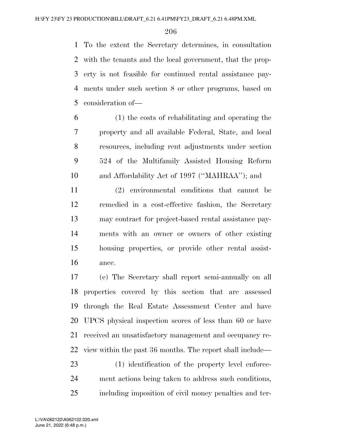To the extent the Secretary determines, in consultation with the tenants and the local government, that the prop- erty is not feasible for continued rental assistance pay- ments under such section 8 or other programs, based on consideration of—

 (1) the costs of rehabilitating and operating the property and all available Federal, State, and local resources, including rent adjustments under section 524 of the Multifamily Assisted Housing Reform and Affordability Act of 1997 (''MAHRAA''); and

 (2) environmental conditions that cannot be remedied in a cost-effective fashion, the Secretary may contract for project-based rental assistance pay- ments with an owner or owners of other existing housing properties, or provide other rental assist-ance.

 (e) The Secretary shall report semi-annually on all properties covered by this section that are assessed through the Real Estate Assessment Center and have UPCS physical inspection scores of less than 60 or have received an unsatisfactory management and occupancy re- view within the past 36 months. The report shall include— (1) identification of the property level enforce-ment actions being taken to address such conditions,

including imposition of civil money penalties and ter-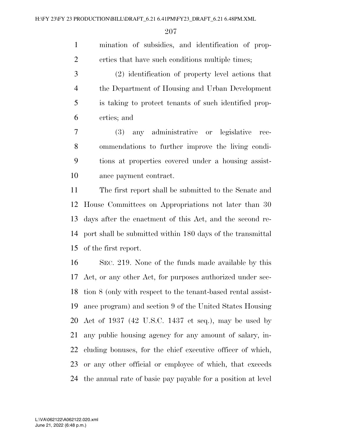mination of subsidies, and identification of prop-erties that have such conditions multiple times;

 (2) identification of property level actions that the Department of Housing and Urban Development is taking to protect tenants of such identified prop-erties; and

 (3) any administrative or legislative rec- ommendations to further improve the living condi- tions at properties covered under a housing assist-ance payment contract.

 The first report shall be submitted to the Senate and House Committees on Appropriations not later than 30 days after the enactment of this Act, and the second re- port shall be submitted within 180 days of the transmittal of the first report.

 SEC. 219. None of the funds made available by this Act, or any other Act, for purposes authorized under sec- tion 8 (only with respect to the tenant-based rental assist- ance program) and section 9 of the United States Housing Act of 1937 (42 U.S.C. 1437 et seq.), may be used by any public housing agency for any amount of salary, in- cluding bonuses, for the chief executive officer of which, or any other official or employee of which, that exceeds the annual rate of basic pay payable for a position at level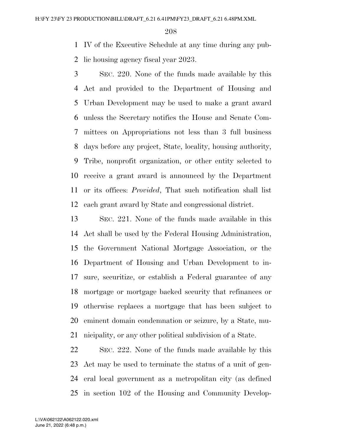IV of the Executive Schedule at any time during any pub-lic housing agency fiscal year 2023.

 SEC. 220. None of the funds made available by this Act and provided to the Department of Housing and Urban Development may be used to make a grant award unless the Secretary notifies the House and Senate Com- mittees on Appropriations not less than 3 full business days before any project, State, locality, housing authority, Tribe, nonprofit organization, or other entity selected to receive a grant award is announced by the Department or its offices: *Provided*, That such notification shall list each grant award by State and congressional district.

 SEC. 221. None of the funds made available in this Act shall be used by the Federal Housing Administration, the Government National Mortgage Association, or the Department of Housing and Urban Development to in- sure, securitize, or establish a Federal guarantee of any mortgage or mortgage backed security that refinances or otherwise replaces a mortgage that has been subject to eminent domain condemnation or seizure, by a State, mu-nicipality, or any other political subdivision of a State.

 SEC. 222. None of the funds made available by this Act may be used to terminate the status of a unit of gen- eral local government as a metropolitan city (as defined in section 102 of the Housing and Community Develop-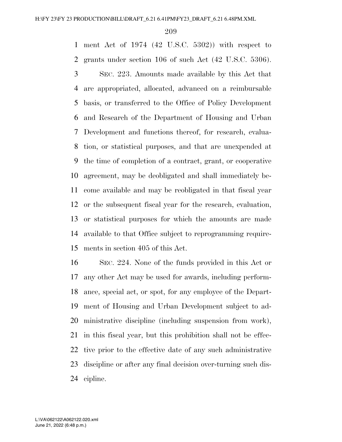ment Act of 1974 (42 U.S.C. 5302)) with respect to grants under section 106 of such Act (42 U.S.C. 5306).

 SEC. 223. Amounts made available by this Act that are appropriated, allocated, advanced on a reimbursable basis, or transferred to the Office of Policy Development and Research of the Department of Housing and Urban Development and functions thereof, for research, evalua- tion, or statistical purposes, and that are unexpended at the time of completion of a contract, grant, or cooperative agreement, may be deobligated and shall immediately be- come available and may be reobligated in that fiscal year or the subsequent fiscal year for the research, evaluation, or statistical purposes for which the amounts are made available to that Office subject to reprogramming require-ments in section 405 of this Act.

 SEC. 224. None of the funds provided in this Act or any other Act may be used for awards, including perform- ance, special act, or spot, for any employee of the Depart- ment of Housing and Urban Development subject to ad- ministrative discipline (including suspension from work), in this fiscal year, but this prohibition shall not be effec- tive prior to the effective date of any such administrative discipline or after any final decision over-turning such dis-cipline.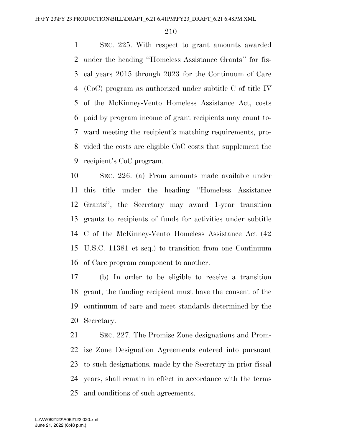SEC. 225. With respect to grant amounts awarded under the heading ''Homeless Assistance Grants'' for fis- cal years 2015 through 2023 for the Continuum of Care (CoC) program as authorized under subtitle C of title IV of the McKinney-Vento Homeless Assistance Act, costs paid by program income of grant recipients may count to- ward meeting the recipient's matching requirements, pro- vided the costs are eligible CoC costs that supplement the recipient's CoC program.

 SEC. 226. (a) From amounts made available under this title under the heading ''Homeless Assistance Grants'', the Secretary may award 1-year transition grants to recipients of funds for activities under subtitle C of the McKinney-Vento Homeless Assistance Act (42 U.S.C. 11381 et seq.) to transition from one Continuum of Care program component to another.

 (b) In order to be eligible to receive a transition grant, the funding recipient must have the consent of the continuum of care and meet standards determined by the Secretary.

 SEC. 227. The Promise Zone designations and Prom- ise Zone Designation Agreements entered into pursuant to such designations, made by the Secretary in prior fiscal years, shall remain in effect in accordance with the terms and conditions of such agreements.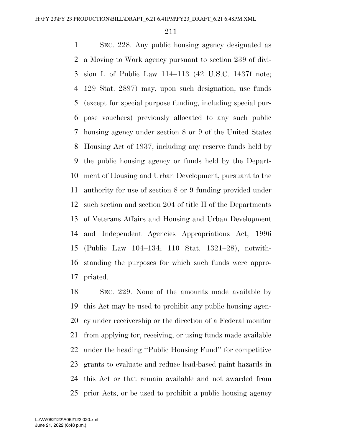SEC. 228. Any public housing agency designated as a Moving to Work agency pursuant to section 239 of divi- sion L of Public Law 114–113 (42 U.S.C. 1437f note; 129 Stat. 2897) may, upon such designation, use funds (except for special purpose funding, including special pur- pose vouchers) previously allocated to any such public housing agency under section 8 or 9 of the United States Housing Act of 1937, including any reserve funds held by the public housing agency or funds held by the Depart- ment of Housing and Urban Development, pursuant to the authority for use of section 8 or 9 funding provided under such section and section 204 of title II of the Departments of Veterans Affairs and Housing and Urban Development and Independent Agencies Appropriations Act, 1996 (Public Law 104–134; 110 Stat. 1321–28), notwith- standing the purposes for which such funds were appro-priated.

 SEC. 229. None of the amounts made available by this Act may be used to prohibit any public housing agen- cy under receivership or the direction of a Federal monitor from applying for, receiving, or using funds made available under the heading ''Public Housing Fund'' for competitive grants to evaluate and reduce lead-based paint hazards in this Act or that remain available and not awarded from prior Acts, or be used to prohibit a public housing agency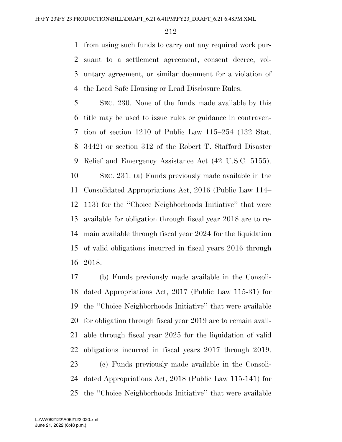from using such funds to carry out any required work pur- suant to a settlement agreement, consent decree, vol- untary agreement, or similar document for a violation of the Lead Safe Housing or Lead Disclosure Rules.

 SEC. 230. None of the funds made available by this title may be used to issue rules or guidance in contraven- tion of section 1210 of Public Law 115–254 (132 Stat. 3442) or section 312 of the Robert T. Stafford Disaster Relief and Emergency Assistance Act (42 U.S.C. 5155). SEC. 231. (a) Funds previously made available in the Consolidated Appropriations Act, 2016 (Public Law 114– 113) for the ''Choice Neighborhoods Initiative'' that were available for obligation through fiscal year 2018 are to re- main available through fiscal year 2024 for the liquidation of valid obligations incurred in fiscal years 2016 through 2018.

 (b) Funds previously made available in the Consoli- dated Appropriations Act, 2017 (Public Law 115-31) for the ''Choice Neighborhoods Initiative'' that were available for obligation through fiscal year 2019 are to remain avail- able through fiscal year 2025 for the liquidation of valid obligations incurred in fiscal years 2017 through 2019. (c) Funds previously made available in the Consoli- dated Appropriations Act, 2018 (Public Law 115-141) for the ''Choice Neighborhoods Initiative'' that were available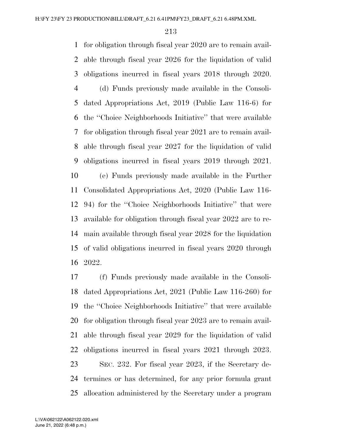for obligation through fiscal year 2020 are to remain avail- able through fiscal year 2026 for the liquidation of valid obligations incurred in fiscal years 2018 through 2020. (d) Funds previously made available in the Consoli- dated Appropriations Act, 2019 (Public Law 116-6) for the ''Choice Neighborhoods Initiative'' that were available for obligation through fiscal year 2021 are to remain avail- able through fiscal year 2027 for the liquidation of valid obligations incurred in fiscal years 2019 through 2021. (e) Funds previously made available in the Further Consolidated Appropriations Act, 2020 (Public Law 116- 94) for the ''Choice Neighborhoods Initiative'' that were available for obligation through fiscal year 2022 are to re- main available through fiscal year 2028 for the liquidation of valid obligations incurred in fiscal years 2020 through 2022.

 (f) Funds previously made available in the Consoli- dated Appropriations Act, 2021 (Public Law 116-260) for the ''Choice Neighborhoods Initiative'' that were available for obligation through fiscal year 2023 are to remain avail- able through fiscal year 2029 for the liquidation of valid obligations incurred in fiscal years 2021 through 2023. SEC. 232. For fiscal year 2023, if the Secretary de- termines or has determined, for any prior formula grant allocation administered by the Secretary under a program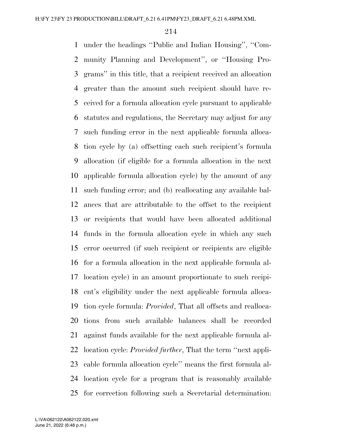under the headings ''Public and Indian Housing'', ''Com- munity Planning and Development'', or ''Housing Pro- grams'' in this title, that a recipient received an allocation greater than the amount such recipient should have re- ceived for a formula allocation cycle pursuant to applicable statutes and regulations, the Secretary may adjust for any such funding error in the next applicable formula alloca- tion cycle by (a) offsetting each such recipient's formula allocation (if eligible for a formula allocation in the next applicable formula allocation cycle) by the amount of any such funding error; and (b) reallocating any available bal- ances that are attributable to the offset to the recipient or recipients that would have been allocated additional funds in the formula allocation cycle in which any such error occurred (if such recipient or recipients are eligible for a formula allocation in the next applicable formula al- location cycle) in an amount proportionate to such recipi- ent's eligibility under the next applicable formula alloca- tion cycle formula: *Provided*, That all offsets and realloca- tions from such available balances shall be recorded against funds available for the next applicable formula al- location cycle: *Provided further*, That the term ''next appli- cable formula allocation cycle'' means the first formula al- location cycle for a program that is reasonably available for correction following such a Secretarial determination: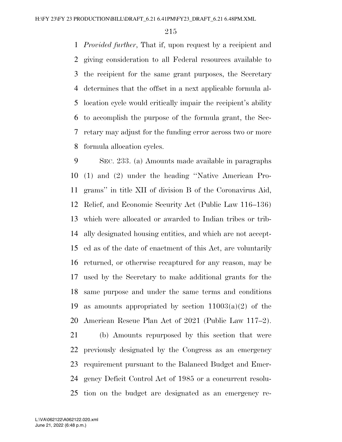*Provided further*, That if, upon request by a recipient and giving consideration to all Federal resources available to the recipient for the same grant purposes, the Secretary determines that the offset in a next applicable formula al- location cycle would critically impair the recipient's ability to accomplish the purpose of the formula grant, the Sec- retary may adjust for the funding error across two or more formula allocation cycles.

 SEC. 233. (a) Amounts made available in paragraphs (1) and (2) under the heading ''Native American Pro- grams'' in title XII of division B of the Coronavirus Aid, Relief, and Economic Security Act (Public Law 116–136) which were allocated or awarded to Indian tribes or trib- ally designated housing entities, and which are not accept- ed as of the date of enactment of this Act, are voluntarily returned, or otherwise recaptured for any reason, may be used by the Secretary to make additional grants for the same purpose and under the same terms and conditions 19 as amounts appropriated by section  $11003(a)(2)$  of the American Rescue Plan Act of 2021 (Public Law 117–2). (b) Amounts repurposed by this section that were

 previously designated by the Congress as an emergency requirement pursuant to the Balanced Budget and Emer- gency Deficit Control Act of 1985 or a concurrent resolu-tion on the budget are designated as an emergency re-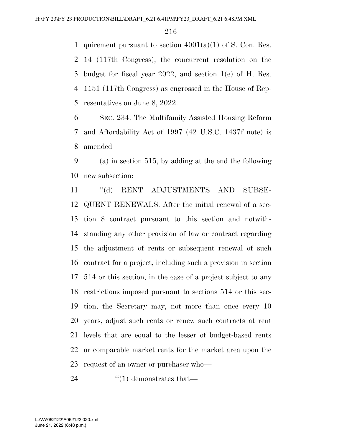1 quirement pursuant to section  $4001(a)(1)$  of S. Con. Res. 14 (117th Congress), the concurrent resolution on the budget for fiscal year 2022, and section 1(e) of H. Res. 1151 (117th Congress) as engrossed in the House of Rep-resentatives on June 8, 2022.

 SEC. 234. The Multifamily Assisted Housing Reform and Affordability Act of 1997 (42 U.S.C. 1437f note) is amended—

 (a) in section 515, by adding at the end the following new subsection:

 ''(d) RENT ADJUSTMENTS AND SUBSE- QUENT RENEWALS. After the initial renewal of a sec- tion 8 contract pursuant to this section and notwith- standing any other provision of law or contract regarding the adjustment of rents or subsequent renewal of such contract for a project, including such a provision in section 514 or this section, in the case of a project subject to any restrictions imposed pursuant to sections 514 or this sec- tion, the Secretary may, not more than once every 10 years, adjust such rents or renew such contracts at rent levels that are equal to the lesser of budget-based rents or comparable market rents for the market area upon the request of an owner or purchaser who—

24  $\cdot$  (1) demonstrates that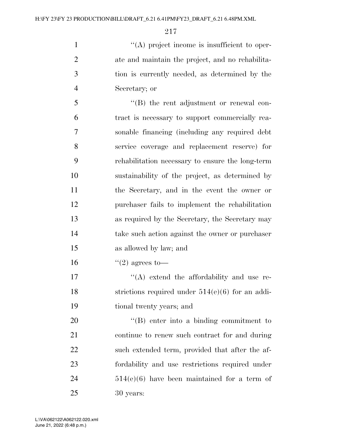''(A) project income is insufficient to oper- ate and maintain the project, and no rehabilita- tion is currently needed, as determined by the Secretary; or

 ''(B) the rent adjustment or renewal con- tract is necessary to support commercially rea- sonable financing (including any required debt service coverage and replacement reserve) for rehabilitation necessary to ensure the long-term sustainability of the project, as determined by the Secretary, and in the event the owner or purchaser fails to implement the rehabilitation as required by the Secretary, the Secretary may take such action against the owner or purchaser as allowed by law; and

16  $(2)$  agrees to

17  $\langle (A) \rangle$  extend the affordability and use re-18 strictions required under  $514(e)(6)$  for an addi-tional twenty years; and

 $\text{``(B)}$  enter into a binding commitment to continue to renew such contract for and during such extended term, provided that after the af- fordability and use restrictions required under 514(e)(6) have been maintained for a term of 30 years: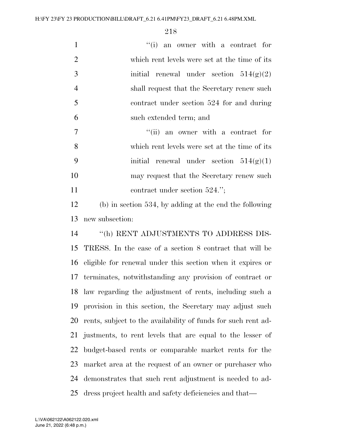| $\mathbf{1}$   | "(i) an owner with a contract for                             |
|----------------|---------------------------------------------------------------|
| $\overline{2}$ | which rent levels were set at the time of its                 |
| 3              | initial renewal under section $514(g)(2)$                     |
| 4              | shall request that the Secretary renew such                   |
| 5              | contract under section 524 for and during                     |
| 6              | such extended term; and                                       |
| $\tau$         | "(ii) an owner with a contract for                            |
| 8              | which rent levels were set at the time of its                 |
| 9              | initial renewal under section $514(g)(1)$                     |
| 10             | may request that the Secretary renew such                     |
| 11             | contract under section $524."$ ;                              |
| 12             | $(b)$ in section 534, by adding at the end the following      |
| 13             | new subsection:                                               |
| 14             | "(h) RENT ADJUSTMENTS TO ADDRESS DIS-                         |
| 15             | TRESS. In the case of a section 8 contract that will be       |
| 16             | eligible for renewal under this section when it expires or    |
| 17             | terminates, notwithstanding any provision of contract or      |
| 18             | law regarding the adjustment of rents, including such a       |
| 19             | provision in this section, the Secretary may adjust such      |
| 20             | rents, subject to the availability of funds for such rent ad- |
| 21             | justments, to rent levels that are equal to the lesser of     |
| 22             | budget-based rents or comparable market rents for the         |
| 23             | market area at the request of an owner or purchaser who       |
|                |                                                               |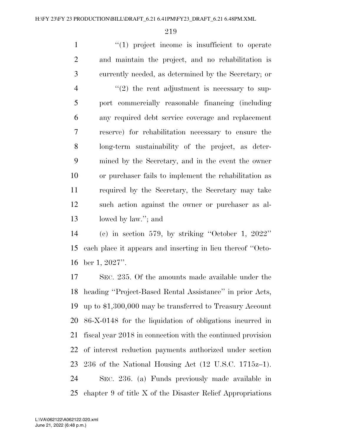$\frac{1}{1}$   $\frac{1}{2}$  project income is insufficient to operate and maintain the project, and no rehabilitation is currently needed, as determined by the Secretary; or  $\frac{4}{2}$  ''(2) the rent adjustment is necessary to sup- port commercially reasonable financing (including any required debt service coverage and replacement reserve) for rehabilitation necessary to ensure the long-term sustainability of the project, as deter- mined by the Secretary, and in the event the owner or purchaser fails to implement the rehabilitation as required by the Secretary, the Secretary may take such action against the owner or purchaser as al-lowed by law.''; and

 (c) in section 579, by striking ''October 1, 2022'' each place it appears and inserting in lieu thereof ''Octo-ber 1, 2027''.

 SEC. 235. Of the amounts made available under the heading ''Project-Based Rental Assistance'' in prior Acts, up to \$1,300,000 may be transferred to Treasury Account 86-X-0148 for the liquidation of obligations incurred in fiscal year 2018 in connection with the continued provision of interest reduction payments authorized under section 236 of the National Housing Act (12 U.S.C. 1715z–1). SEC. 236. (a) Funds previously made available in chapter 9 of title X of the Disaster Relief Appropriations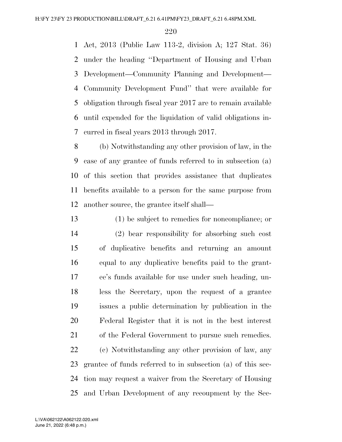Act, 2013 (Public Law 113-2, division A; 127 Stat. 36) under the heading ''Department of Housing and Urban Development—Community Planning and Development— Community Development Fund'' that were available for obligation through fiscal year 2017 are to remain available until expended for the liquidation of valid obligations in-curred in fiscal years 2013 through 2017.

 (b) Notwithstanding any other provision of law, in the case of any grantee of funds referred to in subsection (a) of this section that provides assistance that duplicates benefits available to a person for the same purpose from another source, the grantee itself shall—

 (1) be subject to remedies for noncompliance; or (2) bear responsibility for absorbing such cost of duplicative benefits and returning an amount equal to any duplicative benefits paid to the grant- ee's funds available for use under such heading, un- less the Secretary, upon the request of a grantee issues a public determination by publication in the Federal Register that it is not in the best interest of the Federal Government to pursue such remedies. (c) Notwithstanding any other provision of law, any grantee of funds referred to in subsection (a) of this sec- tion may request a waiver from the Secretary of Housing and Urban Development of any recoupment by the Sec-

June 21, 2022 (6:48 p.m.) L:\VA\062122\A062122.020.xml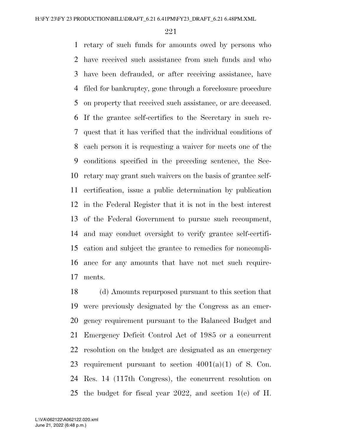retary of such funds for amounts owed by persons who have received such assistance from such funds and who have been defrauded, or after receiving assistance, have filed for bankruptcy, gone through a foreclosure procedure on property that received such assistance, or are deceased. If the grantee self-certifies to the Secretary in such re- quest that it has verified that the individual conditions of each person it is requesting a waiver for meets one of the conditions specified in the preceding sentence, the Sec- retary may grant such waivers on the basis of grantee self- certification, issue a public determination by publication in the Federal Register that it is not in the best interest of the Federal Government to pursue such recoupment, and may conduct oversight to verify grantee self-certifi- cation and subject the grantee to remedies for noncompli- ance for any amounts that have not met such require-ments.

 (d) Amounts repurposed pursuant to this section that were previously designated by the Congress as an emer- gency requirement pursuant to the Balanced Budget and Emergency Deficit Control Act of 1985 or a concurrent resolution on the budget are designated as an emergency 23 requirement pursuant to section  $4001(a)(1)$  of S. Con. Res. 14 (117th Congress), the concurrent resolution on the budget for fiscal year 2022, and section 1(e) of H.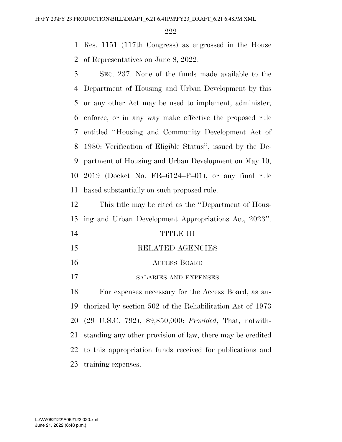Res. 1151 (117th Congress) as engrossed in the House of Representatives on June 8, 2022.

 SEC. 237. None of the funds made available to the Department of Housing and Urban Development by this or any other Act may be used to implement, administer, enforce, or in any way make effective the proposed rule entitled ''Housing and Community Development Act of 1980: Verification of Eligible Status'', issued by the De- partment of Housing and Urban Development on May 10, 2019 (Docket No. FR–6124–P–01), or any final rule based substantially on such proposed rule.

 This title may be cited as the ''Department of Hous-ing and Urban Development Appropriations Act, 2023''.

- TITLE III
- RELATED AGENCIES
- ACCESS BOARD
- SALARIES AND EXPENSES

 For expenses necessary for the Access Board, as au- thorized by section 502 of the Rehabilitation Act of 1973 (29 U.S.C. 792), \$9,850,000: *Provided*, That, notwith- standing any other provision of law, there may be credited to this appropriation funds received for publications and training expenses.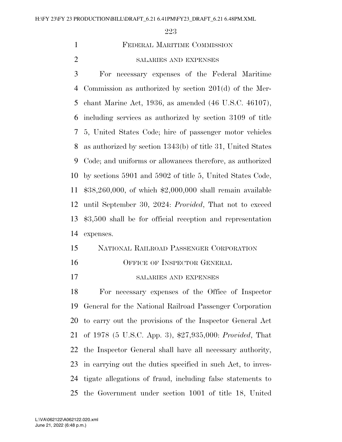FEDERAL MARITIME COMMISSION

SALARIES AND EXPENSES

 For necessary expenses of the Federal Maritime Commission as authorized by section 201(d) of the Mer- chant Marine Act, 1936, as amended (46 U.S.C. 46107), including services as authorized by section 3109 of title 5, United States Code; hire of passenger motor vehicles as authorized by section 1343(b) of title 31, United States Code; and uniforms or allowances therefore, as authorized by sections 5901 and 5902 of title 5, United States Code, \$38,260,000, of which \$2,000,000 shall remain available until September 30, 2024: *Provided*, That not to exceed \$3,500 shall be for official reception and representation expenses.

### NATIONAL RAILROAD PASSENGER CORPORATION

- 16 OFFICE OF INSPECTOR GENERAL
- SALARIES AND EXPENSES

 For necessary expenses of the Office of Inspector General for the National Railroad Passenger Corporation to carry out the provisions of the Inspector General Act of 1978 (5 U.S.C. App. 3), \$27,935,000: *Provided*, That the Inspector General shall have all necessary authority, in carrying out the duties specified in such Act, to inves- tigate allegations of fraud, including false statements to the Government under section 1001 of title 18, United

June 21, 2022 (6:48 p.m.) L:\VA\062122\A062122.020.xml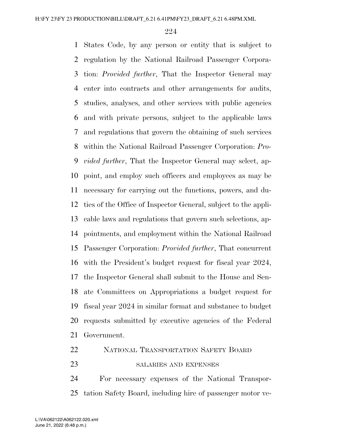States Code, by any person or entity that is subject to regulation by the National Railroad Passenger Corpora- tion: *Provided further*, That the Inspector General may enter into contracts and other arrangements for audits, studies, analyses, and other services with public agencies and with private persons, subject to the applicable laws and regulations that govern the obtaining of such services within the National Railroad Passenger Corporation: *Pro- vided further*, That the Inspector General may select, ap- point, and employ such officers and employees as may be necessary for carrying out the functions, powers, and du- ties of the Office of Inspector General, subject to the appli- cable laws and regulations that govern such selections, ap- pointments, and employment within the National Railroad Passenger Corporation: *Provided further*, That concurrent with the President's budget request for fiscal year 2024, the Inspector General shall submit to the House and Sen- ate Committees on Appropriations a budget request for fiscal year 2024 in similar format and substance to budget requests submitted by executive agencies of the Federal Government.

#### NATIONAL TRANSPORTATION SAFETY BOARD

SALARIES AND EXPENSES

 For necessary expenses of the National Transpor-tation Safety Board, including hire of passenger motor ve-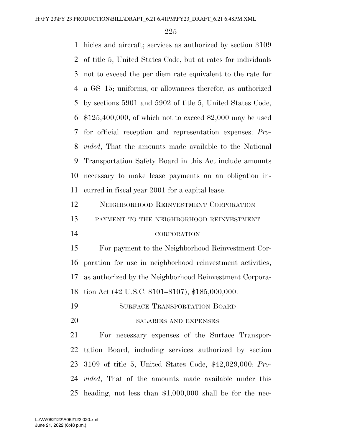hicles and aircraft; services as authorized by section 3109 of title 5, United States Code, but at rates for individuals not to exceed the per diem rate equivalent to the rate for a GS–15; uniforms, or allowances therefor, as authorized by sections 5901 and 5902 of title 5, United States Code, \$125,400,000, of which not to exceed \$2,000 may be used for official reception and representation expenses: *Pro- vided*, That the amounts made available to the National Transportation Safety Board in this Act include amounts necessary to make lease payments on an obligation in- curred in fiscal year 2001 for a capital lease. NEIGHBORHOOD REINVESTMENT CORPORATION PAYMENT TO THE NEIGHBORHOOD REINVESTMENT CORPORATION For payment to the Neighborhood Reinvestment Cor- poration for use in neighborhood reinvestment activities, as authorized by the Neighborhood Reinvestment Corpora- tion Act (42 U.S.C. 8101–8107), \$185,000,000. SURFACE TRANSPORTATION BOARD SALARIES AND EXPENSES For necessary expenses of the Surface Transpor-

 tation Board, including services authorized by section 3109 of title 5, United States Code, \$42,029,000: *Pro- vided*, That of the amounts made available under this heading, not less than \$1,000,000 shall be for the nec-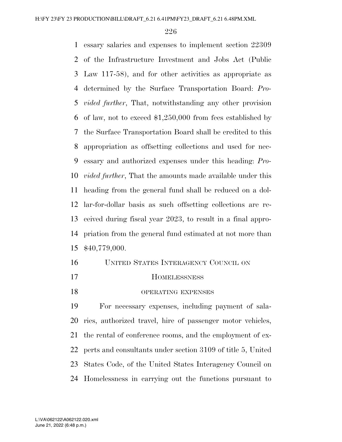essary salaries and expenses to implement section 22309 of the Infrastructure Investment and Jobs Act (Public Law 117-58), and for other activities as appropriate as determined by the Surface Transportation Board: *Pro- vided further*, That, notwithstanding any other provision of law, not to exceed \$1,250,000 from fees established by the Surface Transportation Board shall be credited to this appropriation as offsetting collections and used for nec- essary and authorized expenses under this heading: *Pro- vided further*, That the amounts made available under this heading from the general fund shall be reduced on a dol- lar-for-dollar basis as such offsetting collections are re- ceived during fiscal year 2023, to result in a final appro- priation from the general fund estimated at not more than \$40,779,000.

| 16 | UNITED STATES INTERAGENCY COUNCIL ON               |
|----|----------------------------------------------------|
| 17 | <b>HOMELESSNESS</b>                                |
| 18 | OPERATING EXPENSES                                 |
| 19 | For necessary expenses, including payment of sala- |

 ries, authorized travel, hire of passenger motor vehicles, the rental of conference rooms, and the employment of ex- perts and consultants under section 3109 of title 5, United States Code, of the United States Interagency Council on Homelessness in carrying out the functions pursuant to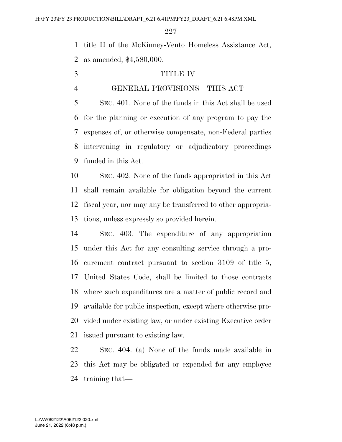title II of the McKinney-Vento Homeless Assistance Act, as amended, \$4,580,000.

- TITLE IV
- 

#### GENERAL PROVISIONS—THIS ACT

 SEC. 401. None of the funds in this Act shall be used for the planning or execution of any program to pay the expenses of, or otherwise compensate, non-Federal parties intervening in regulatory or adjudicatory proceedings funded in this Act.

 SEC. 402. None of the funds appropriated in this Act shall remain available for obligation beyond the current fiscal year, nor may any be transferred to other appropria-tions, unless expressly so provided herein.

 SEC. 403. The expenditure of any appropriation under this Act for any consulting service through a pro- curement contract pursuant to section 3109 of title 5, United States Code, shall be limited to those contracts where such expenditures are a matter of public record and available for public inspection, except where otherwise pro- vided under existing law, or under existing Executive order issued pursuant to existing law.

 SEC. 404. (a) None of the funds made available in this Act may be obligated or expended for any employee training that—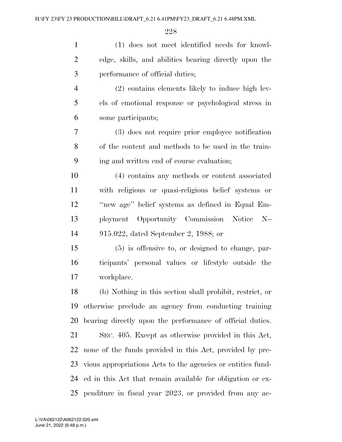| $\mathbf{1}$   | (1) does not meet identified needs for knowl-               |
|----------------|-------------------------------------------------------------|
| $\overline{2}$ | edge, skills, and abilities bearing directly upon the       |
| 3              | performance of official duties;                             |
| $\overline{4}$ | (2) contains elements likely to induce high lev-            |
| 5              | els of emotional response or psychological stress in        |
| 6              | some participants;                                          |
| 7              | (3) does not require prior employee notification            |
| 8              | of the content and methods to be used in the train-         |
| 9              | ing and written end of course evaluation;                   |
| 10             | (4) contains any methods or content associated              |
| 11             | with religious or quasi-religious belief systems or         |
| 12             | "new age" belief systems as defined in Equal Em-            |
| 13             | ployment Opportunity Commission Notice N-                   |
| 14             | 915.022, dated September 2, 1988; or                        |
| 15             | $(5)$ is offensive to, or designed to change, par-          |
| 16             | ticipants' personal values or lifestyle outside the         |
| 17             | workplace.                                                  |
| 18             | (b) Nothing in this section shall prohibit, restrict, or    |
| 19             | otherwise preclude an agency from conducting training       |
| 20             | bearing directly upon the performance of official duties.   |
| 21             | SEC. 405. Except as otherwise provided in this Act,         |
| 22             | none of the funds provided in this Act, provided by pre-    |
| 23             | vious appropriations Acts to the agencies or entities fund- |
| 24             | ed in this Act that remain available for obligation or ex-  |
|                | 25 penditure in fiscal year 2023, or provided from any ac-  |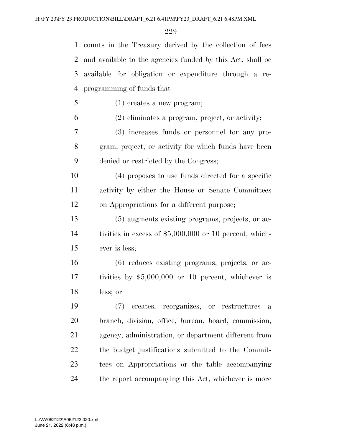counts in the Treasury derived by the collection of fees and available to the agencies funded by this Act, shall be available for obligation or expenditure through a re-programming of funds that—

(1) creates a new program;

(2) eliminates a program, project, or activity;

 (3) increases funds or personnel for any pro- gram, project, or activity for which funds have been denied or restricted by the Congress;

 (4) proposes to use funds directed for a specific activity by either the House or Senate Committees on Appropriations for a different purpose;

 (5) augments existing programs, projects, or ac- tivities in excess of \$5,000,000 or 10 percent, which-ever is less;

 (6) reduces existing programs, projects, or ac- tivities by \$5,000,000 or 10 percent, whichever is less; or

 (7) creates, reorganizes, or restructures a branch, division, office, bureau, board, commission, agency, administration, or department different from the budget justifications submitted to the Commit- tees on Appropriations or the table accompanying the report accompanying this Act, whichever is more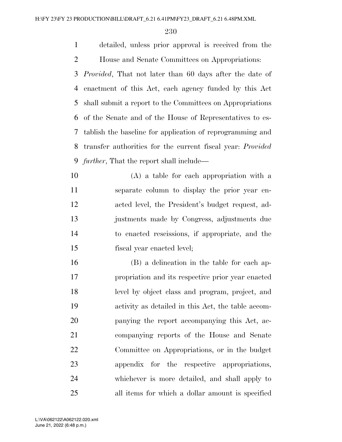detailed, unless prior approval is received from the House and Senate Committees on Appropriations:

 *Provided*, That not later than 60 days after the date of enactment of this Act, each agency funded by this Act shall submit a report to the Committees on Appropriations of the Senate and of the House of Representatives to es- tablish the baseline for application of reprogramming and transfer authorities for the current fiscal year: *Provided further*, That the report shall include—

 (A) a table for each appropriation with a separate column to display the prior year en- acted level, the President's budget request, ad- justments made by Congress, adjustments due to enacted rescissions, if appropriate, and the fiscal year enacted level;

 (B) a delineation in the table for each ap- propriation and its respective prior year enacted level by object class and program, project, and activity as detailed in this Act, the table accom- panying the report accompanying this Act, ac- companying reports of the House and Senate Committee on Appropriations, or in the budget appendix for the respective appropriations, whichever is more detailed, and shall apply to all items for which a dollar amount is specified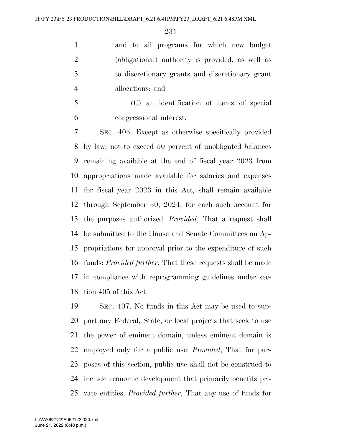and to all programs for which new budget (obligational) authority is provided, as well as to discretionary grants and discretionary grant allocations; and

 (C) an identification of items of special congressional interest.

 SEC. 406. Except as otherwise specifically provided by law, not to exceed 50 percent of unobligated balances remaining available at the end of fiscal year 2023 from appropriations made available for salaries and expenses for fiscal year 2023 in this Act, shall remain available through September 30, 2024, for each such account for the purposes authorized: *Provided*, That a request shall be submitted to the House and Senate Committees on Ap- propriations for approval prior to the expenditure of such funds: *Provided further*, That these requests shall be made in compliance with reprogramming guidelines under sec-tion 405 of this Act.

 SEC. 407. No funds in this Act may be used to sup- port any Federal, State, or local projects that seek to use the power of eminent domain, unless eminent domain is employed only for a public use: *Provided*, That for pur- poses of this section, public use shall not be construed to include economic development that primarily benefits pri-vate entities: *Provided further*, That any use of funds for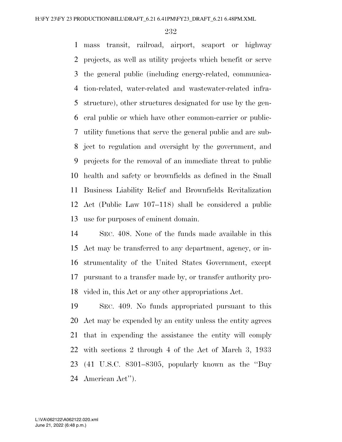mass transit, railroad, airport, seaport or highway projects, as well as utility projects which benefit or serve the general public (including energy-related, communica- tion-related, water-related and wastewater-related infra- structure), other structures designated for use by the gen- eral public or which have other common-carrier or public- utility functions that serve the general public and are sub- ject to regulation and oversight by the government, and projects for the removal of an immediate threat to public health and safety or brownfields as defined in the Small Business Liability Relief and Brownfields Revitalization Act (Public Law 107–118) shall be considered a public use for purposes of eminent domain.

 SEC. 408. None of the funds made available in this Act may be transferred to any department, agency, or in- strumentality of the United States Government, except pursuant to a transfer made by, or transfer authority pro-vided in, this Act or any other appropriations Act.

 SEC. 409. No funds appropriated pursuant to this Act may be expended by an entity unless the entity agrees that in expending the assistance the entity will comply with sections 2 through 4 of the Act of March 3, 1933 (41 U.S.C. 8301–8305, popularly known as the ''Buy American Act'').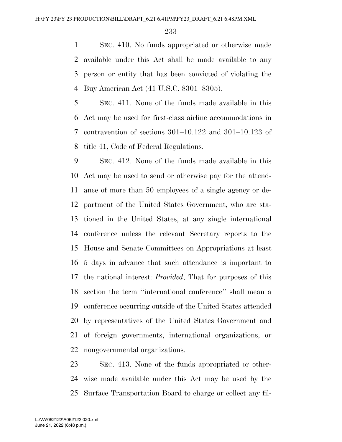SEC. 410. No funds appropriated or otherwise made available under this Act shall be made available to any person or entity that has been convicted of violating the Buy American Act (41 U.S.C. 8301–8305).

 SEC. 411. None of the funds made available in this Act may be used for first-class airline accommodations in contravention of sections 301–10.122 and 301–10.123 of title 41, Code of Federal Regulations.

 SEC. 412. None of the funds made available in this Act may be used to send or otherwise pay for the attend- ance of more than 50 employees of a single agency or de- partment of the United States Government, who are sta- tioned in the United States, at any single international conference unless the relevant Secretary reports to the House and Senate Committees on Appropriations at least 5 days in advance that such attendance is important to the national interest: *Provided*, That for purposes of this section the term ''international conference'' shall mean a conference occurring outside of the United States attended by representatives of the United States Government and of foreign governments, international organizations, or nongovernmental organizations.

 SEC. 413. None of the funds appropriated or other- wise made available under this Act may be used by the Surface Transportation Board to charge or collect any fil-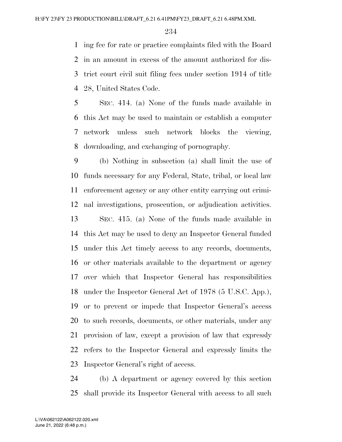ing fee for rate or practice complaints filed with the Board in an amount in excess of the amount authorized for dis- trict court civil suit filing fees under section 1914 of title 28, United States Code.

 SEC. 414. (a) None of the funds made available in this Act may be used to maintain or establish a computer network unless such network blocks the viewing, downloading, and exchanging of pornography.

 (b) Nothing in subsection (a) shall limit the use of funds necessary for any Federal, State, tribal, or local law enforcement agency or any other entity carrying out crimi-nal investigations, prosecution, or adjudication activities.

 SEC. 415. (a) None of the funds made available in this Act may be used to deny an Inspector General funded under this Act timely access to any records, documents, or other materials available to the department or agency over which that Inspector General has responsibilities under the Inspector General Act of 1978 (5 U.S.C. App.), or to prevent or impede that Inspector General's access to such records, documents, or other materials, under any provision of law, except a provision of law that expressly refers to the Inspector General and expressly limits the Inspector General's right of access.

 (b) A department or agency covered by this section shall provide its Inspector General with access to all such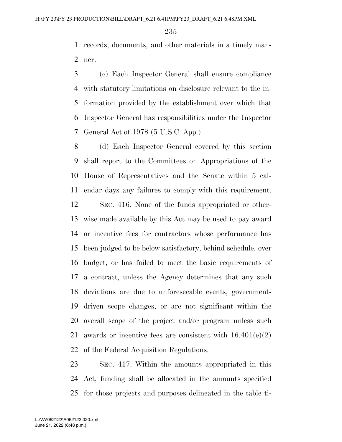records, documents, and other materials in a timely man-ner.

 (c) Each Inspector General shall ensure compliance with statutory limitations on disclosure relevant to the in- formation provided by the establishment over which that Inspector General has responsibilities under the Inspector General Act of 1978 (5 U.S.C. App.).

 (d) Each Inspector General covered by this section shall report to the Committees on Appropriations of the House of Representatives and the Senate within 5 cal-endar days any failures to comply with this requirement.

 SEC. 416. None of the funds appropriated or other- wise made available by this Act may be used to pay award or incentive fees for contractors whose performance has been judged to be below satisfactory, behind schedule, over budget, or has failed to meet the basic requirements of a contract, unless the Agency determines that any such deviations are due to unforeseeable events, government- driven scope changes, or are not significant within the overall scope of the project and/or program unless such 21 awards or incentive fees are consistent with  $16.401(e)(2)$ of the Federal Acquisition Regulations.

 SEC. 417. Within the amounts appropriated in this Act, funding shall be allocated in the amounts specified for those projects and purposes delineated in the table ti-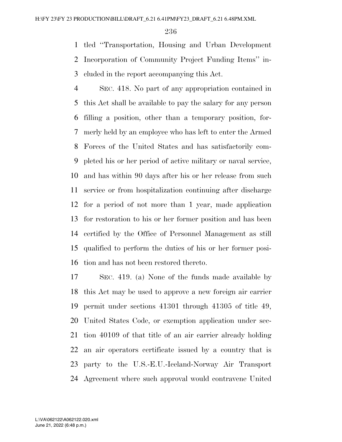tled ''Transportation, Housing and Urban Development Incorporation of Community Project Funding Items'' in-cluded in the report accompanying this Act.

 SEC. 418. No part of any appropriation contained in this Act shall be available to pay the salary for any person filling a position, other than a temporary position, for- merly held by an employee who has left to enter the Armed Forces of the United States and has satisfactorily com- pleted his or her period of active military or naval service, and has within 90 days after his or her release from such service or from hospitalization continuing after discharge for a period of not more than 1 year, made application for restoration to his or her former position and has been certified by the Office of Personnel Management as still qualified to perform the duties of his or her former posi-tion and has not been restored thereto.

 SEC. 419. (a) None of the funds made available by this Act may be used to approve a new foreign air carrier permit under sections 41301 through 41305 of title 49, United States Code, or exemption application under sec- tion 40109 of that title of an air carrier already holding an air operators certificate issued by a country that is party to the U.S.-E.U.-Iceland-Norway Air Transport Agreement where such approval would contravene United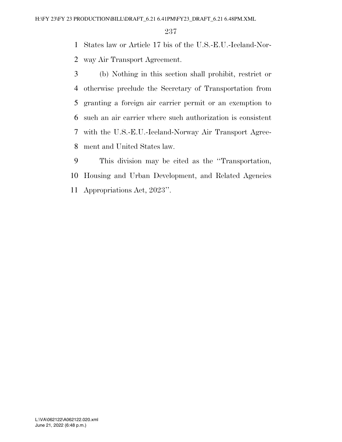States law or Article 17 bis of the U.S.-E.U.-Iceland-Nor-way Air Transport Agreement.

 (b) Nothing in this section shall prohibit, restrict or otherwise preclude the Secretary of Transportation from granting a foreign air carrier permit or an exemption to such an air carrier where such authorization is consistent with the U.S.-E.U.-Iceland-Norway Air Transport Agree-ment and United States law.

 This division may be cited as the ''Transportation, Housing and Urban Development, and Related Agencies Appropriations Act, 2023''.